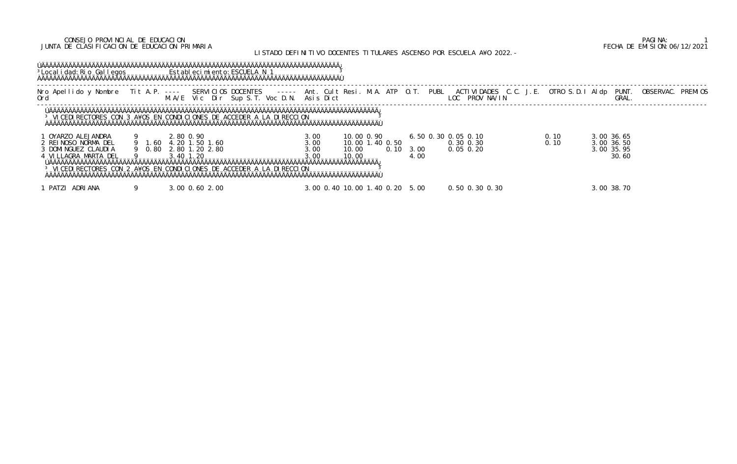## CONSEJO PROVINCIAL DE EDUCACION PAGINA: 1 JUNTA DE CLASIFICACION DE EDUCACION PRIMARIA FECHA DE EMISION:06/12/2021

# LISTADO DEFINITIVO DOCENTES TITULARES ASCENSO POR ESCUELA A¥O 2022.-

| Nro Apellido y Nombre Tit A.P. ---- SERVICIOS DOCENTES (2007) ---- Ant. Cult Resi. M.A. ATP O.T. PUBL ACTIVIDADES C.C. J.E. OTRO S.D.I Aldp<br>Ord |           | Establecimiento: ESCUELA N 1<br>M.A/E Vic Dir Sup S.T. Voc D.N. Asis Dict |  |      |       |                 |       |      | LOC PROV NA/IN      |      |  | PUNT.<br>GRAL | OBSERVAC. PREMIOS |  |
|----------------------------------------------------------------------------------------------------------------------------------------------------|-----------|---------------------------------------------------------------------------|--|------|-------|-----------------|-------|------|---------------------|------|--|---------------|-------------------|--|
|                                                                                                                                                    |           |                                                                           |  |      |       |                 |       |      |                     |      |  |               |                   |  |
| <sup>3</sup> VICEDIRECTORES CON 3 A¥OS EN CONDICIONES DE ACCEDER A LA DIRECCION                                                                    |           |                                                                           |  |      |       |                 |       |      |                     |      |  |               |                   |  |
|                                                                                                                                                    |           |                                                                           |  |      |       |                 |       |      |                     |      |  |               |                   |  |
|                                                                                                                                                    |           |                                                                           |  |      |       |                 |       |      |                     |      |  |               |                   |  |
| OYARZO ALEJANDRA                                                                                                                                   | 2.80 0.90 |                                                                           |  | 3.00 |       | 10.00 0.90      |       |      | 6.50 0.30 0.05 0.10 | 0.10 |  | 3.00 36.65    |                   |  |
| 2 REINOSO NORMA DEL                                                                                                                                |           | 9 1.60 4.20 1.50 1.60                                                     |  | 3.00 |       | 10,00 1,40 0,50 |       |      | $0.30 \, 0.30$      | 0.10 |  | 3.00 36.50    |                   |  |
| 3 DOMINGUEZ CLAUDIA                                                                                                                                |           | 9 0.80 2.80 1.20 2.80                                                     |  | 3.00 | 10.00 |                 | 0. 10 | 3.00 | $0.05$ 0.20         |      |  | 3.00 35.95    |                   |  |
| 4 VILLAGRA MARTA DEL                                                                                                                               | 3.40 1.20 |                                                                           |  | 3.00 | 10.00 |                 |       | 4.00 |                     |      |  | 30.60         |                   |  |
|                                                                                                                                                    |           |                                                                           |  |      |       |                 |       |      |                     |      |  |               |                   |  |
| <sup>3</sup> VICEDIRECTORES CON 2 A¥OS EN CONDICIONES DE ACCEDER A LA DIRECCION                                                                    |           |                                                                           |  |      |       |                 |       |      |                     |      |  |               |                   |  |

|  | <b>PATZI</b><br>ADRI ANA |  | .00 0.60 2.00 | 3.00 0.40 10.00 1.40 0.20 5.00 | 0.50 0.30 0.30 | 3.00 38.70 |
|--|--------------------------|--|---------------|--------------------------------|----------------|------------|
|--|--------------------------|--|---------------|--------------------------------|----------------|------------|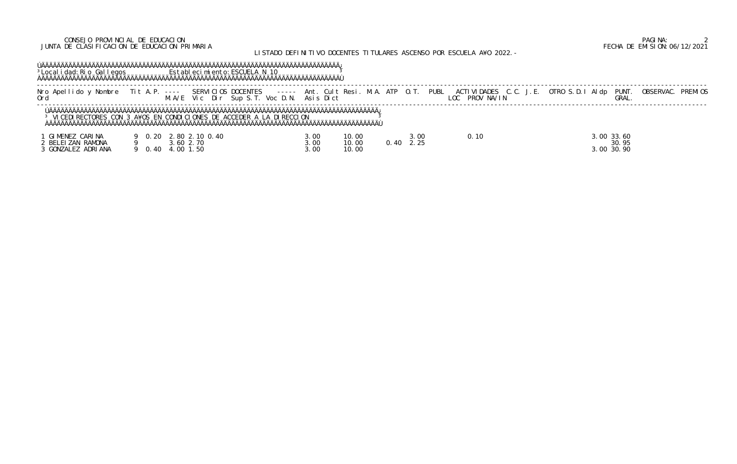## CONSEJO PROVINCIAL DE EDUCACION PAGINA: 2 JUNTA DE CLASIFICACION DE EDUCACION PRIMARIA FECHA DE EMISION:06/12/2021

# LISTADO DEFINITIVO DOCENTES TITULARES ASCENSO POR ESCUELA A¥O 2022.-

# ÚÄÄÄÄÄÄÄÄÄÄÄÄÄÄÄÄÄÄÄÄÄÄÄÄÄÄÄÄÄÄÄÄÄÄÄÄÄÄÄÄÄÄÄÄÄÄÄÄÄÄÄÄÄÄÄÄÄÄÄÄÄÄÄÄÄÄÄÄÄÄÄÄÄÄÄÄÄ¿ <sup>3</sup>Localidad:Rio Gallegos Establecimiento:ESCUELA N 10 <sup>3</sup> ÀÄÄÄÄÄÄÄÄÄÄÄÄÄÄÄÄÄÄÄÄÄÄÄÄÄÄÄÄÄÄÄÄÄÄÄÄÄÄÄÄÄÄÄÄÄÄÄÄÄÄÄÄÄÄÄÄÄÄÄÄÄÄÄÄÄÄÄÄÄÄÄÄÄÄÄÄÄÙ

 ----------------------------------------------------------------------------------------------------------------------------------------------------------------------------- Nro Apellido y Nombre Tit A.P. ---- SERVICIOS DOCENTES ----- Ant. Cult Resi. M.A. ATP O.T. PUBL ACTIVIDADES C.C. J.E. OTRO S.D.I Aldp PUNT. OBSERVAC. PREMIOS Ord M.A/E Vic Dir Sup S.T. Voc D.N. Asis Dict LOC PROV NA/IN GRAL. -----------------------------------------------------------------------------------------------------------------------------------------------------------------------------

| GIMENEZ CARINA               | 0.20 2.80 2.10 0.40 | 3.00 | 10.00         | 3.00 | 0. 10 | 3.00 33.60 |
|------------------------------|---------------------|------|---------------|------|-------|------------|
| <sup>2</sup> BELEIZAN RAMONA | 60 2.70             | 3.00 | 10.00<br>0.40 |      |       | 30.95      |
| GONZALEZ ADRIANA             | 4.00 1.50<br>0.40   | 3.00 | 10.00         |      |       | 3.00 30.90 |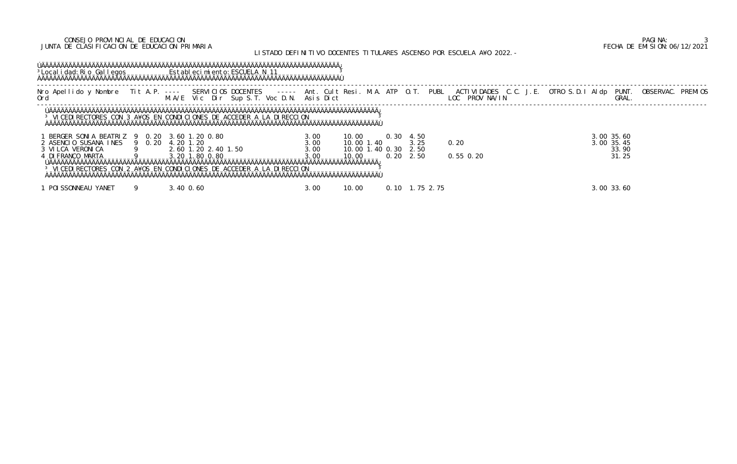## CONSEJO PROVINCIAL DE EDUCACION PAGINA: 3 JUNTA DE CLASIFICACION DE EDUCACION PRIMARIA FECHA DE EMISION:06/12/2021

| <sup>3</sup> Local i dad: Ri o Gal I egos                                                                    | Establecimiento: ESCUELA N 11                                                                     |                              |                                                 |              |                              |                                                                                                                                                                                                                  |                                            |                   |
|--------------------------------------------------------------------------------------------------------------|---------------------------------------------------------------------------------------------------|------------------------------|-------------------------------------------------|--------------|------------------------------|------------------------------------------------------------------------------------------------------------------------------------------------------------------------------------------------------------------|--------------------------------------------|-------------------|
|                                                                                                              |                                                                                                   |                              |                                                 |              |                              | Nro Apellido y Nombre Tit A.P. ---- SERVICIOS DOCENTES   ----- Ant. Cult Resi. M.A. ATP O.T. PUBL ACTIVIDADES C.C. J.E. OTRO S.D.I Aldp PUNT.<br>Ord                   M.A/E Vic Dir Sup S.T. Voc D.N. Asis Dict |                                            | OBSERVAC. PREMIOS |
|                                                                                                              | <sup>3</sup> VICEDIRECTORES CON 3 A¥OS EN CONDICIONES DE ACCEDER A LA DIRECCION                   |                              |                                                 |              |                              |                                                                                                                                                                                                                  |                                            |                   |
| BERGER SONIA BEATRIZ 9 0.20 3.60 1.20 0.80<br>2 ASENCIO SUSANA INES<br>3 VILCA VERONICA<br>4 DI FRANCO MARTA | 9 0.20 4.20 1.20<br>2.60 1.20 2.40 1.50<br>3.20 1.80 0.80                                         | 3.00<br>3.00<br>3.00<br>3.00 | 10.00<br>10.00 1.40<br>10.00 1.40 0.30<br>10.00 | 0.30<br>0.20 | 4.50<br>3.25<br>2.50<br>2.50 | 0.20<br>$0.55$ $0.20$                                                                                                                                                                                            | 3.00 35.60<br>3.00 35.45<br>33.90<br>31.25 |                   |
| <b>POI SSONNEAU YANET</b>                                                                                    | <sup>3</sup> VICEDIRECTORES CON 2 A¥OS EN CONDICIONES DE ACCEDER A LA DIRECCION<br>$3.40 \, 0.60$ | 3.00                         | 10.00                                           |              | $0.10 \quad 1.75 \quad 2.75$ |                                                                                                                                                                                                                  | 3.00 33.60                                 |                   |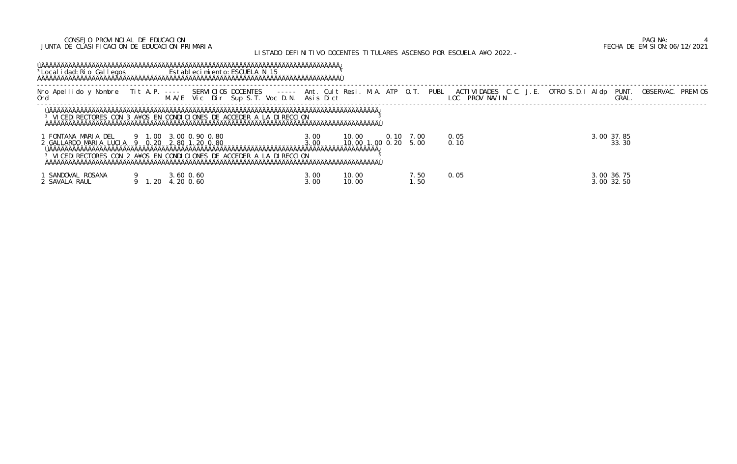## CONSEJO PROVINCIAL DE EDUCACION PAGINA: 4 JUNTA DE CLASIFICACION DE EDUCACION PRIMARIA FECHA DE EMISION:06/12/2021

|                                                                                         |                           | <sup>3</sup> VICEDIRECTORES CON 3 A¥OS EN CONDICIONES DE ACCEDER A LA DIRECCION |              |                               |              |              |                          |  |
|-----------------------------------------------------------------------------------------|---------------------------|---------------------------------------------------------------------------------|--------------|-------------------------------|--------------|--------------|--------------------------|--|
| FONTANA MARIA DEL 9 1.00 3.00 0.90 0.80<br>2 GALLARDO MARIA LUCIA 9 0.20 2.80 1.20 0.80 |                           | <sup>3</sup> VICEDIRECTORES CON 2 A¥OS EN CONDICIONES DE ACCEDER A LA DIRECCION | 3.00<br>3.00 | 10.00<br>10.00 1.00 0.20 5.00 | 0.10 7.00    | 0.05<br>0.10 | 3.00 37.85<br>33.30      |  |
| SANDOVAL ROSANA<br>2 SAVALA RAUL                                                        | 9 — 1<br>9 1.20 4.20 0.60 | 3.60 0.60                                                                       | 3.00<br>3.00 | 10.00<br>10.00                | 7.50<br>1.50 | 0.05         | 3.00 36.75<br>3.00 32.50 |  |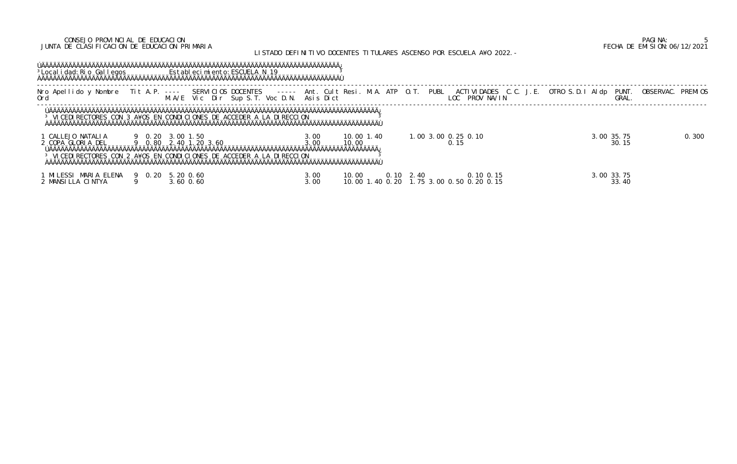## CONSEJO PROVINCIAL DE EDUCACION PAGINA: 5 JUNTA DE CLASIFICACION DE EDUCACION PRIMARIA FECHA DE EMISION:06/12/2021

| <sup>3</sup> Local i dad: Ri o Gal I egos | Establecimiento: ESCUELA N 19                                                                                                |                                                                                                                                                                                                                               |                                                     |                     |                          |
|-------------------------------------------|------------------------------------------------------------------------------------------------------------------------------|-------------------------------------------------------------------------------------------------------------------------------------------------------------------------------------------------------------------------------|-----------------------------------------------------|---------------------|--------------------------|
|                                           |                                                                                                                              | Nro Apellido y Nombre Tit A.P. ---- SERVICIOS DOCENTES ----- Ant. Cult Resi. M.A. ATP O.T. PUBL ACTIVIDADES C.C. J.E. OTRO S.D.I Aldp PUNT.<br>Ord                                  M.A/E Vic Dir Sup S.T. Voc D.N. Asis Dict |                                                     |                     | <b>OBSERVAC. PREMIOS</b> |
|                                           | <sup>3</sup> VICEDIRECTORES CON 3 A¥OS EN CONDICIONES DE ACCEDER A LA DIRECCION                                              |                                                                                                                                                                                                                               |                                                     |                     |                          |
| CALLEJO NATALIA<br>2 COPA GLORIA DEL      | 9 0.20 3.00 1.50<br>9 0.80 2.40 1.20 3.60<br><sup>3</sup> VICEDIRECTORES CON 2 A¥OS EN CONDICIONES DE ACCEDER A LA DIRECCION | 10,00 1,40<br>3.00<br>3.00<br>10.00                                                                                                                                                                                           | 1.00 3.00 0.25 0.10<br>0.15                         | 3,00 35,75<br>30.15 | 0.300                    |
| MILESSI MARIA ELENA<br>2 MANSILLA CINTYA  | 9 0.20 5.20 0.60<br>$3.60 \, 0.60$                                                                                           | 3.00<br>10.00<br>$0.10 \quad 2.40$<br>3.00<br>10.001                                                                                                                                                                          | $0.10 \, 0.15$<br>.40 0.20 1.75 3.00 0.50 0.20 0.15 | 3.00 33.75<br>33.40 |                          |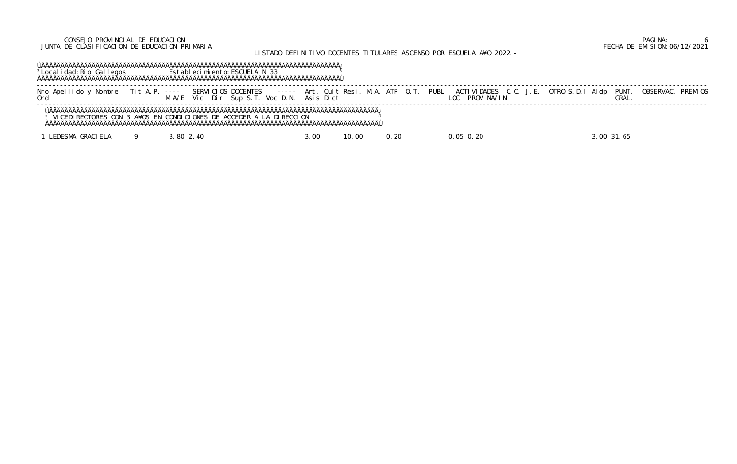## CONSEJO PROVINCIAL DE EDUCACION PAGINA: 6 JUNTA DE CLASIFICACION DE EDUCACION PRIMARIA FECHA DE EMISION:06/12/2021

# LISTADO DEFINITIVO DOCENTES TITULARES ASCENSO POR ESCUELA A¥O 2022.-

 ÚÄÄÄÄÄÄÄÄÄÄÄÄÄÄÄÄÄÄÄÄÄÄÄÄÄÄÄÄÄÄÄÄÄÄÄÄÄÄÄÄÄÄÄÄÄÄÄÄÄÄÄÄÄÄÄÄÄÄÄÄÄÄÄÄÄÄÄÄÄÄÄÄÄÄÄÄÄ¿ ³Localidad:Rio Gallegos Establecimiento:ESCUELA N 33 ³ ÀÄÄÄÄÄÄÄÄÄÄÄÄÄÄÄÄÄÄÄÄÄÄÄÄÄÄÄÄÄÄÄÄÄÄÄÄÄÄÄÄÄÄÄÄÄÄÄÄÄÄÄÄÄÄÄÄÄÄÄÄÄÄÄÄÄÄÄÄÄÄÄÄÄÄÄÄÄÙ

 ----------------------------------------------------------------------------------------------------------------------------------------------------------------------------- Nro Apellido y Nombre Tit A.P. ---- SERVICIOS DOCENTES ----- Ant. Cult Resi. M.A. ATP O.T. PUBL ACTIVIDADES C.C. J.E. OTRO S.D.I Aldp PUNT. OBSERVAC. PREMIOS Ord M.A/E Vic Dir Sup S.T. Voc D.N. Asis Dict LOC PROV NA/IN GRAL. -----------------------------------------------------------------------------------------------------------------------------------------------------------------------------

 ÚÄÄÄÄÄÄÄÄÄÄÄÄÄÄÄÄÄÄÄÄÄÄÄÄÄÄÄÄÄÄÄÄÄÄÄÄÄÄÄÄÄÄÄÄÄÄÄÄÄÄÄÄÄÄÄÄÄÄÄÄÄÄÄÄÄÄÄÄÄÄÄÄÄÄÄÄÄÄÄÄÄÄÄÄÄ¿ <sup>3</sup> VICEDIRECTORES CON 3 A¥OS EN CONDICIONES DE ACCEDER A LA DIRECCION <sup>3</sup> ÀÄÄÄÄÄÄÄÄÄÄÄÄÄÄÄÄÄÄÄÄÄÄÄÄÄÄÄÄÄÄÄÄÄÄÄÄÄÄÄÄÄÄÄÄÄÄÄÄÄÄÄÄÄÄÄÄÄÄÄÄÄÄÄÄÄÄÄÄÄÄÄÄÄÄÄÄÄÄÄÄÄÄÄÄÄÙ

1 LEDESMA GRACIELA 9 3.80 2.40 3.00 10.00 0.20 0.05 0.20 3.00 31.65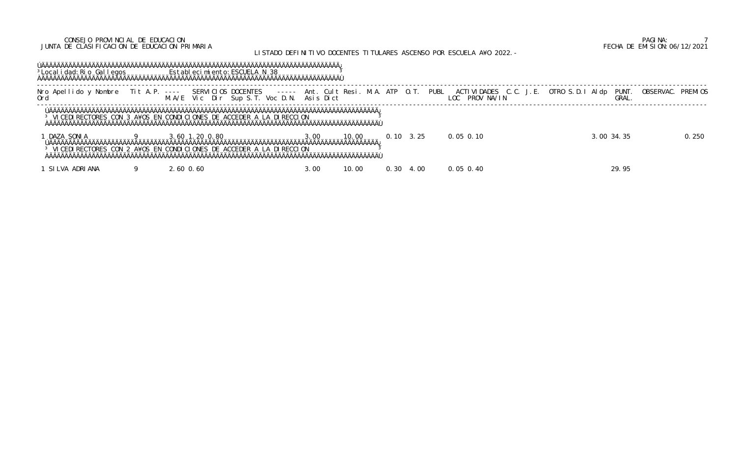## CONSEJO PROVINCIAL DE EDUCACION PAGINA: 7 JUNTA DE CLASIFICACION DE EDUCACION PRIMARIA FECHA DE EMISION:06/12/2021

# LISTADO DEFINITIVO DOCENTES TITULARES ASCENSO POR ESCUELA A¥O 2022. -

# ÚÄÄÄÄÄÄÄÄÄÄÄÄÄÄÄÄÄÄÄÄÄÄÄÄÄÄÄÄÄÄÄÄÄÄÄÄÄÄÄÄÄÄÄÄÄÄÄÄÄÄÄÄÄÄÄÄÄÄÄÄÄÄÄÄÄÄÄÄÄÄÄÄÄÄÄÄÄ¿ <sup>3</sup>Localidad:Rio Gallegos Establecimiento:ESCUELA N 38 <sup>3</sup> ÀÄÄÄÄÄÄÄÄÄÄÄÄÄÄÄÄÄÄÄÄÄÄÄÄÄÄÄÄÄÄÄÄÄÄÄÄÄÄÄÄÄÄÄÄÄÄÄÄÄÄÄÄÄÄÄÄÄÄÄÄÄÄÄÄÄÄÄÄÄÄÄÄÄÄÄÄÄÙ

 ----------------------------------------------------------------------------------------------------------------------------------------------------------------------------- Nro Apellido y Nombre Tit A.P. ---- SERVICIOS DOCENTES ----- Ant. Cult Resi. M.A. ATP O.T. PUBL ACTIVIDADES C.C. J.E. OTRO S.D.I Aldp PUNT. OBSERVAC. PREMIOS Ord M.A/E Vic Dir Sup S.T. Voc D.N. Asis Dict LOC PROV NA/IN GRAL. -----------------------------------------------------------------------------------------------------------------------------------------------------------------------------

 ÚÄÄÄÄÄÄÄÄÄÄÄÄÄÄÄÄÄÄÄÄÄÄÄÄÄÄÄÄÄÄÄÄÄÄÄÄÄÄÄÄÄÄÄÄÄÄÄÄÄÄÄÄÄÄÄÄÄÄÄÄÄÄÄÄÄÄÄÄÄÄÄÄÄÄÄÄÄÄÄÄÄÄÄÄÄ¿ <sup>3</sup> VICEDIRECTORES CON 3 A¥OS EN CONDICIONES DE ACCEDER A LA DIRECCION <sup>3</sup> ÀÄÄÄÄÄÄÄÄÄÄÄÄÄÄÄÄÄÄÄÄÄÄÄÄÄÄÄÄÄÄÄÄÄÄÄÄÄÄÄÄÄÄÄÄÄÄÄÄÄÄÄÄÄÄÄÄÄÄÄÄÄÄÄÄÄÄÄÄÄÄÄÄÄÄÄÄÄÄÄÄÄÄÄÄÄÙ

 1 DAZA SONIA 9 3.60 1.20 0.80 3.00 10.00 0.10 3.25 0.05 0.10 3.00 34.35 0.250 ÚÄÄÄÄÄÄÄÄÄÄÄÄÄÄÄÄÄÄÄÄÄÄÄÄÄÄÄÄÄÄÄÄÄÄÄÄÄÄÄÄÄÄÄÄÄÄÄÄÄÄÄÄÄÄÄÄÄÄÄÄÄÄÄÄÄÄÄÄÄÄÄÄÄÄÄÄÄÄÄÄÄÄÄÄÄ¿ <sup>3</sup> VICEDIRECTORES CON 2 A¥OS EN CONDICIONES DE ACCEDER A LA DIRECCION <sup>3</sup> ÀÄÄÄÄÄÄÄÄÄÄÄÄÄÄÄÄÄÄÄÄÄÄÄÄÄÄÄÄÄÄÄÄÄÄÄÄÄÄÄÄÄÄÄÄÄÄÄÄÄÄÄÄÄÄÄÄÄÄÄÄÄÄÄÄÄÄÄÄÄÄÄÄÄÄÄÄÄÄÄÄÄÄÄÄÄÙ

1 SILVA ADRIANA 9 2.60 0.60 3.00 10.00 0.30 4.00 0.05 0.40 29.95

| Т.   | PUBL |               | LOC PROV NA/IN |  |  |  | ACTIVIDADES C.C. J.E. OTRO S.D.I AIdp PUNT.<br>GRAL. | OBSERVAC. PREMI OS |       |
|------|------|---------------|----------------|--|--|--|------------------------------------------------------|--------------------|-------|
|      |      |               |                |  |  |  |                                                      |                    |       |
| . 25 |      | $0.05$ $0.10$ |                |  |  |  | 3.00 34.35                                           |                    | 0.250 |
| .00  |      | $0.05$ $0.40$ |                |  |  |  | 29.95                                                |                    |       |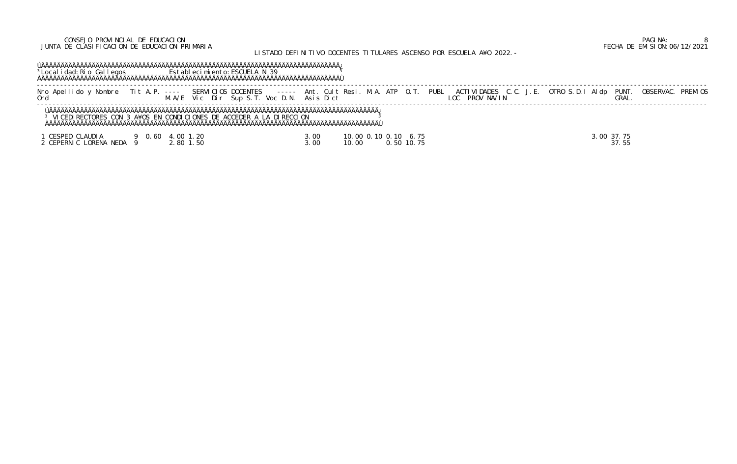## CONSEJO PROVINCIAL DE EDUCACION PAGINA: 8 JUNTA DE CLASIFICACION DE EDUCACION PRIMARIA FECHA DE EMISION:06/12/2021

# LISTADO DEFINITIVO DOCENTES TITULARES ASCENSO POR ESCUELA A¥O 2022.-

 ----------------------------------------------------------------------------------------------------------------------------------------------------------------------------- Nro Apellido y Nombre Tit A.P. ---- SERVICIOS DOCENTES ----- Ant. Cult Resi. M.A. ATP O.T. PUBL ACTIVIDADES C.C. J.E. OTRO S.D.I Aldp PUNT. OBSERVAC. PREMIOS Ord M.A/E Vic Dir Sup S.T. Voc D.N. Asis Dict LOC PROV NA/IN GRAL.

 ÚÄÄÄÄÄÄÄÄÄÄÄÄÄÄÄÄÄÄÄÄÄÄÄÄÄÄÄÄÄÄÄÄÄÄÄÄÄÄÄÄÄÄÄÄÄÄÄÄÄÄÄÄÄÄÄÄÄÄÄÄÄÄÄÄÄÄÄÄÄÄÄÄÄÄÄÄÄ¿ <sup>3</sup>Localidad:Rio Gallegos Establecimiento:ESCUELA N 39 <sup>3</sup> ÀÄÄÄÄÄÄÄÄÄÄÄÄÄÄÄÄÄÄÄÄÄÄÄÄÄÄÄÄÄÄÄÄÄÄÄÄÄÄÄÄÄÄÄÄÄÄÄÄÄÄÄÄÄÄÄÄÄÄÄÄÄÄÄÄÄÄÄÄÄÄÄÄÄÄÄÄÄÙ

| Nro Apellido y<br>Mombre | $I$ it A.P.<br>100 mm = 100 mm = 100<br>. A/E | SERVICIOS DOCENTES<br>Vic Dir Sup S.T. | . Voc D.N. Asis Dict | PUBL ACTIVIDADES C.C. J.E. OTRO S.D.I AI dp<br><b>PROV</b><br>NA/I N | <b>PREMIOS</b><br>PUNT.<br>OBSERVAC<br><b>GRAL</b> |  |
|--------------------------|-----------------------------------------------|----------------------------------------|----------------------|----------------------------------------------------------------------|----------------------------------------------------|--|
|                          |                                               |                                        |                      |                                                                      |                                                    |  |

| <b>AUDIA</b><br><b>CESPED</b>                | 0.60 | . 00 | 3.00 | 10.00<br>10 <sub>l</sub> | 0.10<br>0.75      | $\sim$ $\sim$ $\sim$ $\sim$<br>3.00<br><u>/L</u><br>31.15 |
|----------------------------------------------|------|------|------|--------------------------|-------------------|-----------------------------------------------------------|
| LORENA<br>$\angle$ CEPERNIC $\angle$<br>NEDA |      | 80   | 3.00 | 10.00                    | 10.<br>0.<br>h(1) | $ -$<br>$\sim$ $\sim$<br><b>55</b><br><u>JI.JJ</u>        |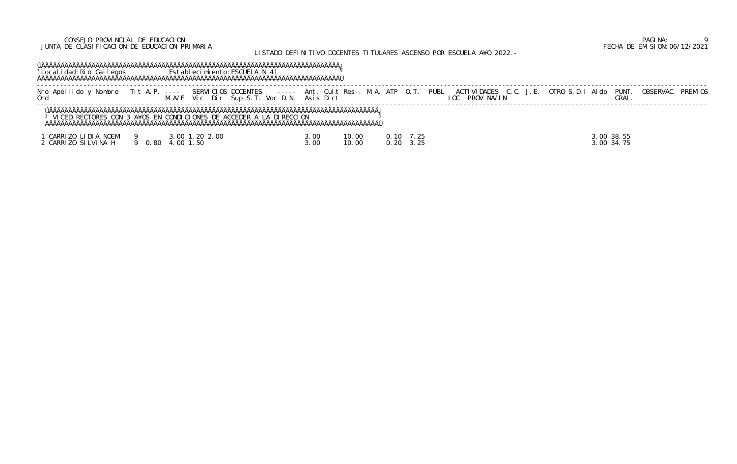## CONSEJO PROVINCIAL DE EDUCACION PAGINA: 9 JUNTA DE CLASIFICACION DE EDUCACION PRIMARIA FECHA DE EMISION:06/12/2021

# LISTADO DEFINITIVO DOCENTES TITULARES ASCENSO POR ESCUELA A¥O 2022.-

 ÚÄÄÄÄÄÄÄÄÄÄÄÄÄÄÄÄÄÄÄÄÄÄÄÄÄÄÄÄÄÄÄÄÄÄÄÄÄÄÄÄÄÄÄÄÄÄÄÄÄÄÄÄÄÄÄÄÄÄÄÄÄÄÄÄÄÄÄÄÄÄÄÄÄÄÄÄÄ¿ <sup>3</sup>Localidad:Rio Gallegos Establecimiento:ESCUELA N 41 <sup>3</sup> ÀÄÄÄÄÄÄÄÄÄÄÄÄÄÄÄÄÄÄÄÄÄÄÄÄÄÄÄÄÄÄÄÄÄÄÄÄÄÄÄÄÄÄÄÄÄÄÄÄÄÄÄÄÄÄÄÄÄÄÄÄÄÄÄÄÄÄÄÄÄÄÄÄÄÄÄÄÄÙ

 ----------------------------------------------------------------------------------------------------------------------------------------------------------------------------- Nro Apellido y Nombre Tit A.P. ---- SERVICIOS DOCENTES ----- Ant. Cult Resi. M.A. ATP O.T. PUBL ACTIVIDADES C.C. J.E. OTRO S.D.I Aldp PUNT. OBSERVAC. PREMIOS Ord M.A/E Vic Dir Sup S.T. Voc D.N. Asis Dict LOC PROV NA/IN GRAL. -----------------------------------------------------------------------------------------------------------------------------------------------------------------------------

| CARRI ZO<br><b>NOEMI</b><br>$\Box$ DI A |      | 00<br>20<br>. 00 | 3.00 | 10.00 | $\sim$ $\sim$ $\sim$<br><sup>n</sup><br>10<br>U.<br>. ∠J | 38.55<br>3.00       |
|-----------------------------------------|------|------------------|------|-------|----------------------------------------------------------|---------------------|
| CARRIZO SILVINA.                        | 0.80 | 00 <sub>1</sub>  | 3.00 | 10.00 | $\cap$<br><b>11</b><br><u>U. ZI</u><br>. J. ZJ           | フト<br>34.75<br>3.00 |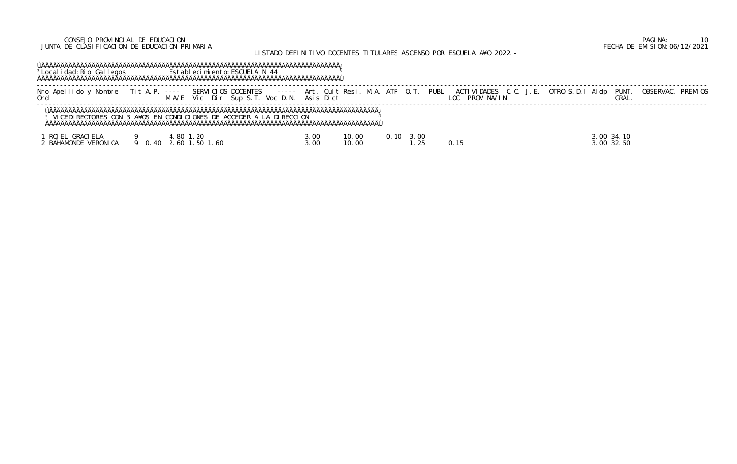## CONSEJO PROVINCIAL DE EDUCACION PAGINA: 10 JUNTA DE CLASIFICACION DE EDUCACION PRIMARIA FECHA DE EMISION:06/12/2021

# LISTADO DEFINITIVO DOCENTES TITULARES ASCENSO POR ESCUELA A¥O 2022.-

 ÚÄÄÄÄÄÄÄÄÄÄÄÄÄÄÄÄÄÄÄÄÄÄÄÄÄÄÄÄÄÄÄÄÄÄÄÄÄÄÄÄÄÄÄÄÄÄÄÄÄÄÄÄÄÄÄÄÄÄÄÄÄÄÄÄÄÄÄÄÄÄÄÄÄÄÄÄÄ¿ <sup>3</sup>Localidad:Rio Gallegos Establecimiento:ESCUELA N 44 <sup>3</sup> ÀÄÄÄÄÄÄÄÄÄÄÄÄÄÄÄÄÄÄÄÄÄÄÄÄÄÄÄÄÄÄÄÄÄÄÄÄÄÄÄÄÄÄÄÄÄÄÄÄÄÄÄÄÄÄÄÄÄÄÄÄÄÄÄÄÄÄÄÄÄÄÄÄÄÄÄÄÄÙ

 ----------------------------------------------------------------------------------------------------------------------------------------------------------------------------- Nro Apellido y Nombre Tit A.P. ---- SERVICIOS DOCENTES ----- Ant. Cult Resi. M.A. ATP O.T. PUBL ACTIVIDADES C.C. J.E. OTRO S.D.I Aldp PUNT. OBSERVAC. PREMIOS Ord M.A/E Vic Dir Sup S.T. Voc D.N. Asis Dict LOC PROV NA/IN GRAL. -----------------------------------------------------------------------------------------------------------------------------------------------------------------------------

| <b>GRACI F</b><br><b>ROJEI</b>           |                | 80               | $\cap$<br>J. UL | 00<br>IU.            | O(<br>I (<br><b>A</b>   | ' (),<br>- 1 O<br>.54.                       |
|------------------------------------------|----------------|------------------|-----------------|----------------------|-------------------------|----------------------------------------------|
| $\sqrt{2}$<br><b>BAHAMONDE</b><br>UNI CA | $\sim$<br>- 40 | 60<br>. 60<br>50 | ററ<br>J. UL     | $\sim$<br>UU.<br>IV. | $\sim$ $\sim$<br>$\sim$ | $\sim$ $\sim$<br>-01<br><b>12.1</b><br>. ع ت |

| .00  |      | 3.00 34.10 |  |
|------|------|------------|--|
| . 25 | 0.15 | 3.00 32.50 |  |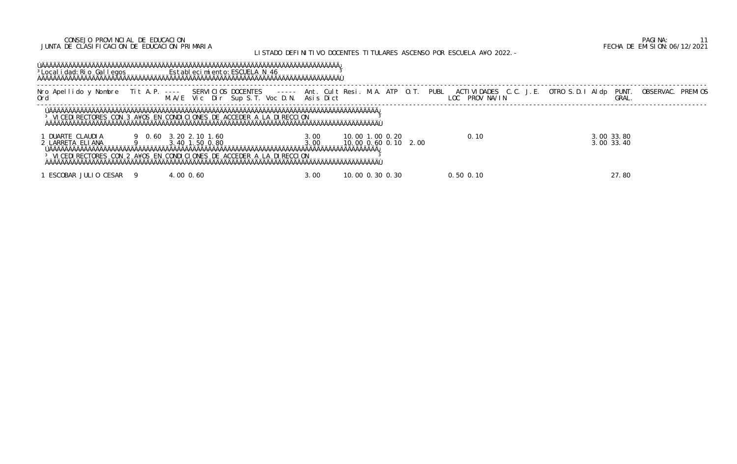## CONSEJO PROVINCIAL DE EDUCACION PAGINA: 11 JUNTA DE CLASIFICACION DE EDUCACION PRIMARIA FECHA DE EMISION:06/12/2021

# LISTADO DEFINITIVO DOCENTES TITULARES ASCENSO POR ESCUELA A¥O 2022.-

 ----------------------------------------------------------------------------------------------------------------------------------------------------------------------------- T. PUBL ACTIVIDADES C.C. J.E. OTRO S.D.I AIdp PUNT. OBSERVAC. PREMIOS LOC PROV NA/IN GRAL. -----------------------------------------------------------------------------------------------------------------------------------------------------------------------------

| <sup>3</sup> Localidad: Rio Gallegos Establecimiento: ESCUELA N 46                                                                                                                                 |                                         |              |                                         |  |                                                         |                          |  |
|----------------------------------------------------------------------------------------------------------------------------------------------------------------------------------------------------|-----------------------------------------|--------------|-----------------------------------------|--|---------------------------------------------------------|--------------------------|--|
| Nro Apellido y Nombre   Tit A.P. ----   SERVICIOS DOCENTES   -----   Ant. Cult Resi. M.A. ATP  0.T.  PUBL<br>Ord                            M.A/E   Vic   Dir  Sup S.T. Voc D.N.   Asis Dict       |                                         |              |                                         |  | ACTIVIDADES C.C. J.E. OTRO S.D.I AIdp<br>LOC PROV NA/IN | PUNT.<br><b>GRAL</b>     |  |
| <sup>3</sup> VICEDI RECTORES CON 3 A¥OS EN CONDICIONES DE ACCEDER A LA DIRECCION<br>للمستقاد المستقادة المستقدم المستقدم المستقدم المستقدم المستقدم المستقدم المستقدم المستقدم المستقدم المستقدم ا |                                         |              |                                         |  |                                                         |                          |  |
| DUARTE CLAUDIA<br>2 LARRETA ELIANA<br><sup>3</sup> VICEDIRECTORES CON 2 A¥OS EN CONDICIONES DE ACCEDER A LA DIRECCION                                                                              | 9 0.60 3.20 2.10 1.60<br>3.40 1.50 0.80 | 3.00<br>3.00 | 10.00 1.00 0.20<br>10.00 0.60 0.10 2.00 |  | 0.10                                                    | 3.00 33.80<br>3.00 33.40 |  |
| ESCOBAR JULIO CESAR                                                                                                                                                                                | 4,00 0,60                               | 3.00         | 10.00 0.30 0.30                         |  | $0.50$ $0.10$                                           | 27.80                    |  |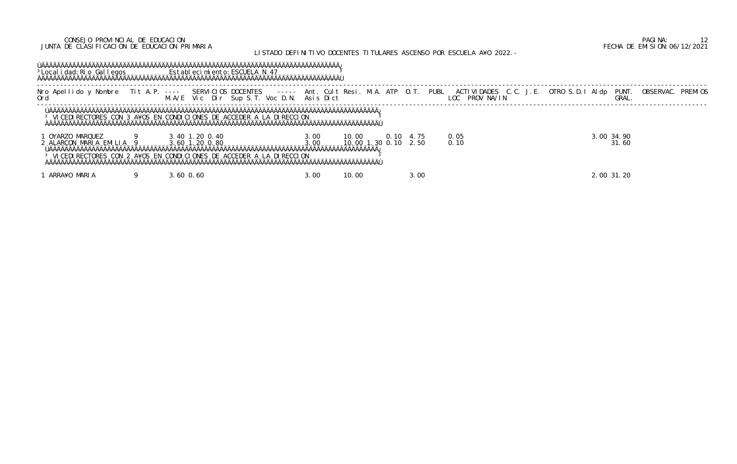## CONSEJO PROVINCIAL DE EDUCACION PAGINA: 12 JUNTA DE CLASIFICACION DE EDUCACION PRIMARIA FECHA DE EMISION:06/12/2021

| <sup>3</sup> Local i dad: Ri o Gal I egos                                                                                     |               | Establecimiento: ESCUELA N 47    |  |              |       |                          |      |      |                                                                                                                                                                                                               |                      |                   |
|-------------------------------------------------------------------------------------------------------------------------------|---------------|----------------------------------|--|--------------|-------|--------------------------|------|------|---------------------------------------------------------------------------------------------------------------------------------------------------------------------------------------------------------------|----------------------|-------------------|
|                                                                                                                               |               |                                  |  |              |       |                          |      |      | Nro Apellido y Nombre Tit A.P. ---- SERVICIOS DOCENTES   ----- Ant. Cult Resi. M.A. ATP O.T. PUBL ACTIVIDADES C.C. J.E. OTRO S.D.I Aldp<br>Ord                      M.A/E Vic Dir Sup S.T. Voc D.N. Asis Dict | PUNT.<br><b>GRAL</b> | OBSERVAC. PREMIOS |
| <sup>3</sup> VICEDIRECTORES CON 3 A¥OS EN CONDICIONES DE ACCEDER A LA DIRECCION                                               |               |                                  |  |              |       |                          |      |      |                                                                                                                                                                                                               |                      |                   |
| OYARZO MARQUEZ<br>2 ALARCON MARIA EMILIA 9<br><sup>3</sup> VICEDIRECTORES CON 2 A¥OS EN CONDICIONES DE ACCEDER A LA DIRECCION |               | 3.40 1.20 0.40<br>3.60 1.20 0.80 |  | 3.00<br>3.00 | 10.00 | 10, 00 1, 30 0, 10 2, 50 | 0.10 | 4.75 | 0.05<br>0.10                                                                                                                                                                                                  | 3.00 34.90<br>31.60  |                   |
| ARRA¥O MARIA                                                                                                                  | $3.60$ $0.60$ |                                  |  | 3.00         | 10.00 |                          |      | 3.00 |                                                                                                                                                                                                               | 2.00 31.20           |                   |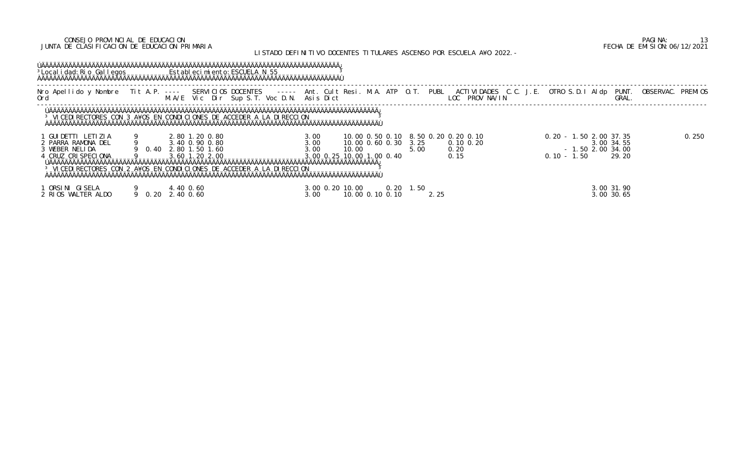## CONSEJO PROVINCIAL DE EDUCACION PAGINA: 13 JUNTA DE CLASIFICACION DE EDUCACION PRIMARIA FECHA DE EMISION:06/12/2021

| <sup>3</sup> Local i dad: Ri o Gal I egos                                         |                               | Establecimiento: ESCUELA N 55                                                                                                         |                                                                               |                                                                                                                                                         |                                                                                        |                         |
|-----------------------------------------------------------------------------------|-------------------------------|---------------------------------------------------------------------------------------------------------------------------------------|-------------------------------------------------------------------------------|---------------------------------------------------------------------------------------------------------------------------------------------------------|----------------------------------------------------------------------------------------|-------------------------|
| Ord                                                                               |                               | M.A/E Vic Dir Sup S.T. Voc D.N. Asis Dict                                                                                             |                                                                               | Nro Apellido y Nombre Tit A.P. ---- SERVICIOS DOCENTES ----- Ant. Cult Resi. M.A. ATP O.T. PUBL ACTIVIDADES C.C. J.E. OTRO S.D.I Aldp<br>LOC PROV NA/IN | GRAL.                                                                                  | PUNT. OBSERVAC. PREMIOS |
|                                                                                   |                               | <sup>3</sup> VICEDIRECTORES CON 3 A¥OS EN CONDICIONES DE ACCEDER A LA DIRECCION                                                       |                                                                               |                                                                                                                                                         |                                                                                        |                         |
| GUI DETTI LETI ZI A<br>2 PARRA RAMONA DEL<br>3 WEBER NELLDA<br>4 CRUZ CRISPECIONA | 9 0.40 2.80 1.50 1.60<br>9    | 2.80 1.20 0.80<br>3.40 0.90 0.80<br>3.60 1.20 2.00<br><sup>3</sup> VICEDIRECTORES CON 2 A¥OS EN CONDICIONES DE ACCEDER A LA DIRECCION | 3.00<br>3.00<br>10.00 0.60 0.30<br>3.00<br>10.00<br>3.00 0.25 10.00 1.00 0.40 | 10.00 0.50 0.10 8.50 0.20 0.20 0.10<br>3.25<br>$0.10 \, 0.20$<br>5.00<br>0.20<br>0.15                                                                   | $0.20 - 1.50$ 2.00 37.35<br>3.00 34.55<br>$-1.50$ 2.00 34.00<br>$0.10 - 1.50$<br>29.20 | 0. 250                  |
| ORSINI GISELA<br>2 RIOS WALTER ALDO                                               | 4.40 0.60<br>9 0.20 2.40 0.60 |                                                                                                                                       | 3.00 0.20 10.00<br>$0.20$ 1.50<br>3.00<br>10.00 0.10 0.10                     | 2.25                                                                                                                                                    | 3.00 31.90<br>3.00 30.65                                                               |                         |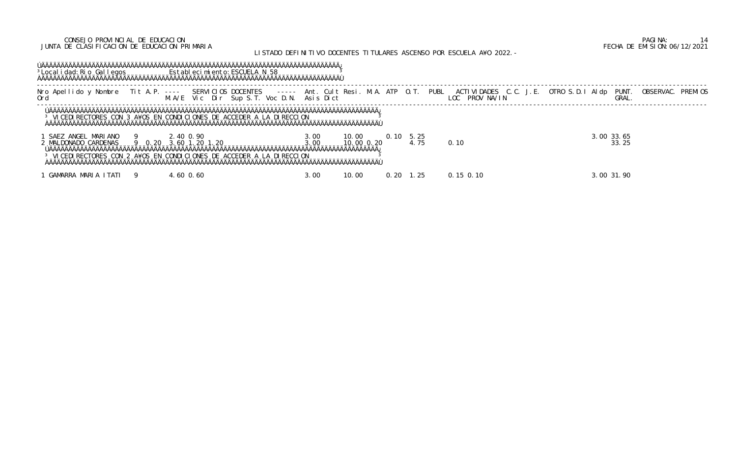## CONSEJO PROVINCIAL DE EDUCACION PAGINA: 14 JUNTA DE CLASIFICACION DE EDUCACION PRIMARIA FECHA DE EMISION:06/12/2021

| <sup>3</sup> Local i dad: Ri o Gal I egos                                                                                                                                                                                                                | Establecimiento: ESCUELA N 58      |                                           |              |                          |      |              |                                             |                                |                    |
|----------------------------------------------------------------------------------------------------------------------------------------------------------------------------------------------------------------------------------------------------------|------------------------------------|-------------------------------------------|--------------|--------------------------|------|--------------|---------------------------------------------|--------------------------------|--------------------|
| Nro Apellido y Nombre Tit A.P. ---- SERVICIOS DOCENTES ----- Ant. Cult Resi. M.A. ATP O.T. PUBL<br>Ord                                                                                                                                                   |                                    | M.A/E Vic Dir Sup S.T. Voc D.N. Asis Dict |              |                          |      |              | ACTI VI DADES C. C. J. E.<br>LOC PROV NA/IN | OTRO S.D.I AIdp PUNT.<br>GRAL. | OBSERVAC. PREMI OS |
| <sup>3</sup> VICEDIRECTORES CON 3 A¥OS EN CONDICIONES DE ACCEDER A LA DIRECCION                                                                                                                                                                          |                                    |                                           |              |                          |      |              |                                             |                                |                    |
| SAEZ ANGEL MARIANO<br>2 MALDONADO CARDENAS<br><i>ز</i> ة مەممەنىيەت ئەسىم ئەسىم ئەسىم ئەسىم ئەسىم ئەسىم ئەسىم ئەسىم ئەسىم ئەسىم ئەسىم ئەسىم ئەسىم ئەسىم ئەسىم ئەسىم ئ<br><sup>3</sup> VICEDIRECTORES CON 2 A¥OS EN CONDICIONES DE ACCEDER A LA DIRECCION | 2.40 0.90<br>9 0.20 3.60 1.20 1.20 |                                           | 3.00<br>3.00 | 10.00<br>$10.00 \, 0.20$ | 0.10 | 5.25<br>4.75 | 0.10                                        | 3.00 33.65<br>33.25            |                    |
| GAMARRA MARIA ITATI                                                                                                                                                                                                                                      | 4.60 0.60                          |                                           | 3.00         | 10.00                    |      | $0.20$ 1.25  | $0.15$ $0.10$                               | 3.00 31.90                     |                    |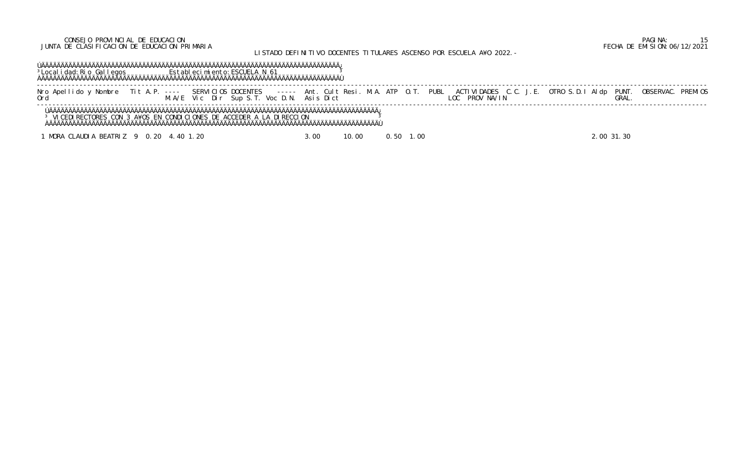## CONSEJO PROVINCIAL DE EDUCACION PAGINA: 15 JUNTA DE CLASIFICACION DE EDUCACION PRIMARIA FECHA DE EMISION:06/12/2021

# LISTADO DEFINITIVO DOCENTES TITULARES ASCENSO POR ESCUELA A¥O 2022.-

 ÚÄÄÄÄÄÄÄÄÄÄÄÄÄÄÄÄÄÄÄÄÄÄÄÄÄÄÄÄÄÄÄÄÄÄÄÄÄÄÄÄÄÄÄÄÄÄÄÄÄÄÄÄÄÄÄÄÄÄÄÄÄÄÄÄÄÄÄÄÄÄÄÄÄÄÄÄÄ¿ <sup>3</sup>Localidad:Rio Gallegos Establecimiento:ESCUELA N 61 <sup>3</sup> ÀÄÄÄÄÄÄÄÄÄÄÄÄÄÄÄÄÄÄÄÄÄÄÄÄÄÄÄÄÄÄÄÄÄÄÄÄÄÄÄÄÄÄÄÄÄÄÄÄÄÄÄÄÄÄÄÄÄÄÄÄÄÄÄÄÄÄÄÄÄÄÄÄÄÄÄÄÄÙ

 ----------------------------------------------------------------------------------------------------------------------------------------------------------------------------- Nro Apellido y Nombre Tit A.P. ---- SERVICIOS DOCENTES ----- Ant. Cult Resi. M.A. ATP O.T. PUBL ACTIVIDADES C.C. J.E. OTRO S.D.I Aldp PUNT. OBSERVAC. PREMIOS Ord M.A/E Vic Dir Sup S.T. Voc D.N. Asis Dict LOC PROV NA/IN GRAL. -----------------------------------------------------------------------------------------------------------------------------------------------------------------------------

 ÚÄÄÄÄÄÄÄÄÄÄÄÄÄÄÄÄÄÄÄÄÄÄÄÄÄÄÄÄÄÄÄÄÄÄÄÄÄÄÄÄÄÄÄÄÄÄÄÄÄÄÄÄÄÄÄÄÄÄÄÄÄÄÄÄÄÄÄÄÄÄÄÄÄÄÄÄÄÄÄÄÄÄÄÄÄ¿ <sup>3</sup> VICEDIRECTORES CON 3 A¥OS EN CONDICIONES DE ACCEDER A LA DIRECCION <sup>3</sup> ÀÄÄÄÄÄÄÄÄÄÄÄÄÄÄÄÄÄÄÄÄÄÄÄÄÄÄÄÄÄÄÄÄÄÄÄÄÄÄÄÄÄÄÄÄÄÄÄÄÄÄÄÄÄÄÄÄÄÄÄÄÄÄÄÄÄÄÄÄÄÄÄÄÄÄÄÄÄÄÄÄÄÄÄÄÄÙ

1 MORA CLAUDIA BEATRIZ 9 0.20 4.40 1.20 3.00 10.00 0.50 1.00 2.00 31.30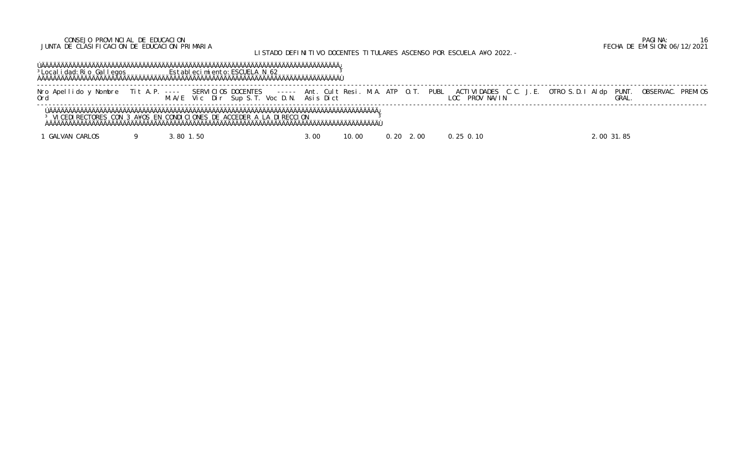## CONSEJO PROVINCIAL DE EDUCACION PAGINA: 16 JUNTA DE CLASIFICACION DE EDUCACION PRIMARIA FECHA DE EMISION:06/12/2021

# LISTADO DEFINITIVO DOCENTES TITULARES ASCENSO POR ESCUELA A¥O 2022.-

 ÚÄÄÄÄÄÄÄÄÄÄÄÄÄÄÄÄÄÄÄÄÄÄÄÄÄÄÄÄÄÄÄÄÄÄÄÄÄÄÄÄÄÄÄÄÄÄÄÄÄÄÄÄÄÄÄÄÄÄÄÄÄÄÄÄÄÄÄÄÄÄÄÄÄÄÄÄÄ¿ <sup>3</sup>Localidad:Rio Gallegos Establecimiento:ESCUELA N 62 <sup>3</sup> ÀÄÄÄÄÄÄÄÄÄÄÄÄÄÄÄÄÄÄÄÄÄÄÄÄÄÄÄÄÄÄÄÄÄÄÄÄÄÄÄÄÄÄÄÄÄÄÄÄÄÄÄÄÄÄÄÄÄÄÄÄÄÄÄÄÄÄÄÄÄÄÄÄÄÄÄÄÄÙ

 ----------------------------------------------------------------------------------------------------------------------------------------------------------------------------- Nro Apellido y Nombre Tit A.P. ---- SERVICIOS DOCENTES ----- Ant. Cult Resi. M.A. ATP O.T. PUBL ACTIVIDADES C.C. J.E. OTRO S.D.I Aldp PUNT. OBSERVAC. PREMIOS Ord M.A/E Vic Dir Sup S.T. Voc D.N. Asis Dict LOC PROV NA/IN GRAL. -----------------------------------------------------------------------------------------------------------------------------------------------------------------------------

 ÚÄÄÄÄÄÄÄÄÄÄÄÄÄÄÄÄÄÄÄÄÄÄÄÄÄÄÄÄÄÄÄÄÄÄÄÄÄÄÄÄÄÄÄÄÄÄÄÄÄÄÄÄÄÄÄÄÄÄÄÄÄÄÄÄÄÄÄÄÄÄÄÄÄÄÄÄÄÄÄÄÄÄÄÄÄ¿ <sup>3</sup> VICEDIRECTORES CON 3 A¥OS EN CONDICIONES DE ACCEDER A LA DIRECCION <sup>3</sup> ÀÄÄÄÄÄÄÄÄÄÄÄÄÄÄÄÄÄÄÄÄÄÄÄÄÄÄÄÄÄÄÄÄÄÄÄÄÄÄÄÄÄÄÄÄÄÄÄÄÄÄÄÄÄÄÄÄÄÄÄÄÄÄÄÄÄÄÄÄÄÄÄÄÄÄÄÄÄÄÄÄÄÄÄÄÄÙ

1 GALVAN CARLOS 9 3.80 1.50 3.00 10.00 0.20 2.00 0.25 0.10 2.00 31.85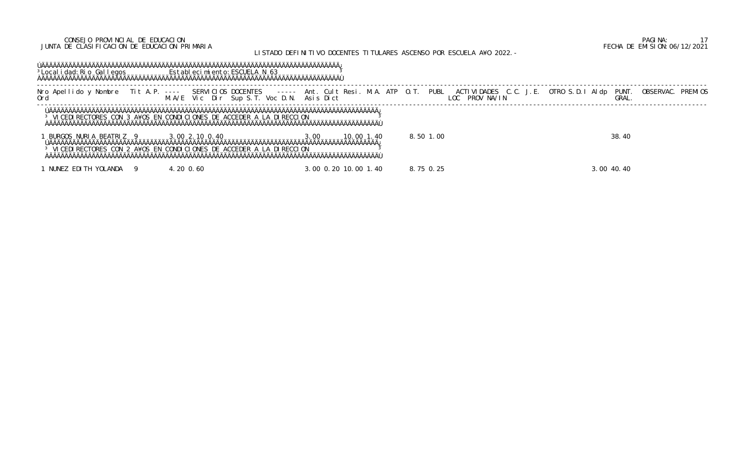## CONSEJO PROVINCIAL DE EDUCACION PAGINA: 17 JUNTA DE CLASIFICACION DE EDUCACION PRIMARIA FECHA DE EMISION:06/12/2021

# LISTADO DEFINITIVO DOCENTES TITULARES ASCENSO POR ESCUELA A¥O 2022.-

# ÚÄÄÄÄÄÄÄÄÄÄÄÄÄÄÄÄÄÄÄÄÄÄÄÄÄÄÄÄÄÄÄÄÄÄÄÄÄÄÄÄÄÄÄÄÄÄÄÄÄÄÄÄÄÄÄÄÄÄÄÄÄÄÄÄÄÄÄÄÄÄÄÄÄÄÄÄÄ¿ <sup>3</sup>Localidad:Rio Gallegos Establecimiento:ESCUELA N 63 <sup>3</sup> ÀÄÄÄÄÄÄÄÄÄÄÄÄÄÄÄÄÄÄÄÄÄÄÄÄÄÄÄÄÄÄÄÄÄÄÄÄÄÄÄÄÄÄÄÄÄÄÄÄÄÄÄÄÄÄÄÄÄÄÄÄÄÄÄÄÄÄÄÄÄÄÄÄÄÄÄÄÄÙ

 ----------------------------------------------------------------------------------------------------------------------------------------------------------------------------- Nro Apellido y Nombre Tit A.P. ---- SERVICIOS DOCENTES ----- Ant. Cult Resi. M.A. ATP O.T. PUBL ACTIVIDADES C.C. J.E. OTRO S.D.I Aldp PUNT. OBSERVAC. PREMIOS Ord M.A/E Vic Dir Sup S.T. Voc D.N. Asis Dict LOC PROV NA/IN GRAL. -----------------------------------------------------------------------------------------------------------------------------------------------------------------------------

 ÚÄÄÄÄÄÄÄÄÄÄÄÄÄÄÄÄÄÄÄÄÄÄÄÄÄÄÄÄÄÄÄÄÄÄÄÄÄÄÄÄÄÄÄÄÄÄÄÄÄÄÄÄÄÄÄÄÄÄÄÄÄÄÄÄÄÄÄÄÄÄÄÄÄÄÄÄÄÄÄÄÄÄÄÄÄ¿ <sup>3</sup> VICEDIRECTORES CON 3 A¥OS EN CONDICIONES DE ACCEDER A LA DIRECCION <sup>3</sup> ÀÄÄÄÄÄÄÄÄÄÄÄÄÄÄÄÄÄÄÄÄÄÄÄÄÄÄÄÄÄÄÄÄÄÄÄÄÄÄÄÄÄÄÄÄÄÄÄÄÄÄÄÄÄÄÄÄÄÄÄÄÄÄÄÄÄÄÄÄÄÄÄÄÄÄÄÄÄÄÄÄÄÄÄÄÄÙ

 1 BURGOS NURIA BEATRIZ 9 3.00 2.10 0.40 3.00 10.00 1.40 8.50 1.00 38.40 ÚÄÄÄÄÄÄÄÄÄÄÄÄÄÄÄÄÄÄÄÄÄÄÄÄÄÄÄÄÄÄÄÄÄÄÄÄÄÄÄÄÄÄÄÄÄÄÄÄÄÄÄÄÄÄÄÄÄÄÄÄÄÄÄÄÄÄÄÄÄÄÄÄÄÄÄÄÄÄÄÄÄÄÄÄÄ¿ <sup>3</sup> VICEDIRECTORES CON 2 A¥OS EN CONDICIONES DE ACCEDER A LA DIRECCION ÀÄÄÄÄÄÄÄÄÄÄÄÄÄÄÄÄÄÄÄÄÄÄÄÄÄÄÄÄÄÄÄÄÄÄÄÄÄÄÄÄÄÄÄÄÄÄÄÄÄÄÄÄÄÄÄÄÄÄÄÄÄÄÄÄÄÄÄÄÄÄÄÄÄÄÄÄÄÄÄÄÄÄÄÄÄÙ

1 NUNEZ EDITH YOLANDA 9 4.20 0.60 3.00 0.20 10.00 1.40 8.75 0.25 3.00 40.40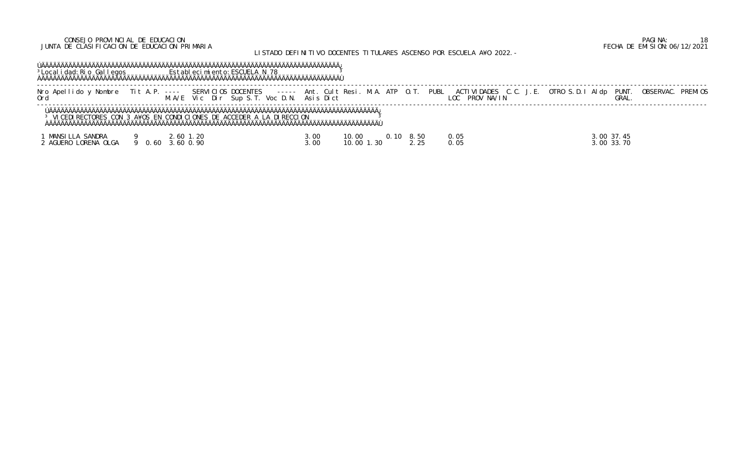## CONSEJO PROVINCIAL DE EDUCACION PAGINA: 18 JUNTA DE CLASIFICACION DE EDUCACION PRIMARIA FECHA DE EMISION:06/12/2021

# LISTADO DEFINITIVO DOCENTES TITULARES ASCENSO POR ESCUELA A¥O 2022.-

 ----------------------------------------------------------------------------------------------------------------------------------------------------------------------------- Nro Apellido y Nombre Tit A.P. ---- SERVICIOS DOCENTES ----- Ant. Cult Resi. M.A. ATP O.T. PUBL ACTIVIDADES C.C. J.E. OTRO S.D.I Aldp PUNT. OBSERVAC. PREMIOS Ord M.A/E Vic Dir Sup S.T. Voc D.N. Asis Dict LOC PROV NA/IN GRAL.

 ÚÄÄÄÄÄÄÄÄÄÄÄÄÄÄÄÄÄÄÄÄÄÄÄÄÄÄÄÄÄÄÄÄÄÄÄÄÄÄÄÄÄÄÄÄÄÄÄÄÄÄÄÄÄÄÄÄÄÄÄÄÄÄÄÄÄÄÄÄÄÄÄÄÄÄÄÄÄ¿ <sup>3</sup>Localidad:Rio Gallegos Establecimiento:ESCUELA N 78 <sup>3</sup> ÀÄÄÄÄÄÄÄÄÄÄÄÄÄÄÄÄÄÄÄÄÄÄÄÄÄÄÄÄÄÄÄÄÄÄÄÄÄÄÄÄÄÄÄÄÄÄÄÄÄÄÄÄÄÄÄÄÄÄÄÄÄÄÄÄÄÄÄÄÄÄÄÄÄÄÄÄÄÙ

| Nro Apel | _ _ _ _ _ | SERVICIOS DOCENTES                 | Resi<br>Ant | M.A.<br>ATP | PUBL<br>ACTI VI DADES C.C. | <b>PUNT</b><br>OTRO S.D.<br>AI do | <b>OBSERVA</b> |
|----------|-----------|------------------------------------|-------------|-------------|----------------------------|-----------------------------------|----------------|
|          | . A/F     | Voc l<br>Sup S.T<br>Vic Dir<br>DN. | Asis Dict   |             | NA/IN<br><b>PROV</b>       | GRAL                              |                |
|          |           |                                    |             |             |                            |                                   |                |
|          |           |                                    |             |             |                            |                                   |                |

| . 50            | 0.05 | 3.00 37.45 |  |
|-----------------|------|------------|--|
| $.25 \t\t 0.05$ |      | 3.00 33.70 |  |

| SANDRA<br><b>MANSI</b><br>IА                                     |      | 60          | ററ<br>J. UL | 10.00<br>U.     | -50<br>10<br>Ω.             | ု ပ၁ | $\sim$ $\sim$<br>3.00<br>45<br>. ، ا ل |
|------------------------------------------------------------------|------|-------------|-------------|-----------------|-----------------------------|------|----------------------------------------|
| LORENA<br><b>AGUERO</b><br>$\bigcap$ $\bigcap$ $\bigcap$<br>JLGA | . 60 | 7.9c<br>-60 | ററ<br>J. UL | 10.<br>30<br>OO | $\sim$ $\sim$<br>$\cdot$ 20 | . UJ | 33 70<br>3. OO<br>. പ.                 |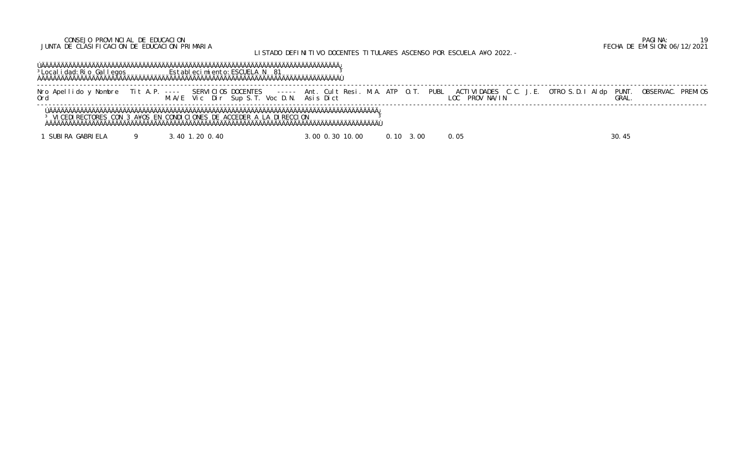### CONSEJO PROVINCIAL DE EDUCACION PAGINA: 19 JUNTA DE CLASIFICACION DE EDUCACION PRIMARIA FECHA DE EMISION:06/12/2021

## LISTADO DEFINITIVO DOCENTES TITULARES ASCENSO POR ESCUELA A¥O 2022.-

 ÚÄÄÄÄÄÄÄÄÄÄÄÄÄÄÄÄÄÄÄÄÄÄÄÄÄÄÄÄÄÄÄÄÄÄÄÄÄÄÄÄÄÄÄÄÄÄÄÄÄÄÄÄÄÄÄÄÄÄÄÄÄÄÄÄÄÄÄÄÄÄÄÄÄÄÄÄÄ¿ <sup>3</sup>Localidad:Rio Gallegos Establecimiento:ESCUELA N 81 <sup>3</sup> ÀÄÄÄÄÄÄÄÄÄÄÄÄÄÄÄÄÄÄÄÄÄÄÄÄÄÄÄÄÄÄÄÄÄÄÄÄÄÄÄÄÄÄÄÄÄÄÄÄÄÄÄÄÄÄÄÄÄÄÄÄÄÄÄÄÄÄÄÄÄÄÄÄÄÄÄÄÄÙ

 ----------------------------------------------------------------------------------------------------------------------------------------------------------------------------- Nro Apellido y Nombre Tit A.P. ---- SERVICIOS DOCENTES ----- Ant. Cult Resi. M.A. ATP O.T. PUBL ACTIVIDADES C.C. J.E. OTRO S.D.I Aldp PUNT. OBSERVAC. PREMIOS Ord M.A/E Vic Dir Sup S.T. Voc D.N. Asis Dict LOC PROV NA/IN GRAL. -----------------------------------------------------------------------------------------------------------------------------------------------------------------------------

 ÚÄÄÄÄÄÄÄÄÄÄÄÄÄÄÄÄÄÄÄÄÄÄÄÄÄÄÄÄÄÄÄÄÄÄÄÄÄÄÄÄÄÄÄÄÄÄÄÄÄÄÄÄÄÄÄÄÄÄÄÄÄÄÄÄÄÄÄÄÄÄÄÄÄÄÄÄÄÄÄÄÄÄÄÄÄ¿ <sup>3</sup> VICEDIRECTORES CON 3 A¥OS EN CONDICIONES DE ACCEDER A LA DIRECCION <sup>3</sup> ÀÄÄÄÄÄÄÄÄÄÄÄÄÄÄÄÄÄÄÄÄÄÄÄÄÄÄÄÄÄÄÄÄÄÄÄÄÄÄÄÄÄÄÄÄÄÄÄÄÄÄÄÄÄÄÄÄÄÄÄÄÄÄÄÄÄÄÄÄÄÄÄÄÄÄÄÄÄÄÄÄÄÄÄÄÄÙ

1 SUBIRA GABRIELA 9 3.40 1.20 0.40 3.00 0.30 10.00 0.10 3.00 0.05 30.45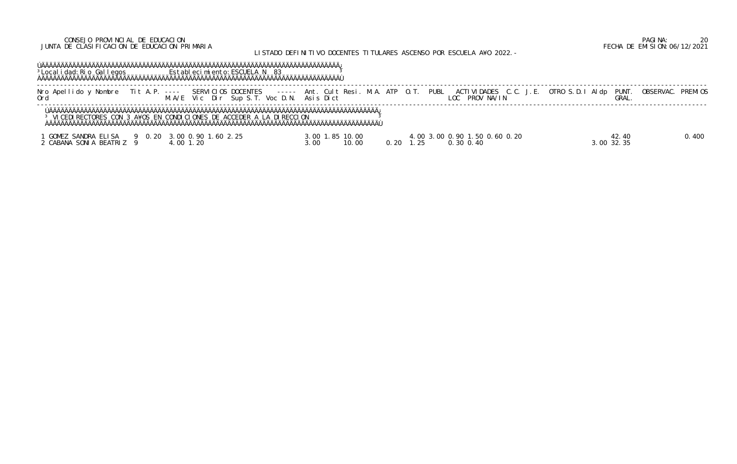### CONSEJO PROVINCIAL DE EDUCACION PAGINA: 20 JUNTA DE CLASIFICACION DE EDUCACION PRIMARIA FECHA DE EMISION:06/12/2021

## LISTADO DEFINITIVO DOCENTES TITULARES ASCENSO POR ESCUELA A¥O 2022.-

 ----------------------------------------------------------------------------------------------------------------------------------------------------------------------------- Nro Apellido y Nombre Tit A.P. ---- SERVICIOS DOCENTES ----- Ant. Cult Resi. M.A. ATP O.T. PUBL ACTIVIDADES C.C. J.E. OTRO S.D.I Aldp PUNT. OBSERVAC. PREMIOS Ord M.A/E Vic Dir Sup S.T. Voc D.N. Asis Dict LOC PROV NA/IN GRAL.

 ÚÄÄÄÄÄÄÄÄÄÄÄÄÄÄÄÄÄÄÄÄÄÄÄÄÄÄÄÄÄÄÄÄÄÄÄÄÄÄÄÄÄÄÄÄÄÄÄÄÄÄÄÄÄÄÄÄÄÄÄÄÄÄÄÄÄÄÄÄÄÄÄÄÄÄÄÄÄ¿ <sup>3</sup>Localidad:Rio Gallegos Establecimiento:ESCUELA N 83 3 ÀÄÄÄÄÄÄÄÄÄÄÄÄÄÄÄÄÄÄÄÄÄÄÄÄÄÄÄÄÄÄÄÄÄÄÄÄÄÄÄÄÄÄÄÄÄÄÄÄÄÄÄÄÄÄÄÄÄÄÄÄÄÄÄÄÄÄÄÄÄÄÄÄÄÄÄÄÄÙ

| Nro Apellido y Nombre Tit A.P. ---- . | SERVICIOS DOCENTES ----- Ant. Cult Resi. M.A. ATP 0.T.<br>M.A/E Vic Dir Sup S.T. Voc D.N. Asis Dict |  |  | PROV NA/IN | PUBL ACTIVIDADES C.C. J.E. OTRO S.D.I AI dp PUNT. OBSERVAC. PREMIOS | <b>RAL</b> |  |
|---------------------------------------|-----------------------------------------------------------------------------------------------------|--|--|------------|---------------------------------------------------------------------|------------|--|
|                                       | <sup>3</sup> VICEDIRECTORES CON 3 A¥OS EN CONDICIONES DE ACCEDER A LA DIRECCION                     |  |  |            |                                                                     |            |  |

|      | $0.00$ 3.00 0.90 1.50 0.60 0.20 | . 40<br>42. | 0.400 |
|------|---------------------------------|-------------|-------|
| . 25 | 0, 30, 0, 40                    | 3.00 32.35  |       |

 ÚÄÄÄÄÄÄÄÄÄÄÄÄÄÄÄÄÄÄÄÄÄÄÄÄÄÄÄÄÄÄÄÄÄÄÄÄÄÄÄÄÄÄÄÄÄÄÄÄÄÄÄÄÄÄÄÄÄÄÄÄÄÄÄÄÄÄÄÄÄÄÄÄÄÄÄÄÄÄÄÄÄÄÄÄÄ¿ <sup>3</sup> VICEDIRECTORES CON 3 A¥OS EN CONDICIONES DE ACCEDER A LA DIRECCION <sup>3</sup> ÀÄÄÄÄÄÄÄÄÄÄÄÄÄÄÄÄÄÄÄÄÄÄÄÄÄÄÄÄÄÄÄÄÄÄÄÄÄÄÄÄÄÄÄÄÄÄÄÄÄÄÄÄÄÄÄÄÄÄÄÄÄÄÄÄÄÄÄÄÄÄÄÄÄÄÄÄÄÄÄÄÄÄÄÄÄÙ

| 1 GOMEZ SANDRA ELISA       9   0.20   3.00   0.90   1.60   2.25     1. |       | 4.00 3.00 0.90 1.50 0.60 0.20 | 42.40      | 0.400 |
|------------------------------------------------------------------------|-------|-------------------------------|------------|-------|
| ? CABANA SONIA BEATRIZ 9<br>.001.20                                    | 10.00 | 0.20 1.25<br>$0.30 \, 0.40$   | 3.00 32.35 |       |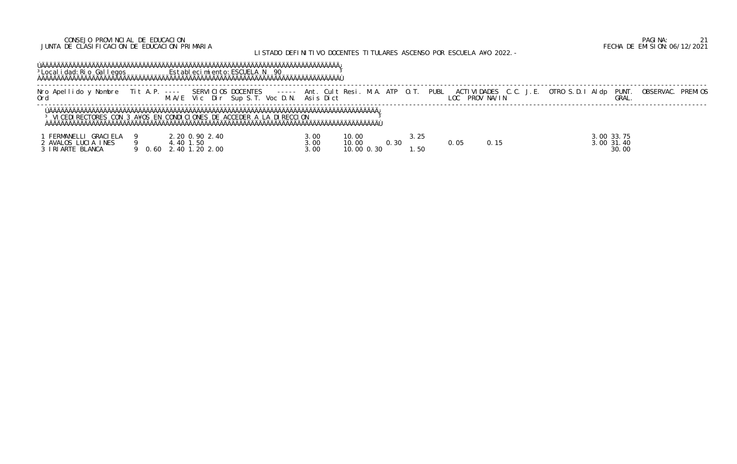### CONSEJO PROVINCIAL DE EDUCACION PAGINA: 21 JUNTA DE CLASIFICACION DE EDUCACION PRIMARIA FECHA DE EMISION:06/12/2021

## LISTADO DEFINITIVO DOCENTES TITULARES ASCENSO POR ESCUELA A¥O 2022.-

### ÚÄÄÄÄÄÄÄÄÄÄÄÄÄÄÄÄÄÄÄÄÄÄÄÄÄÄÄÄÄÄÄÄÄÄÄÄÄÄÄÄÄÄÄÄÄÄÄÄÄÄÄÄÄÄÄÄÄÄÄÄÄÄÄÄÄÄÄÄÄÄÄÄÄÄÄÄÄ¿ <sup>3</sup>Localidad:Rio Gallegos Establecimiento:ESCUELA N 90 3 ÀÄÄÄÄÄÄÄÄÄÄÄÄÄÄÄÄÄÄÄÄÄÄÄÄÄÄÄÄÄÄÄÄÄÄÄÄÄÄÄÄÄÄÄÄÄÄÄÄÄÄÄÄÄÄÄÄÄÄÄÄÄÄÄÄÄÄÄÄÄÄÄÄÄÄÄÄÄÙ

 ----------------------------------------------------------------------------------------------------------------------------------------------------------------------------- Nro Apellido y Nombre Tit A.P. ---- SERVICIOS DOCENTES ----- Ant. Cult Resi. M.A. ATP O.T. PUBL ACTIVIDADES C.C. J.E. OTRO S.D.I Aldp PUNT. OBSERVAC. PREMIOS Ord M.A/E Vic Dir Sup S.T. Voc D.N. Asis Dict LOC PROV NA/IN GRAL. -----------------------------------------------------------------------------------------------------------------------------------------------------------------------------

 ÚÄÄÄÄÄÄÄÄÄÄÄÄÄÄÄÄÄÄÄÄÄÄÄÄÄÄÄÄÄÄÄÄÄÄÄÄÄÄÄÄÄÄÄÄÄÄÄÄÄÄÄÄÄÄÄÄÄÄÄÄÄÄÄÄÄÄÄÄÄÄÄÄÄÄÄÄÄÄÄÄÄÄÄÄÄ¿ <sup>3</sup> VICEDIRECTORES CON 3 A¥OS EN CONDICIONES DE ACCEDER A LA DIRECCION <sup>3</sup> ÀÄÄÄÄÄÄÄÄÄÄÄÄÄÄÄÄÄÄÄÄÄÄÄÄÄÄÄÄÄÄÄÄÄÄÄÄÄÄÄÄÄÄÄÄÄÄÄÄÄÄÄÄÄÄÄÄÄÄÄÄÄÄÄÄÄÄÄÄÄÄÄÄÄÄÄÄÄÄÄÄÄÄÄÄÄÙ

| FERMANELLI GRACIELA |      | 20 0.90 2.40   | 3.00 | 10.00         | $\sim$ $\sim$ $\sim$<br>J. 20 |       |    | 3.00 33.75 |
|---------------------|------|----------------|------|---------------|-------------------------------|-------|----|------------|
| AVALOS LUCIA INES   |      | 40 1.50        | 3.00 | 10.00         | $\Omega$ 30<br>u. oc          | U. U. | U. | 3.00 31.40 |
| IRIARTE BLANCA      | 0.60 | 2.40 1.20 2.00 | 3.00 | 10.00<br>0.30 | .50                           |       |    | 30.00      |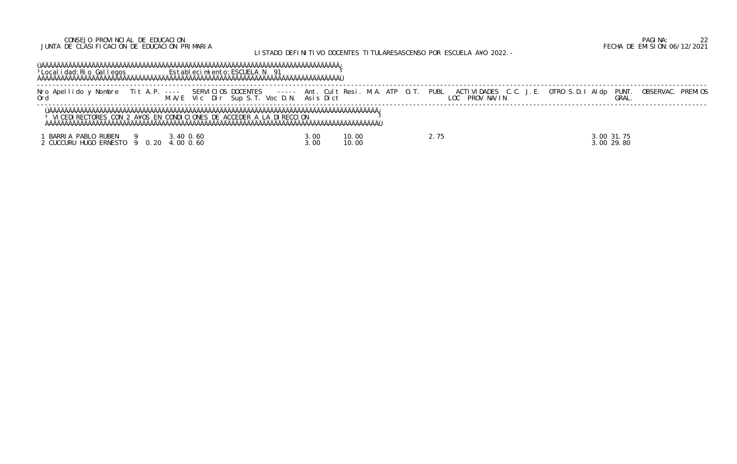### CONSEJO PROVINCIAL DE EDUCACION PAGINA: 22 JUNTA DE CLASIFICACION DE EDUCACION PRIMARIA FECHA DE EMISION:06/12/2021

# LISTADO DEFINITIVO DOCENTES TITULARESASCENSO POR ESCUELA A¥O 2022. -

 ÚÄÄÄÄÄÄÄÄÄÄÄÄÄÄÄÄÄÄÄÄÄÄÄÄÄÄÄÄÄÄÄÄÄÄÄÄÄÄÄÄÄÄÄÄÄÄÄÄÄÄÄÄÄÄÄÄÄÄÄÄÄÄÄÄÄÄÄÄÄÄÄÄÄÄÄÄÄ¿ <sup>3</sup>Localidad:Rio Gallegos Establecimiento:ESCUELA N 91 3 ÀÄÄÄÄÄÄÄÄÄÄÄÄÄÄÄÄÄÄÄÄÄÄÄÄÄÄÄÄÄÄÄÄÄÄÄÄÄÄÄÄÄÄÄÄÄÄÄÄÄÄÄÄÄÄÄÄÄÄÄÄÄÄÄÄÄÄÄÄÄÄÄÄÄÄÄÄÄÙ

 ----------------------------------------------------------------------------------------------------------------------------------------------------------------------------- Nro Apellido y Nombre Tit A.P. ---- SERVICIOS DOCENTES ----- Ant. Cult Resi. M.A. ATP O.T. PUBL ACTIVIDADES C.C. J.E. OTRO S.D.I Aldp PUNT. OBSERVAC. PREMIOS Ord M.A/E Vic Dir Sup S.T. Voc D.N. Asis Dict LOC PROV NA/IN GRAL. -----------------------------------------------------------------------------------------------------------------------------------------------------------------------------

 ÚÄÄÄÄÄÄÄÄÄÄÄÄÄÄÄÄÄÄÄÄÄÄÄÄÄÄÄÄÄÄÄÄÄÄÄÄÄÄÄÄÄÄÄÄÄÄÄÄÄÄÄÄÄÄÄÄÄÄÄÄÄÄÄÄÄÄÄÄÄÄÄÄÄÄÄÄÄÄÄÄÄÄÄÄÄ¿ <sup>3</sup> VICEDIRECTORES CON 2 A¥OS EN CONDICIONES DE ACCEDER A LA DIRECCION <sup>3</sup> ÀÄÄÄÄÄÄÄÄÄÄÄÄÄÄÄÄÄÄÄÄÄÄÄÄÄÄÄÄÄÄÄÄÄÄÄÄÄÄÄÄÄÄÄÄÄÄÄÄÄÄÄÄÄÄÄÄÄÄÄÄÄÄÄÄÄÄÄÄÄÄÄÄÄÄÄÄÄÄÄÄÄÄÄÄÄÙ

| <b>BARRIA</b><br><b>RUBEN</b><br>PABL <sub>C</sub> |                 | 40<br>U. OL      | 3.00 | -00<br>10.  | $\sqrt{2}$<br><u>.</u> | $\sim$ $\sim$ $\sim$<br>3.00<br>$\overline{1}$<br>. |
|----------------------------------------------------|-----------------|------------------|------|-------------|------------------------|-----------------------------------------------------|
| <b>ERNESTO</b><br>CUCCURU HUGO                     | ാറ<br>.<br>. ZU | 0000.60<br>U. OL | 3.00 | . 00<br>10. |                        | 29.80<br>3.00                                       |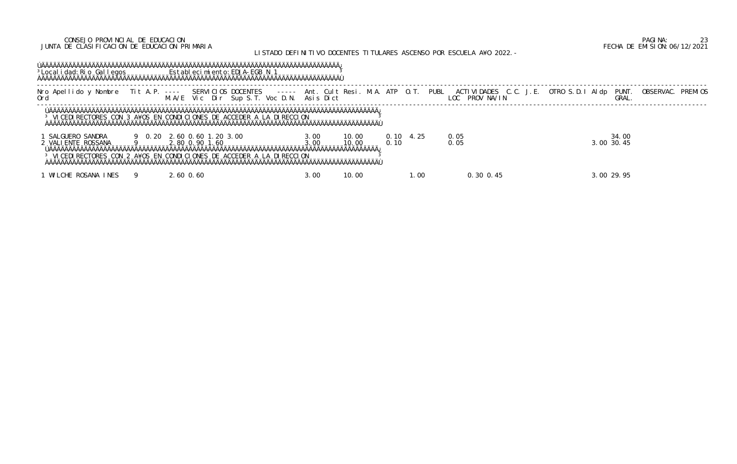### CONSEJO PROVINCIAL DE EDUCACION PAGINA: 23 JUNTA DE CLASIFICACION DE EDUCACION PRIMARIA FECHA DE EMISION:06/12/2021

# LISTADO DEFINITIVO DOCENTES TITULARES ASCENSO POR ESCUELA A¥O 2022.-

 ----------------------------------------------------------------------------------------------------------------------------------------------------------------------------- T. PUBL ACTIVIDADES C.C. J.E. OTRO S.D.I AIdp PUNT. OBSERVAC. PREMIOS LOC PROV NA/IN GRAL. -----------------------------------------------------------------------------------------------------------------------------------------------------------------------------

| Nro Apellido y Nombre   Tit A.P. ----   SERVICIOS DOCENTES   -----   Ant. Cult Resi. M.A. ATP  0.T.  PUBL<br>Ord                            M.A/E   Vic   Dir  Sup S.T. Voc D.N.   Asis Dict |                |  |      |       |      |                   | ACTIVIDADES C.C. J.E. OTRO S.D.I AIdp<br>LOC PROV NA/IN |            | PUNT.<br><b>GRAL</b> |
|----------------------------------------------------------------------------------------------------------------------------------------------------------------------------------------------|----------------|--|------|-------|------|-------------------|---------------------------------------------------------|------------|----------------------|
| <sup>3</sup> VICEDIRECTORES CON 3 A¥OS EN CONDICIONES DE ACCEDER A LA DIRECCION                                                                                                              |                |  |      |       |      |                   |                                                         |            |                      |
| SALGUERO SANDRA 9 0.20 2.60 0.60 1.20 3.00                                                                                                                                                   |                |  | 3.00 | 10.00 |      | $0.10 \quad 4.25$ | 0.05                                                    |            | 34.00                |
| 2 VALI ENTE ROSSANA<br><sup>3</sup> VICEDIRECTORES CON 2 A¥OS EN CONDICIONES DE ACCEDER A LA DIRECCION                                                                                       | 2.80 0.90 1.60 |  | 3.00 | 10.00 | 0.10 |                   | 0.05                                                    | 3.00 30.45 |                      |
| WILCHE ROSANA INES                                                                                                                                                                           | $2.60$ 0.60    |  | 3.00 | 10.00 |      | 1.00              | $0.30 \, 0.45$                                          | 3.00 29.95 |                      |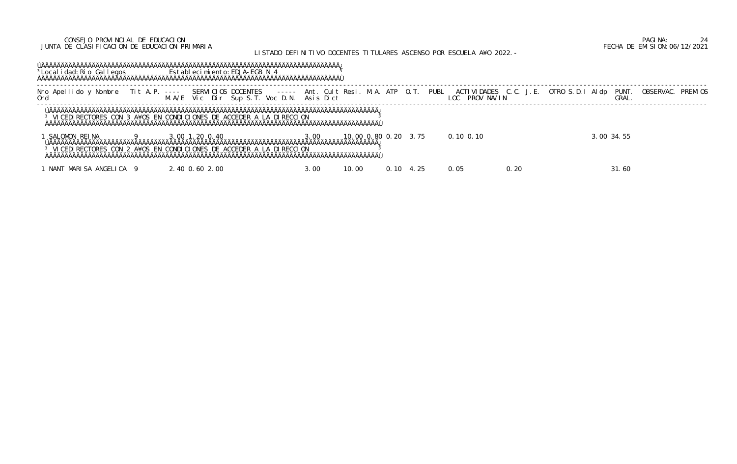### CONSEJO PROVINCIAL DE EDUCACION PAGINA: 24 JUNTA DE CLASIFICACION DE EDUCACION PRIMARIA FECHA DE EMISION:06/12/2021

## LISTADO DEFINITIVO DOCENTES TITULARES ASCENSO POR ESCUELA A¥O 2022.-

### ÚÄÄÄÄÄÄÄÄÄÄÄÄÄÄÄÄÄÄÄÄÄÄÄÄÄÄÄÄÄÄÄÄÄÄÄÄÄÄÄÄÄÄÄÄÄÄÄÄÄÄÄÄÄÄÄÄÄÄÄÄÄÄÄÄÄÄÄÄÄÄÄÄÄÄÄÄÄ¿ <sup>3</sup>Localidad:Rio Gallegos Establecimiento:EDJA-EGB N 4 <sup>3</sup> ÀÄÄÄÄÄÄÄÄÄÄÄÄÄÄÄÄÄÄÄÄÄÄÄÄÄÄÄÄÄÄÄÄÄÄÄÄÄÄÄÄÄÄÄÄÄÄÄÄÄÄÄÄÄÄÄÄÄÄÄÄÄÄÄÄÄÄÄÄÄÄÄÄÄÄÄÄÄÙ

 ----------------------------------------------------------------------------------------------------------------------------------------------------------------------------- Nro Apellido y Nombre Tit A.P. ---- SERVICIOS DOCENTES ----- Ant. Cult Resi. M.A. ATP O.T. PUBL ACTIVIDADES C.C. J.E. OTRO S.D.I Aldp PUNT. OBSERVAC. PREMIOS Ord M.A/E Vic Dir Sup S.T. Voc D.N. Asis Dict LOC PROV NA/IN GRAL. -----------------------------------------------------------------------------------------------------------------------------------------------------------------------------

 ÚÄÄÄÄÄÄÄÄÄÄÄÄÄÄÄÄÄÄÄÄÄÄÄÄÄÄÄÄÄÄÄÄÄÄÄÄÄÄÄÄÄÄÄÄÄÄÄÄÄÄÄÄÄÄÄÄÄÄÄÄÄÄÄÄÄÄÄÄÄÄÄÄÄÄÄÄÄÄÄÄÄÄÄÄÄ¿ <sup>3</sup> VICEDIRECTORES CON 3 A¥OS EN CONDICIONES DE ACCEDER A LA DIRECCION <sup>3</sup> ÀÄÄÄÄÄÄÄÄÄÄÄÄÄÄÄÄÄÄÄÄÄÄÄÄÄÄÄÄÄÄÄÄÄÄÄÄÄÄÄÄÄÄÄÄÄÄÄÄÄÄÄÄÄÄÄÄÄÄÄÄÄÄÄÄÄÄÄÄÄÄÄÄÄÄÄÄÄÄÄÄÄÄÄÄÄÙ

 1 SALOMON REINA 9 3.00 1.20 0.40 3.00 10.00 0.80 0.20 3.75 0.10 0.10 3.00 34.55 ÚÄÄÄÄÄÄÄÄÄÄÄÄÄÄÄÄÄÄÄÄÄÄÄÄÄÄÄÄÄÄÄÄÄÄÄÄÄÄÄÄÄÄÄÄÄÄÄÄÄÄÄÄÄÄÄÄÄÄÄÄÄÄÄÄÄÄÄÄÄÄÄÄÄÄÄÄÄÄÄÄÄÄÄÄÄ¿ <sup>3</sup> VICEDIRECTORES CON 2 A¥OS EN CONDICIONES DE ACCEDER A LA DIRECCION ÀÄÄÄÄÄÄÄÄÄÄÄÄÄÄÄÄÄÄÄÄÄÄÄÄÄÄÄÄÄÄÄÄÄÄÄÄÄÄÄÄÄÄÄÄÄÄÄÄÄÄÄÄÄÄÄÄÄÄÄÄÄÄÄÄÄÄÄÄÄÄÄÄÄÄÄÄÄÄÄÄÄÄÄÄÄÙ

1 NANT MARISA ANGELICA 9 2.40 0.60 2.00 3.00 10.00 0.10 4.25 0.05 0.20 31.60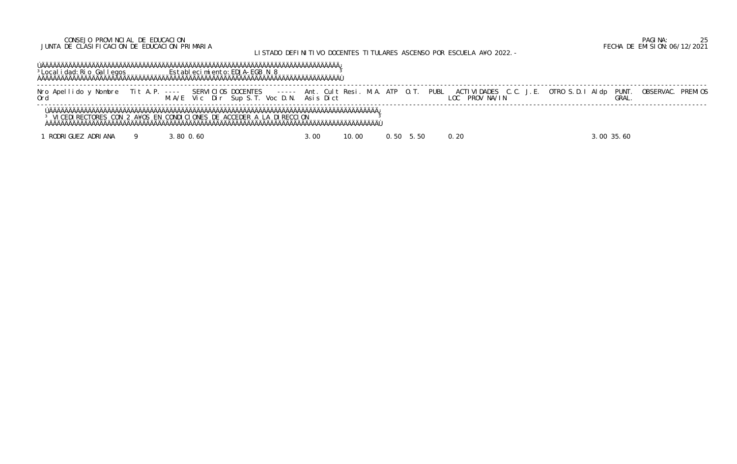### CONSEJO PROVINCIAL DE EDUCACION PAGINA: 25 JUNTA DE CLASIFICACION DE EDUCACION PRIMARIA FECHA DE EMISION:06/12/2021

## LISTADO DEFINITIVO DOCENTES TITULARES ASCENSO POR ESCUELA A¥O 2022.-

 ÚÄÄÄÄÄÄÄÄÄÄÄÄÄÄÄÄÄÄÄÄÄÄÄÄÄÄÄÄÄÄÄÄÄÄÄÄÄÄÄÄÄÄÄÄÄÄÄÄÄÄÄÄÄÄÄÄÄÄÄÄÄÄÄÄÄÄÄÄÄÄÄÄÄÄÄÄÄ¿ <sup>3</sup>Localidad:Rio Gallegos Establecimiento:EDJA-EGB N 8 <sup>3</sup> ÀÄÄÄÄÄÄÄÄÄÄÄÄÄÄÄÄÄÄÄÄÄÄÄÄÄÄÄÄÄÄÄÄÄÄÄÄÄÄÄÄÄÄÄÄÄÄÄÄÄÄÄÄÄÄÄÄÄÄÄÄÄÄÄÄÄÄÄÄÄÄÄÄÄÄÄÄÄÙ

 ----------------------------------------------------------------------------------------------------------------------------------------------------------------------------- Nro Apellido y Nombre Tit A.P. ---- SERVICIOS DOCENTES ----- Ant. Cult Resi. M.A. ATP O.T. PUBL ACTIVIDADES C.C. J.E. OTRO S.D.I Aldp PUNT. OBSERVAC. PREMIOS Ord M.A/E Vic Dir Sup S.T. Voc D.N. Asis Dict LOC PROV NA/IN GRAL. -----------------------------------------------------------------------------------------------------------------------------------------------------------------------------

 ÚÄÄÄÄÄÄÄÄÄÄÄÄÄÄÄÄÄÄÄÄÄÄÄÄÄÄÄÄÄÄÄÄÄÄÄÄÄÄÄÄÄÄÄÄÄÄÄÄÄÄÄÄÄÄÄÄÄÄÄÄÄÄÄÄÄÄÄÄÄÄÄÄÄÄÄÄÄÄÄÄÄÄÄÄÄ¿ <sup>3</sup> VICEDIRECTORES CON 2 A¥OS EN CONDICIONES DE ACCEDER A LA DIRECCION <sup>3</sup> ÀÄÄÄÄÄÄÄÄÄÄÄÄÄÄÄÄÄÄÄÄÄÄÄÄÄÄÄÄÄÄÄÄÄÄÄÄÄÄÄÄÄÄÄÄÄÄÄÄÄÄÄÄÄÄÄÄÄÄÄÄÄÄÄÄÄÄÄÄÄÄÄÄÄÄÄÄÄÄÄÄÄÄÄÄÄÙ

1 RODRIGUEZ ADRIANA 9 3.80 0.60 3.00 10.00 0.50 5.50 0.20 3.00 35.60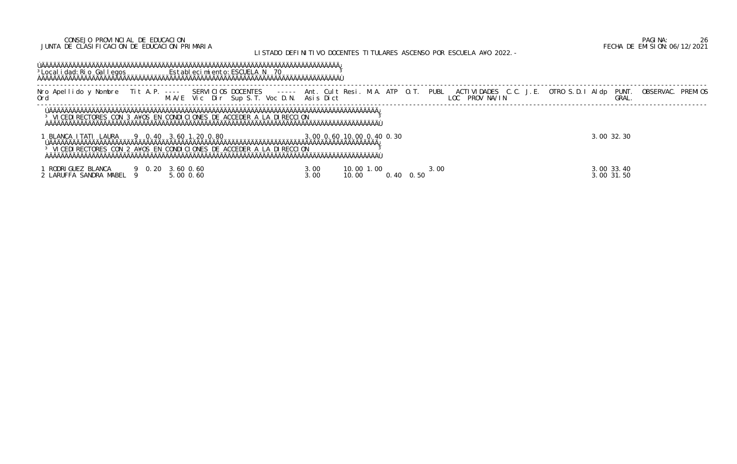### CONSEJO PROVINCIAL DE EDUCACION PAGINA: 26 JUNTA DE CLASIFICACION DE EDUCACION PRIMARIA FECHA DE EMISION:06/12/2021

## LISTADO DEFINITIVO DOCENTES TITULARES ASCENSO POR ESCUELA A¥O 2022.-

### ÚÄÄÄÄÄÄÄÄÄÄÄÄÄÄÄÄÄÄÄÄÄÄÄÄÄÄÄÄÄÄÄÄÄÄÄÄÄÄÄÄÄÄÄÄÄÄÄÄÄÄÄÄÄÄÄÄÄÄÄÄÄÄÄÄÄÄÄÄÄÄÄÄÄÄÄÄÄ¿ <sup>3</sup>Localidad:Rio Gallegos Establecimiento:ESCUELA N 70 <sup>3</sup> ÀÄÄÄÄÄÄÄÄÄÄÄÄÄÄÄÄÄÄÄÄÄÄÄÄÄÄÄÄÄÄÄÄÄÄÄÄÄÄÄÄÄÄÄÄÄÄÄÄÄÄÄÄÄÄÄÄÄÄÄÄÄÄÄÄÄÄÄÄÄÄÄÄÄÄÄÄÄÙ

 ----------------------------------------------------------------------------------------------------------------------------------------------------------------------------- Nro Apellido y Nombre Tit A.P. ---- SERVICIOS DOCENTES ----- Ant. Cult Resi. M.A. ATP O.T. PUBL ACTIVIDADES C.C. J.E. OTRO S.D.I Aldp PUNT. OBSERVAC. PREMIOS Ord M.A/E Vic Dir Sup S.T. Voc D.N. Asis Dict LOC PROV NA/IN GRAL. -----------------------------------------------------------------------------------------------------------------------------------------------------------------------------

 ÚÄÄÄÄÄÄÄÄÄÄÄÄÄÄÄÄÄÄÄÄÄÄÄÄÄÄÄÄÄÄÄÄÄÄÄÄÄÄÄÄÄÄÄÄÄÄÄÄÄÄÄÄÄÄÄÄÄÄÄÄÄÄÄÄÄÄÄÄÄÄÄÄÄÄÄÄÄÄÄÄÄÄÄÄÄ¿ <sup>3</sup> VICEDIRECTORES CON 3 A¥OS EN CONDICIONES DE ACCEDER A LA DIRECCION <sup>3</sup> ÀÄÄÄÄÄÄÄÄÄÄÄÄÄÄÄÄÄÄÄÄÄÄÄÄÄÄÄÄÄÄÄÄÄÄÄÄÄÄÄÄÄÄÄÄÄÄÄÄÄÄÄÄÄÄÄÄÄÄÄÄÄÄÄÄÄÄÄÄÄÄÄÄÄÄÄÄÄÄÄÄÄÄÄÄÄÙ

 1 BLANCA ITATI LAURA 9 0.40 3.60 1.20 0.80 3.00 0.60 10.00 0.40 0.30 3.00 32.30 ÚÄÄÄÄÄÄÄÄÄÄÄÄÄÄÄÄÄÄÄÄÄÄÄÄÄÄÄÄÄÄÄÄÄÄÄÄÄÄÄÄÄÄÄÄÄÄÄÄÄÄÄÄÄÄÄÄÄÄÄÄÄÄÄÄÄÄÄÄÄÄÄÄÄÄÄÄÄÄÄÄÄÄÄÄÄ¿ <sup>3</sup> VICEDIRECTORES CON 2 A¥OS EN CONDICIONES DE ACCEDER A LA DIRECCION ÀÄÄÄÄÄÄÄÄÄÄÄÄÄÄÄÄÄÄÄÄÄÄÄÄÄÄÄÄÄÄÄÄÄÄÄÄÄÄÄÄÄÄÄÄÄÄÄÄÄÄÄÄÄÄÄÄÄÄÄÄÄÄÄÄÄÄÄÄÄÄÄÄÄÄÄÄÄÄÄÄÄÄÄÄÄÙ

| RODRI GUEZ BLANCA    | ാറ<br>∘ ∠∪ | 600.60                   | 3.00 | 10.00<br>-00                | $\sim$<br>u. uu | 33.40<br>3.00 |
|----------------------|------------|--------------------------|------|-----------------------------|-----------------|---------------|
| LARUFFA SANDRA MABEL |            | 00 <sup>°</sup><br>U. OU | 3.00 | 0.50<br>10.00<br>. 40<br>0. |                 | 31.50<br>3.00 |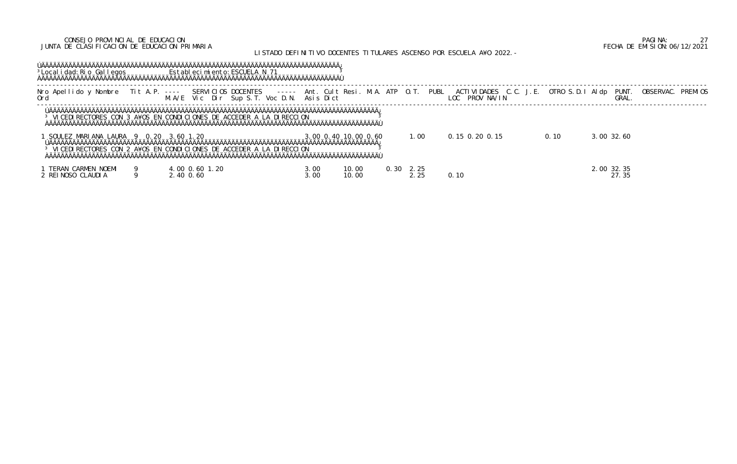### CONSEJO PROVINCIAL DE EDUCACION PAGINA: 27 JUNTA DE CLASIFICACION DE EDUCACION PRIMARIA FECHA DE EMISION:06/12/2021

# LISTADO DEFINITIVO DOCENTES TITULARES ASCENSO POR ESCUELA A¥O 2022.-

### ÚÄÄÄÄÄÄÄÄÄÄÄÄÄÄÄÄÄÄÄÄÄÄÄÄÄÄÄÄÄÄÄÄÄÄÄÄÄÄÄÄÄÄÄÄÄÄÄÄÄÄÄÄÄÄÄÄÄÄÄÄÄÄÄÄÄÄÄÄÄÄÄÄÄÄÄÄÄ¿ <sup>3</sup>Localidad:Rio Gallegos Establecimiento:ESCUELA N 71 <sup>3</sup> ÀÄÄÄÄÄÄÄÄÄÄÄÄÄÄÄÄÄÄÄÄÄÄÄÄÄÄÄÄÄÄÄÄÄÄÄÄÄÄÄÄÄÄÄÄÄÄÄÄÄÄÄÄÄÄÄÄÄÄÄÄÄÄÄÄÄÄÄÄÄÄÄÄÄÄÄÄÄÙ

 ----------------------------------------------------------------------------------------------------------------------------------------------------------------------------- Nro Apellido y Nombre Tit A.P. ---- SERVICIOS DOCENTES ----- Ant. Cult Resi. M.A. ATP O.T. PUBL ACTIVIDADES C.C. J.E. OTRO S.D.I Aldp PUNT. OBSERVAC. PREMIOS Ord M.A/E Vic Dir Sup S.T. Voc D.N. Asis Dict LOC PROV NA/IN GRAL. -----------------------------------------------------------------------------------------------------------------------------------------------------------------------------

 ÚÄÄÄÄÄÄÄÄÄÄÄÄÄÄÄÄÄÄÄÄÄÄÄÄÄÄÄÄÄÄÄÄÄÄÄÄÄÄÄÄÄÄÄÄÄÄÄÄÄÄÄÄÄÄÄÄÄÄÄÄÄÄÄÄÄÄÄÄÄÄÄÄÄÄÄÄÄÄÄÄÄÄÄÄÄ¿ <sup>3</sup> VICEDIRECTORES CON 3 A¥OS EN CONDICIONES DE ACCEDER A LA DIRECCION <sup>3</sup> ÀÄÄÄÄÄÄÄÄÄÄÄÄÄÄÄÄÄÄÄÄÄÄÄÄÄÄÄÄÄÄÄÄÄÄÄÄÄÄÄÄÄÄÄÄÄÄÄÄÄÄÄÄÄÄÄÄÄÄÄÄÄÄÄÄÄÄÄÄÄÄÄÄÄÄÄÄÄÄÄÄÄÄÄÄÄÙ

 1 SOULEZ MARIANA LAURA 9 0.20 3.60 1.20 3.00 0.40 10.00 0.60 1.00 0.15 0.20 0.15 0.10 3.00 32.60 ÚÄÄÄÄÄÄÄÄÄÄÄÄÄÄÄÄÄÄÄÄÄÄÄÄÄÄÄÄÄÄÄÄÄÄÄÄÄÄÄÄÄÄÄÄÄÄÄÄÄÄÄÄÄÄÄÄÄÄÄÄÄÄÄÄÄÄÄÄÄÄÄÄÄÄÄÄÄÄÄÄÄÄÄÄÄ¿ <sup>3</sup> VICEDIRECTORES CON 2 A¥OS EN CONDICIONES DE ACCEDER A LA DIRECCION ÀÄÄÄÄÄÄÄÄÄÄÄÄÄÄÄÄÄÄÄÄÄÄÄÄÄÄÄÄÄÄÄÄÄÄÄÄÄÄÄÄÄÄÄÄÄÄÄÄÄÄÄÄÄÄÄÄÄÄÄÄÄÄÄÄÄÄÄÄÄÄÄÄÄÄÄÄÄÄÄÄÄÄÄÄÄÙ

| <b>NOEMI</b><br>CARMEN<br><b>TERAN</b>    | .20<br>$00\,$<br>$\sqrt{ }$ | 3.00 | 10.00 | $\sim$ $\sim$ $\sim$<br>$\sim$<br>$\prec$ (<br>U.<br>L. LJ | $\sim$ $\sim$ $\sim$<br>2.00<br>2 <sup>h</sup><br>. JZ. JJ |
|-------------------------------------------|-----------------------------|------|-------|------------------------------------------------------------|------------------------------------------------------------|
| REI NOSO<br>$^\circ$ LAUDI $\overline{A}$ | 40<br>U.OU                  | 3.00 | 10.00 | $\sim$ $\sim$ $\sim$<br>ـ ـ ـ ـ ـ                          | $\sim$ $\sim$ $\sim$ $\sim$<br>マト<br><u> 27. JJ</u>        |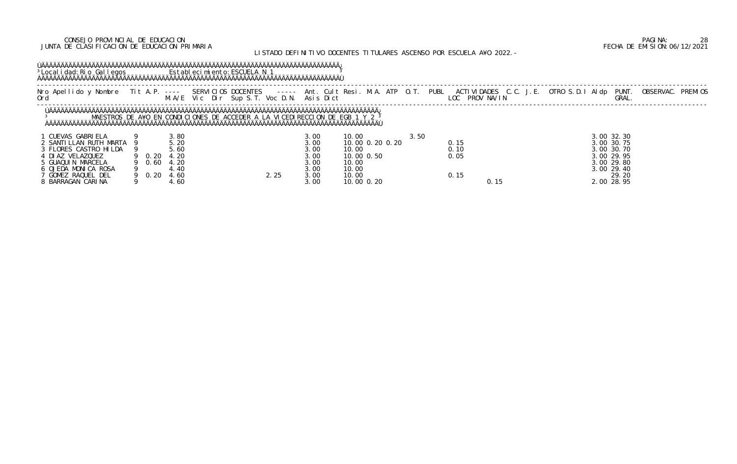### CONSEJO PROVINCIAL DE EDUCACION PAGINA: 28 JUNTA DE CLASIFICACION DE EDUCACION PRIMARIA FECHA DE EMISION:06/12/2021

# LISTADO DEFINITIVO DOCENTES TITULARES ASCENSO POR ESCUELA A¥O 2022.-

### ÚÄÄÄÄÄÄÄÄÄÄÄÄÄÄÄÄÄÄÄÄÄÄÄÄÄÄÄÄÄÄÄÄÄÄÄÄÄÄÄÄÄÄÄÄÄÄÄÄÄÄÄÄÄÄÄÄÄÄÄÄÄÄÄÄÄÄÄÄÄÄÄÄÄÄÄÄÄ¿ <sup>3</sup>Localidad:Rio Gallegos Establecimiento:ESCUELA N 1 <sup>3</sup> ÀÄÄÄÄÄÄÄÄÄÄÄÄÄÄÄÄÄÄÄÄÄÄÄÄÄÄÄÄÄÄÄÄÄÄÄÄÄÄÄÄÄÄÄÄÄÄÄÄÄÄÄÄÄÄÄÄÄÄÄÄÄÄÄÄÄÄÄÄÄÄÄÄÄÄÄÄÄÙ

| Nro Apellido y Nombre   Tit A.P. ----   SERVICIOS DOCENTES   -----   Ant. Cult Resi. M.A. ATP  0.T.<br>Ord                             M.A/E   Vic   Dir  Sup S.T. Voc D.N.   Asis Dict |                            |                                                              |                                                                       |      |                                                              |                                           |                                             |      | PUBL ACTIVIDADES C.C. J.E.<br>LOC PROV NA/IN | OTRO S.D.I AI dp<br>PUNT.<br>GRAL                                                                       | OBSERVAC. PREMIOS |
|-----------------------------------------------------------------------------------------------------------------------------------------------------------------------------------------|----------------------------|--------------------------------------------------------------|-----------------------------------------------------------------------|------|--------------------------------------------------------------|-------------------------------------------|---------------------------------------------|------|----------------------------------------------|---------------------------------------------------------------------------------------------------------|-------------------|
|                                                                                                                                                                                         |                            |                                                              | MAESTROS DE A¥O EN CONDICIONES DE ACCEDER A LA VICEDIRECCION DE EGB 1 |      |                                                              |                                           |                                             |      |                                              |                                                                                                         |                   |
| CUEVAS GABRIELA<br>2 SANTILLAN RUTH MARTA 9<br>3 FLORES CASTRO HILDA<br>4 DIAZ VELAZQUEZ<br>5 GUAQUIN MARCELA<br>6 OJEDA MONICA ROSA<br>/ GOMEZ RAQUEL DEL<br>8 BARRAGAN CARINA         | 9 0.20<br>9 0.60<br>9 0.20 | 3.80<br>5.20<br>5.60<br>4.20<br>4.20<br>l. 40<br>-4.60<br>60 |                                                                       | 2.25 | 3.00<br>3.00<br>3.00<br>3.00<br>3.00<br>3.00<br>3.00<br>3.00 | 10.00<br>10.00<br>10.00<br>10.00<br>10.00 | 10.00 0.20 0.20<br>10.00 0.50<br>10.00 0.20 | 3.50 | 0.15<br>0.10<br>0.05<br>0.15<br>0.15         | 3.00 32.30<br>3.00 30.75<br>3.00 30.70<br>3.00 29.95<br>3.00 29.80<br>3.00 29.40<br>29.20<br>2.00 28.95 |                   |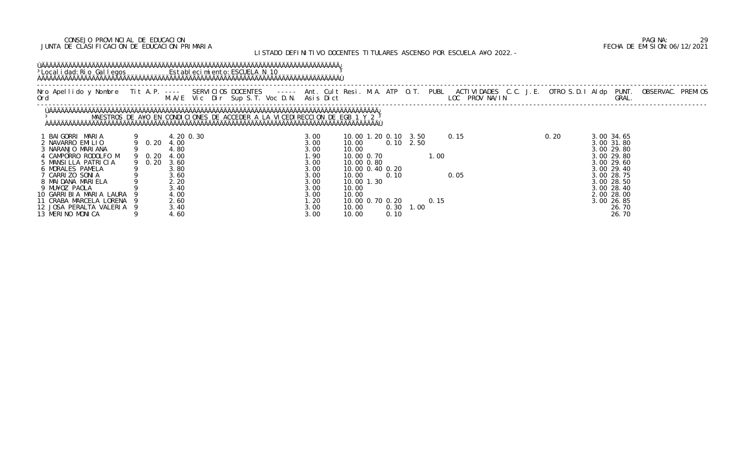### CONSEJO PROVINCIAL DE EDUCACION PAGINA: 29 JUNTA DE CLASIFICACION DE EDUCACION PRIMARIA FECHA DE EMISION:06/12/2021

# LISTADO DEFINITIVO DOCENTES TITULARES ASCENSO POR ESCUELA A¥O 2022.-

### ÚÄÄÄÄÄÄÄÄÄÄÄÄÄÄÄÄÄÄÄÄÄÄÄÄÄÄÄÄÄÄÄÄÄÄÄÄÄÄÄÄÄÄÄÄÄÄÄÄÄÄÄÄÄÄÄÄÄÄÄÄÄÄÄÄÄÄÄÄÄÄÄÄÄÄÄÄÄ¿ <sup>3</sup>Localidad:Rio Gallegos Establecimiento:ESCUELA N 10 <sup>3</sup> ÀÄÄÄÄÄÄÄÄÄÄÄÄÄÄÄÄÄÄÄÄÄÄÄÄÄÄÄÄÄÄÄÄÄÄÄÄÄÄÄÄÄÄÄÄÄÄÄÄÄÄÄÄÄÄÄÄÄÄÄÄÄÄÄÄÄÄÄÄÄÄÄÄÄÄÄÄÄÙ

| MAESTROS DE A¥O EN CONDICIONES DE ACCEDER A LA VICEDIRECCION DE EGB 1 Y 2 3                                                                                                                                                                                                                       |                                           |                                                                                   |  |                                                                                                      |                                                             |                                                                              |                      |                                                   |              |              |      |                                                                                                                                                        |                |  |
|---------------------------------------------------------------------------------------------------------------------------------------------------------------------------------------------------------------------------------------------------------------------------------------------------|-------------------------------------------|-----------------------------------------------------------------------------------|--|------------------------------------------------------------------------------------------------------|-------------------------------------------------------------|------------------------------------------------------------------------------|----------------------|---------------------------------------------------|--------------|--------------|------|--------------------------------------------------------------------------------------------------------------------------------------------------------|----------------|--|
| BAI GORRI MARIA<br>2 NAVARRO EMILIO<br>3 NARANJO MARIANA<br>4 CAMPORRO RODOLFO M<br>5 MANSILLA PATRICIA<br>6 MORALES PAMELA<br>7 CARRIZO SONIA<br>8 MAI DANA MARI ELA<br>9 MU¥OZ PAOLA<br>10 GARRIBIA MARIA LAURA 9<br>11 CRABA MARCELA LORENA 9<br>12 JOSA PERALTA VALERIA 9<br>13 MERINO MONICA | 9 0.20 4.00<br>9 0.20 4.00<br>9 0.20 3.60 | 4.20 0.30<br>4.80<br>3.80<br>3.60<br>2.20<br>3.40<br>4.00<br>2.60<br>3.40<br>4.60 |  | 3.00<br>3.00<br>3.00<br>1.90<br>3.00<br>3.00<br>3.00<br>3.00<br>3.00<br>3.00<br>1.20<br>3.00<br>3.00 | 10.00<br>10.00<br>10.00<br>10.00<br>10.00<br>10.00<br>10.00 | 10.00 0.70<br>10.00 0.80<br>10.00 0.40 0.20<br>10.00 1.30<br>10.00 0.70 0.20 | 0.10<br>0.30<br>0.10 | 10.00 1.20 0.10 3.50<br>$0.10 \quad 2.50$<br>1.00 | 1.00<br>0.15 | 0.15<br>0.05 | 0.20 | 3.00 34.65<br>3.00 31.80<br>3.00 29.80<br>3.00 29.80<br>3.00 29.60<br>3.00 29.40<br>3.00 28.75<br>3.00 28.50<br>3.00 28.40<br>2.00 28.00<br>3.00 26.85 | 26.70<br>26.70 |  |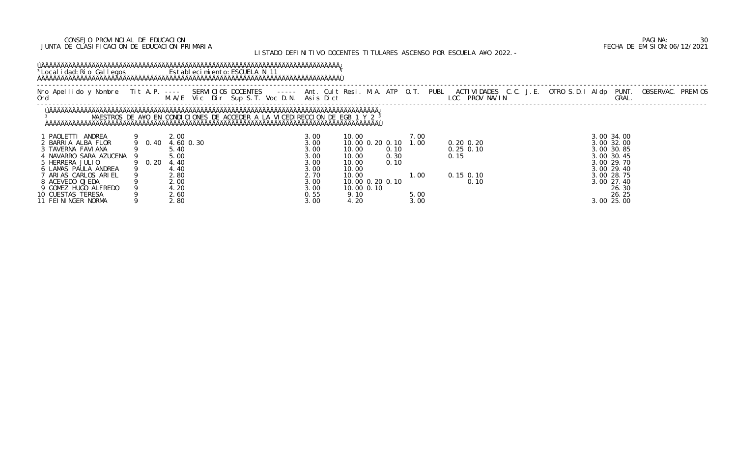### CONSEJO PROVINCIAL DE EDUCACION PAGINA: 30 JUNTA DE CLASIFICACION DE EDUCACION PRIMARIA FECHA DE EMISION:06/12/2021

# LISTADO DEFINITIVO DOCENTES TITULARES ASCENSO POR ESCUELA A¥O 2022.-

### ÚÄÄÄÄÄÄÄÄÄÄÄÄÄÄÄÄÄÄÄÄÄÄÄÄÄÄÄÄÄÄÄÄÄÄÄÄÄÄÄÄÄÄÄÄÄÄÄÄÄÄÄÄÄÄÄÄÄÄÄÄÄÄÄÄÄÄÄÄÄÄÄÄÄÄÄÄÄ¿ <sup>3</sup>Localidad:Rio Gallegos Establecimiento:ESCUELA N 11 <sup>3</sup> ÀÄÄÄÄÄÄÄÄÄÄÄÄÄÄÄÄÄÄÄÄÄÄÄÄÄÄÄÄÄÄÄÄÄÄÄÄÄÄÄÄÄÄÄÄÄÄÄÄÄÄÄÄÄÄÄÄÄÄÄÄÄÄÄÄÄÄÄÄÄÄÄÄÄÄÄÄÄÙ

|                                                                                                                                  |        |                                                                             |                                              |                                                                                      |                      |                                         | OTRO S.D.I AIdp<br>PUNT.<br>GRAL.                                                | OBSERVAC. PREMI OS |
|----------------------------------------------------------------------------------------------------------------------------------|--------|-----------------------------------------------------------------------------|----------------------------------------------|--------------------------------------------------------------------------------------|----------------------|-----------------------------------------|----------------------------------------------------------------------------------|--------------------|
|                                                                                                                                  |        | MAESTROS DE A¥O EN CONDICIONES DE ACCEDER A LA VICEDIRECCION DE EGB 1 Y 2 3 |                                              |                                                                                      |                      |                                         |                                                                                  |                    |
| PAOLETTI ANDREA<br>2 BARRIA ALBA FLOR<br>3 TAVERNA FAVI ANA<br>4 NAVARRO SARA AZUCENA<br>5 HERRERA JULIO<br>6 LAMAS PAULA ANDREA | 9 0.20 | 2.00<br>9 0.40 4.60 0.30<br>5.40<br>5.00<br>4.40<br>4.40                    | 3.00<br>3.00<br>3.00<br>3.00<br>3.00<br>3.00 | 10.00<br>10.00 0.20 0.10<br>0.10<br>10.00<br>0.30<br>10.00<br>0.10<br>10.00<br>10.00 | 7.00<br>1.00         | $0.20 \, 0.20$<br>$0.25$ $0.10$<br>0.15 | 3.00 34.00<br>3.00 32.00<br>3.00 30.85<br>3.00 30.45<br>3.00 29.70<br>3.00 29.40 |                    |
| / ARIAS CARLOS ARIEL<br>8 ACEVEDO OJEDA<br>9 GOMEZ HUGO ALFREDO<br>10 CUESTAS TERESA<br>11 FEININGER NORMA                       |        | 2.80<br>2.00<br>4.20<br>2.60<br>2.80                                        | 2.70<br>3.00<br>3.00<br>0.55<br>3. 00        | 10.00<br>10.00 0.20 0.10<br>10.00 0.10<br>9.10<br>4.20                               | 1.00<br>5.00<br>3.00 | $0.15$ $0.10$<br>0.10                   | 3.00 28.75<br>3.00 27.40<br>26.30<br>26.25<br>3.00 25.00                         |                    |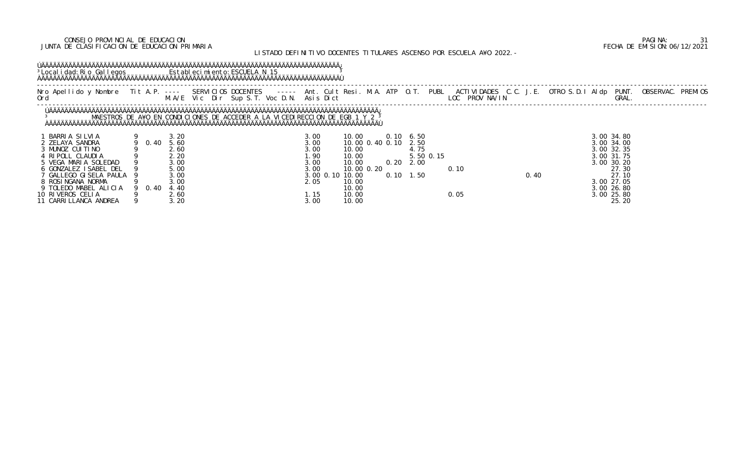### CONSEJO PROVINCIAL DE EDUCACION PAGINA: 31 JUNTA DE CLASIFICACION DE EDUCACION PRIMARIA FECHA DE EMISION:06/12/2021

# LISTADO DEFINITIVO DOCENTES TITULARES ASCENSO POR ESCUELA A¥O 2022.-

### ÚÄÄÄÄÄÄÄÄÄÄÄÄÄÄÄÄÄÄÄÄÄÄÄÄÄÄÄÄÄÄÄÄÄÄÄÄÄÄÄÄÄÄÄÄÄÄÄÄÄÄÄÄÄÄÄÄÄÄÄÄÄÄÄÄÄÄÄÄÄÄÄÄÄÄÄÄÄ¿ <sup>3</sup>Localidad:Rio Gallegos Establecimiento:ESCUELA N 15 <sup>3</sup> ÀÄÄÄÄÄÄÄÄÄÄÄÄÄÄÄÄÄÄÄÄÄÄÄÄÄÄÄÄÄÄÄÄÄÄÄÄÄÄÄÄÄÄÄÄÄÄÄÄÄÄÄÄÄÄÄÄÄÄÄÄÄÄÄÄÄÄÄÄÄÄÄÄÄÄÄÄÄÙ

|                                                                                                                                                                                                                                                  |   |                  |                                                                                      |  |  |  |                                                                      |                                                                                         |                               |                                  |                                   |                |              | <b>Example 20 LOC PROV NA/IN</b> |  |      |  |                                                                                                                                         | OBSERVAC. PREMI OS |  |
|--------------------------------------------------------------------------------------------------------------------------------------------------------------------------------------------------------------------------------------------------|---|------------------|--------------------------------------------------------------------------------------|--|--|--|----------------------------------------------------------------------|-----------------------------------------------------------------------------------------|-------------------------------|----------------------------------|-----------------------------------|----------------|--------------|----------------------------------|--|------|--|-----------------------------------------------------------------------------------------------------------------------------------------|--------------------|--|
| MAESTROS DE A¥O EN CONDICIONES DE ACCEDER A LA VICEDIRECCION DE EGB 1 Y 2 3                                                                                                                                                                      |   |                  |                                                                                      |  |  |  |                                                                      |                                                                                         |                               |                                  |                                   |                |              |                                  |  |      |  |                                                                                                                                         |                    |  |
| BARRIA SILVIA<br>2 ZELAYA SANDRA<br>3 MUNOZ CUITINO<br>4 RIPOLL CLAUDIA<br>5 VEGA MARIA SOLEDAD<br>6 GONZALEZ ISABEL DEL<br>7 GALLEGO GISELA PAULA 9<br>8 ROSINGANA NORMA<br>9 TOLEDO MABEL ALICIA<br>10 RIVEROS CELIA<br>11 CARRI LLANCA ANDREA | 9 | 9 0.40<br>9 0.40 | 3.20<br>5.60<br>2.60<br>2.20<br>3.00<br>5.00<br>3.00<br>3.00<br>4.40<br>2.60<br>3.20 |  |  |  | 3.00<br>3.00<br>3.00<br>1.90<br>3.00<br>3.00<br>2.05<br>1.15<br>3.00 | 10.00<br>10.00<br>10.00<br>10.00<br>3.00 0.10 10.00<br>10.00<br>10.00<br>10.00<br>10.00 | 10.00 0.40 0.10<br>10.00 0.20 | $0.10 \quad 6.50$<br>$0.20$ 2.00 | 2.50<br>4.75<br>$0.10 \quad 1.50$ | $5.50 \, 0.15$ | 0.10<br>0.05 |                                  |  | 0.40 |  | 3.00 34.80<br>3.00 34.00<br>3.00 32.35<br>3.00 31.75<br>3.00 30.20<br>27.30<br>27.10<br>3.00 27.05<br>3.00 26.80<br>3.00 25.80<br>25.20 |                    |  |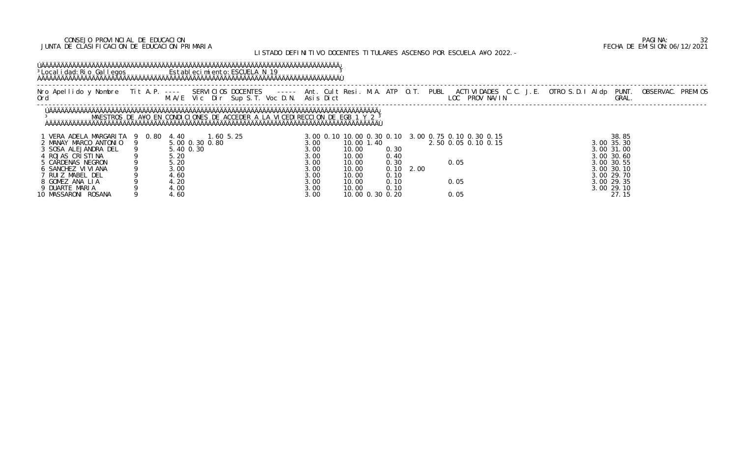### CONSEJO PROVINCIAL DE EDUCACION PAGINA: 32 JUNTA DE CLASIFICACION DE EDUCACION PRIMARIA FECHA DE EMISION:06/12/2021

# LISTADO DEFINITIVO DOCENTES TITULARES ASCENSO POR ESCUELA A¥O 2022.-

### ÚÄÄÄÄÄÄÄÄÄÄÄÄÄÄÄÄÄÄÄÄÄÄÄÄÄÄÄÄÄÄÄÄÄÄÄÄÄÄÄÄÄÄÄÄÄÄÄÄÄÄÄÄÄÄÄÄÄÄÄÄÄÄÄÄÄÄÄÄÄÄÄÄÄÄÄÄÄ¿ <sup>3</sup>Localidad:Rio Gallegos Establecimiento:ESCUELA N 19 <sup>3</sup> ÀÄÄÄÄÄÄÄÄÄÄÄÄÄÄÄÄÄÄÄÄÄÄÄÄÄÄÄÄÄÄÄÄÄÄÄÄÄÄÄÄÄÄÄÄÄÄÄÄÄÄÄÄÄÄÄÄÄÄÄÄÄÄÄÄÄÄÄÄÄÄÄÄÄÄÄÄÄÙ

| Nro Apellido y Nombre Tit A.P. ---- SERVICIOS DOCENTES ----- Ant. Cult Resi. M.A. ATP O.T. PUBL ACTIVIDADES C.C. J.E. OTRO S.D.I Aldp PUNT.<br>Ord                         M.A/E Vic Dir Sup S.T. Voc D.N. Asis Dict |     |                                           |                                |                                                                             |                                              |                                           |                 |                              |               |                                                                                   |  |  |  |                                                                                           | OBSERVAC. PREMI OS |  |
|----------------------------------------------------------------------------------------------------------------------------------------------------------------------------------------------------------------------|-----|-------------------------------------------|--------------------------------|-----------------------------------------------------------------------------|----------------------------------------------|-------------------------------------------|-----------------|------------------------------|---------------|-----------------------------------------------------------------------------------|--|--|--|-------------------------------------------------------------------------------------------|--------------------|--|
|                                                                                                                                                                                                                      |     |                                           |                                | MAESTROS DE A¥O EN CONDICIONES DE ACCEDER A LA VICEDIRECCION DE EGB 1 Y 2 3 |                                              |                                           |                 |                              |               |                                                                                   |  |  |  |                                                                                           |                    |  |
| VERA ADELA MARGARITA 9 0.80 4.40<br>2 MANAY MARCO ANTONIO<br>3 SOSA ALEJANDRA DEL<br>4 ROJAS CRISTINA<br>5 CARDENAS NEGRON<br>6 SANCHEZ VI VI ANA<br>RUIZ MABEL DEL'                                                 | - 9 | 5.40 0.30<br>5.20<br>5.20<br>3.00<br>4.60 | $1.60\,5.25$<br>5.00 0.30 0.80 |                                                                             | 3.00<br>3.00<br>3.00<br>3.00<br>3.00<br>3.00 | 10.00<br>10.00<br>10.00<br>10.00<br>10.00 | 10.00 1.40      | 0.30<br>0.40<br>0.30<br>0.10 | $0.10$ $2.00$ | 3.00 0.10 10.00 0.30 0.10 3.00 0.75 0.10 0.30 0.15<br>2.50 0.05 0.10 0.15<br>0.05 |  |  |  | 38.85<br>3.00 35.30<br>3.00 31.00<br>3.00 30.60<br>3.00 30.55<br>3.00 30.10<br>3.00 29.70 |                    |  |
| 8 GOMEZ ANA LIA<br>9 DUARTE MARIA<br>10 MASSARONI ROSANA                                                                                                                                                             |     | 4.20<br>4.00<br>4.60                      |                                |                                                                             | 3.00<br>3.00<br>3.00                         | 10.00<br>10.00                            | 10,00 0,30 0,20 | 0.10<br>0.10                 |               | 0.05<br>0.05                                                                      |  |  |  | 3.00 29.35<br>3.00 29.10<br>27.15                                                         |                    |  |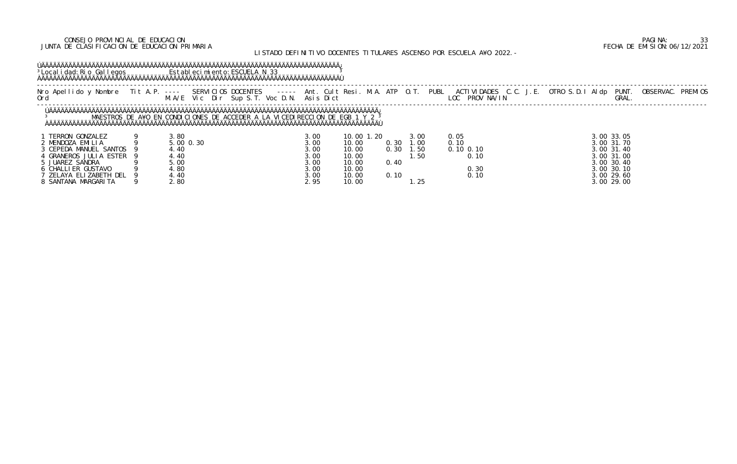### CONSEJO PROVINCIAL DE EDUCACION PAGINA: 33 JUNTA DE CLASIFICACION DE EDUCACION PRIMARIA FECHA DE EMISION:06/12/2021

# LISTADO DEFINITIVO DOCENTES TITULARES ASCENSO POR ESCUELA A¥O 2022.-

### ÚÄÄÄÄÄÄÄÄÄÄÄÄÄÄÄÄÄÄÄÄÄÄÄÄÄÄÄÄÄÄÄÄÄÄÄÄÄÄÄÄÄÄÄÄÄÄÄÄÄÄÄÄÄÄÄÄÄÄÄÄÄÄÄÄÄÄÄÄÄÄÄÄÄÄÄÄÄ¿ ³Localidad:Rio Gallegos Establecimiento:ESCUELA N 33 ³ ÀÄÄÄÄÄÄÄÄÄÄÄÄÄÄÄÄÄÄÄÄÄÄÄÄÄÄÄÄÄÄÄÄÄÄÄÄÄÄÄÄÄÄÄÄÄÄÄÄÄÄÄÄÄÄÄÄÄÄÄÄÄÄÄÄÄÄÄÄÄÄÄÄÄÄÄÄÄÙ

|                                                                                                                                                                                          |                                                                   |                                                                             |                                                               |                                                             |            |                              |                                       | Nro Apellido y Nombre Tit A.P. ---- SERVICIOS DOCENTES   ----- Ant. Cult Resi. M.A. ATP O.T. PUBL ACTIVIDADES C.C. J.E. OTRO S.D.I Aldp<br>Ord                            M.A/E Vic Dir Sup S.T. Voc D.N. Asis Dict |                                                                                                              | PUNT.<br>GRAL. | OBSERVAC. PREMI OS |  |
|------------------------------------------------------------------------------------------------------------------------------------------------------------------------------------------|-------------------------------------------------------------------|-----------------------------------------------------------------------------|---------------------------------------------------------------|-------------------------------------------------------------|------------|------------------------------|---------------------------------------|---------------------------------------------------------------------------------------------------------------------------------------------------------------------------------------------------------------------|--------------------------------------------------------------------------------------------------------------|----------------|--------------------|--|
|                                                                                                                                                                                          |                                                                   | MAESTROS DE A¥O EN CONDICIONES DE ACCEDER A LA VICEDIRECCION DE EGB 1 Y 2 3 |                                                               |                                                             |            |                              |                                       |                                                                                                                                                                                                                     |                                                                                                              |                |                    |  |
| I TERRON GONZALEZ<br>2 MENDOZA EMILIA<br>3 CEPEDA MANUEL SANTOS 9<br>4 GRANEROS JULIA ESTER 9<br>5 JUAREZ SANDRA<br>6 CHALLI ER GUSTAVO<br>7 ZELAYA ELIZABETH DEL<br>8 SANTANA MARGARITA | 3.80<br>5.00 0.30<br>4.40<br>4.40<br>5.00<br>4.80<br>4.40<br>2.80 |                                                                             | 3.00<br>3.00<br>3.00<br>3.00<br>3.00<br>3.00<br>3.00<br>2. 95 | 10.00<br>10.00<br>10.00<br>10.00<br>10.00<br>10.00<br>10.00 | 10.00 1.20 | 0.30<br>0.30<br>0.40<br>0.10 | 3.00<br>1.00<br>1.50<br>1.50<br>1. 25 | 0.05<br>0.10<br>$0.10\,0.10$<br>0.10<br>0.30<br>0.10                                                                                                                                                                | 3.00 33.05<br>3.00 31.70<br>3.00 31.40<br>3.00 31.00<br>3.00 30.40<br>3.00 30.10<br>3.00 29.60<br>3.00 29.00 |                |                    |  |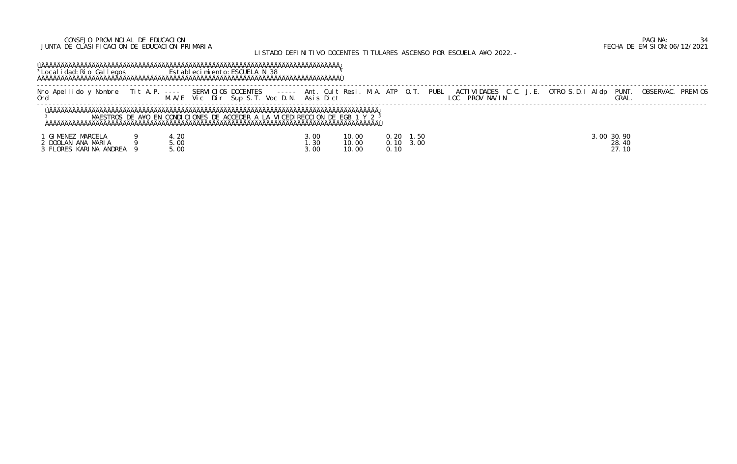### CONSEJO PROVINCIAL DE EDUCACION PAGINA: 34 JUNTA DE CLASIFICACION DE EDUCACION PRIMARIA FECHA DE EMISION:06/12/2021

## LISTADO DEFINITIVO DOCENTES TITULARES ASCENSO POR ESCUELA A¥O 2022.-

### ÚÄÄÄÄÄÄÄÄÄÄÄÄÄÄÄÄÄÄÄÄÄÄÄÄÄÄÄÄÄÄÄÄÄÄÄÄÄÄÄÄÄÄÄÄÄÄÄÄÄÄÄÄÄÄÄÄÄÄÄÄÄÄÄÄÄÄÄÄÄÄÄÄÄÄÄÄÄ¿ <sup>3</sup>Localidad:Rio Gallegos Establecimiento:ESCUELA N 38 <sup>3</sup> ÀÄÄÄÄÄÄÄÄÄÄÄÄÄÄÄÄÄÄÄÄÄÄÄÄÄÄÄÄÄÄÄÄÄÄÄÄÄÄÄÄÄÄÄÄÄÄÄÄÄÄÄÄÄÄÄÄÄÄÄÄÄÄÄÄÄÄÄÄÄÄÄÄÄÄÄÄÄÙ

| Nro Apel<br>Nombre<br>L QO- | $A \cdot P$ ---- | SERVICIOS DOCENTES<br>$\begin{array}{cccccccccc} \multicolumn{2}{c}{} & \multicolumn{2}{c}{} & \multicolumn{2}{c}{} & \multicolumn{2}{c}{} & \multicolumn{2}{c}{} & \multicolumn{2}{c}{} & \multicolumn{2}{c}{} & \multicolumn{2}{c}{} & \multicolumn{2}{c}{} & \multicolumn{2}{c}{} & \multicolumn{2}{c}{} & \multicolumn{2}{c}{} & \multicolumn{2}{c}{} & \multicolumn{2}{c}{} & \multicolumn{2}{c}{} & \multicolumn{2}{c}{} & \multicolumn{2}{c}{} & \multicolumn{2}{c}{} & \multicolumn{2}{c}{} & \mult$ | Cult Resi. M.A.<br>ATP<br>– Ant | PUBL<br>. ACTIVIDADES ( | <b>PUNT</b><br><b>PREMIOS</b><br>OBSERVAC.<br>OTRO S.D.<br>AI dp |
|-----------------------------|------------------|--------------------------------------------------------------------------------------------------------------------------------------------------------------------------------------------------------------------------------------------------------------------------------------------------------------------------------------------------------------------------------------------------------------------------------------------------------------------------------------------------------------|---------------------------------|-------------------------|------------------------------------------------------------------|
|                             | . A/E            | Vic Dir Sup S.T.<br>$Voc$ D.N.                                                                                                                                                                                                                                                                                                                                                                                                                                                                               | s Dict<br>- Asi                 | PROV NA/IN              |                                                                  |
|                             |                  |                                                                                                                                                                                                                                                                                                                                                                                                                                                                                                              |                                 |                         |                                                                  |

 ÚÄÄÄÄÄÄÄÄÄÄÄÄÄÄÄÄÄÄÄÄÄÄÄÄÄÄÄÄÄÄÄÄÄÄÄÄÄÄÄÄÄÄÄÄÄÄÄÄÄÄÄÄÄÄÄÄÄÄÄÄÄÄÄÄÄÄÄÄÄÄÄÄÄÄÄÄÄÄÄÄÄÄÄÄÄ¿ 3 MAESTROS DE A¥O EN CONDICIONES DE ACCEDER A LA VICEDIRECCION DE EGB 1 Y 2 <sup>3</sup> ÀÄÄÄÄÄÄÄÄÄÄÄÄÄÄÄÄÄÄÄÄÄÄÄÄÄÄÄÄÄÄÄÄÄÄÄÄÄÄÄÄÄÄÄÄÄÄÄÄÄÄÄÄÄÄÄÄÄÄÄÄÄÄÄÄÄÄÄÄÄÄÄÄÄÄÄÄÄÄÄÄÄÄÄÄÄÙ

| GIMENEZ MARCELA             | .20 | 3.00      | 10.00 | 1.50<br>0.20 | 30.90<br>3.00 |
|-----------------------------|-----|-----------|-------|--------------|---------------|
| ` DOOLAN ANA MARIA          | 00  | ം ദവ<br>. | 10.00 | 3.00<br>0.10 | 28.40         |
| ANDREA<br>FLORES<br>KARI NA | .00 | 3.00      | 10.00 | 0.10         | 27.10         |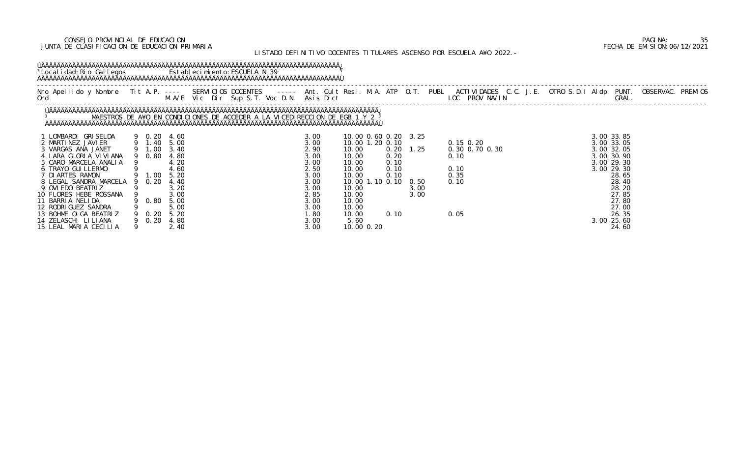### CONSEJO PROVINCIAL DE EDUCACION PAGINA: 35 JUNTA DE CLASIFICACION DE EDUCACION PRIMARIA FECHA DE EMISION:06/12/2021

# LISTADO DEFINITIVO DOCENTES TITULARES ASCENSO POR ESCUELA A¥O 2022.-

### ÚÄÄÄÄÄÄÄÄÄÄÄÄÄÄÄÄÄÄÄÄÄÄÄÄÄÄÄÄÄÄÄÄÄÄÄÄÄÄÄÄÄÄÄÄÄÄÄÄÄÄÄÄÄÄÄÄÄÄÄÄÄÄÄÄÄÄÄÄÄÄÄÄÄÄÄÄÄ¿ <sup>3</sup>Localidad:Rio Gallegos Establecimiento:ESCUELA N 39 <sup>3</sup> ÀÄÄÄÄÄÄÄÄÄÄÄÄÄÄÄÄÄÄÄÄÄÄÄÄÄÄÄÄÄÄÄÄÄÄÄÄÄÄÄÄÄÄÄÄÄÄÄÄÄÄÄÄÄÄÄÄÄÄÄÄÄÄÄÄÄÄÄÄÄÄÄÄÄÄÄÄÄÙ

|                                                                                                                                                                                                                                                                                                                                                              |                                                                                           |                                                                                                           |  |                                                                                                                      |                                                                                                                                                    |                                              |                                                      |                                                                             | OTRO S.D.I AIdp PUNT.<br>GRAL.                                                                                                                                         | OBSERVAC. PREMIOS |  |
|--------------------------------------------------------------------------------------------------------------------------------------------------------------------------------------------------------------------------------------------------------------------------------------------------------------------------------------------------------------|-------------------------------------------------------------------------------------------|-----------------------------------------------------------------------------------------------------------|--|----------------------------------------------------------------------------------------------------------------------|----------------------------------------------------------------------------------------------------------------------------------------------------|----------------------------------------------|------------------------------------------------------|-----------------------------------------------------------------------------|------------------------------------------------------------------------------------------------------------------------------------------------------------------------|-------------------|--|
| MAESTROS DE A¥O EN CONDICIONES DE ACCEDER A LA VICEDIRECCION DE EGB 1 Y 2 3                                                                                                                                                                                                                                                                                  |                                                                                           |                                                                                                           |  |                                                                                                                      |                                                                                                                                                    |                                              |                                                      |                                                                             |                                                                                                                                                                        |                   |  |
| LOMBARDI GRISELDA<br>2 MARTINEZ JAVIER<br>3 VARGAS ANA JANET<br>4 LARA GLORIA VIVIANA<br>5 CARO MARCELA ANALIA<br>6 TRAYO GUI LLERMO<br><b>J DIARTES RAMON</b><br>8 LEGAL SANDRA MARCELA<br>9 OVI EDO BEATRIZ<br>10 FLORES HEBE ROSSANA<br>11 BARRIA NELIDA<br>12 RODRI GUEZ SANDRA<br>13 BOHME OLGA BEATRIZ<br>14 ZELASCHI LILIANA<br>15 LEAL MARIA CECILIA | 9 0.20 4.60<br>9 1.40 5.00<br>9 1.00<br>9 0.80<br>1.00<br>9 0.20<br>9 0.20<br>$9 \t 0.20$ | 3.40<br>4.80<br>4.20<br>4.60<br>5.20<br>4.40<br>3.20<br>3.00<br>0.80 5.00<br>5.00<br>5.20<br>4.80<br>2.40 |  | 3.00<br>3.00<br>2.90<br>3.00<br>3.00<br>2.50<br>3.00<br>3.00<br>3.00<br>2.85<br>3.00<br>3.00<br>1.80<br>3.00<br>3.00 | 10.00 1.20 0.10<br>10.00<br>10.00<br>10.00<br>10.00<br>10.00<br>10.00 1.10 0.10<br>10.00<br>10.00<br>10.00<br>10.00<br>10.00<br>5.60<br>10.00 0.20 | 0.20<br>0.20<br>0.10<br>0.10<br>0.10<br>0.10 | 10.00 0.60 0.20 3.25<br>1.25<br>0.50<br>3.00<br>3.00 | $0.15$ $0.20$<br>0.30 0.70 0.30<br>0.10<br>$0.10$<br>$0.35$<br>0.10<br>0.05 | 3.00 33.85<br>3.00 33.05<br>3.00 32.05<br>3.00 30.90<br>3.00 29.30<br>3.00 29.30<br>28.65<br>28.40<br>28.20<br>27.85<br>27.80<br>27.00<br>26.35<br>3.00 25.60<br>24.60 |                   |  |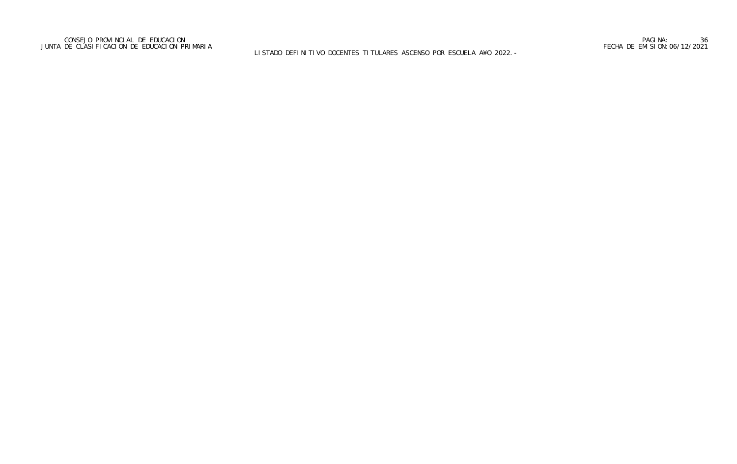CONSEJO PROVINCIAL DE EDUCACION PAGINA: 36 JUNTA DE CLASIFICACION DE EDUCACION PRIMARIA FECHA DE EMISION:06/12/2021

LISTADO DEFINITIVO DOCENTES TITULARES ASCENSO POR ESCUELA A¥O 2022.-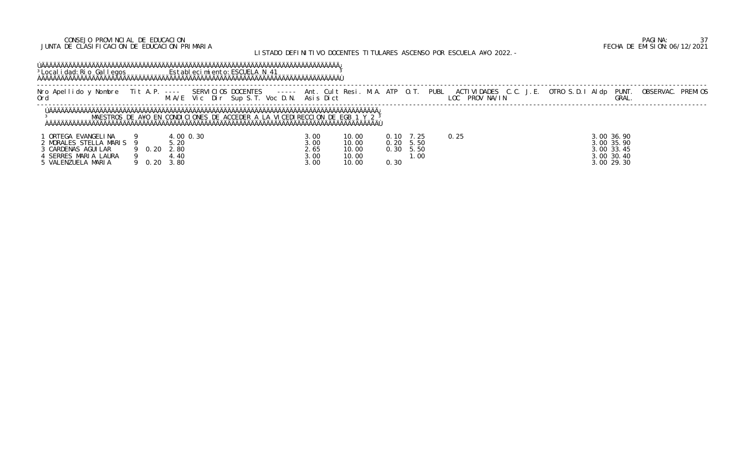### CONSEJO PROVINCIAL DE EDUCACION PAGINA: 37 JUNTA DE CLASIFICACION DE EDUCACION PRIMARIA FECHA DE EMISION:06/12/2021

## LISTADO DEFINITIVO DOCENTES TITULARES ASCENSO POR ESCUELA A¥O 2022.-

### ÚÄÄÄÄÄÄÄÄÄÄÄÄÄÄÄÄÄÄÄÄÄÄÄÄÄÄÄÄÄÄÄÄÄÄÄÄÄÄÄÄÄÄÄÄÄÄÄÄÄÄÄÄÄÄÄÄÄÄÄÄÄÄÄÄÄÄÄÄÄÄÄÄÄÄÄÄÄ¿ <sup>3</sup>Localidad:Rio Gallegos Establecimiento:ESCUELA N 41 <sup>3</sup> ÀÄÄÄÄÄÄÄÄÄÄÄÄÄÄÄÄÄÄÄÄÄÄÄÄÄÄÄÄÄÄÄÄÄÄÄÄÄÄÄÄÄÄÄÄÄÄÄÄÄÄÄÄÄÄÄÄÄÄÄÄÄÄÄÄÄÄÄÄÄÄÄÄÄÄÄÄÄÙ

 ----------------------------------------------------------------------------------------------------------------------------------------------------------------------------- Nro Apellido y Nombre Tit A.P. ---- SERVICIOS DOCENTES ----- Ant. Cult Resi. M.A. ATP O.T. PUBL ACTIVIDADES C.C. J.E. OTRO S.D.I Aldp PUNT. OBSERVAC. PREMIOS Ord M.A/E Vic Dir Sup S.T. Voc D.N. Asis Dict LOC PROV NA/IN GRAL. -----------------------------------------------------------------------------------------------------------------------------------------------------------------------------

| ORTEGA EVANGELINA<br>2 MORALES STELLA MARIS |        | 0.0000.30<br>5.20 | 3.00<br>3.00 | 10.00<br>10.00 |                   | $0.10 \quad 7.25$<br>$0.20 \quad 5.50$ | 0.25 | 3.00 36.90<br>3.00 35.90 |
|---------------------------------------------|--------|-------------------|--------------|----------------|-------------------|----------------------------------------|------|--------------------------|
| CARDENAS AGUI LAR                           | 9 0.20 | 2.80              | 2.65         | 10.00          | $0.30 \quad 5.50$ |                                        |      | 3.00 33.45               |
| SERRES MARIA LAURA                          |        | -40               | 3.00         | 10.00          |                   | .00                                    |      | 3.00 30.40               |
| 5 VALENZUELA MARIA                          | 9 0.20 | 3.80              | 3.00         | 10.00          | 0.30              |                                        |      | 3.00 29.30               |

|  | PUBL ACTIVIDADES C.C. J.E. OTRO S.D.I AI dp PUNT. OBSERVAC. PREMIOS<br>LOC PROV NA/IN |  |  | GRAL |  |
|--|---------------------------------------------------------------------------------------|--|--|------|--|
|  |                                                                                       |  |  |      |  |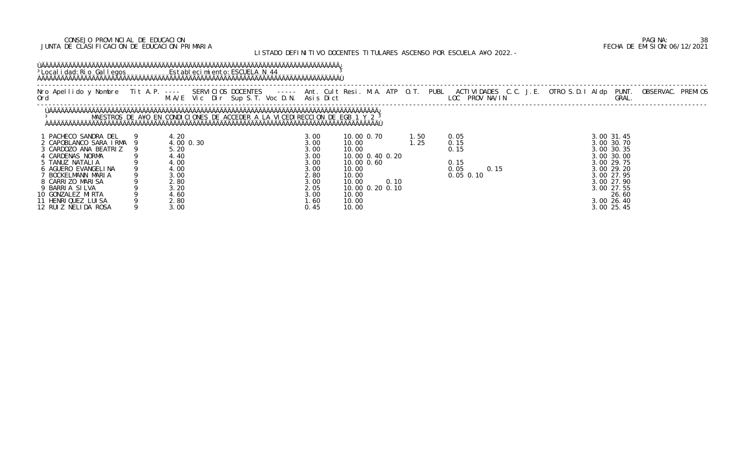### CONSEJO PROVINCIAL DE EDUCACION PAGINA: 38 JUNTA DE CLASIFICACION DE EDUCACION PRIMARIA FECHA DE EMISION:06/12/2021

# LISTADO DEFINITIVO DOCENTES TITULARES ASCENSO POR ESCUELA A¥O 2022.-

### ÚÄÄÄÄÄÄÄÄÄÄÄÄÄÄÄÄÄÄÄÄÄÄÄÄÄÄÄÄÄÄÄÄÄÄÄÄÄÄÄÄÄÄÄÄÄÄÄÄÄÄÄÄÄÄÄÄÄÄÄÄÄÄÄÄÄÄÄÄÄÄÄÄÄÄÄÄÄ¿ <sup>3</sup>Localidad:Rio Gallegos Establecimiento:ESCUELA N 44 <sup>3</sup> ÀÄÄÄÄÄÄÄÄÄÄÄÄÄÄÄÄÄÄÄÄÄÄÄÄÄÄÄÄÄÄÄÄÄÄÄÄÄÄÄÄÄÄÄÄÄÄÄÄÄÄÄÄÄÄÄÄÄÄÄÄÄÄÄÄÄÄÄÄÄÄÄÄÄÄÄÄÄÙ

| MAESTROS DE A¥O EN CONDICIONES DE ACCEDER A LA VICEDIRECCION DE EGB 1 Y 2 <sup>3</sup> |           |  |      |       |                 |      |      |               |  |            |  |
|----------------------------------------------------------------------------------------|-----------|--|------|-------|-----------------|------|------|---------------|--|------------|--|
| PACHECO SANDRA DEL                                                                     | 4.20      |  | 3.00 |       | 10.00 0.70      |      | 1.50 | 0.05          |  | 3.00 31.45 |  |
| 2 CAPOBLANCO SARA IRMA 9                                                               | 4.00 0.30 |  | 3.00 | 10.00 |                 |      | 1.25 | 0.15          |  | 3.00 30.70 |  |
| 3 CARDOZO ANA BEATRIZ                                                                  | 5.20      |  | 3.00 | 10.00 |                 |      |      | 0.15          |  | 3.00 30.35 |  |
| 4 CARDENAS NORMA                                                                       | 4.40      |  | 3.00 |       | 10.00 0.40 0.20 |      |      |               |  | 3.00 30.00 |  |
| 5 TANUZ NATALIA                                                                        | 4.00      |  | 3.00 |       | 10.00 0.60      |      |      | 0.15          |  | 3.00 29.75 |  |
| 6 AGUERO EVANGELINA                                                                    | 4.00      |  | 3.00 | 10.00 |                 |      |      | 0.05<br>0.15  |  | 3.00 29.20 |  |
| BOCKELMANN MARIA                                                                       | 3.00      |  | 2.80 | 10.00 |                 |      |      | $0.05$ $0.10$ |  | 3.00 27.95 |  |
| 8 CARRIZO MARISA                                                                       | 2.80      |  | 3.00 | 10.00 |                 | 0.10 |      |               |  | 3.00 27.90 |  |
| 9 BARRIA SILVA                                                                         | 3.20      |  | 2.05 |       | 10.00 0.20 0.10 |      |      |               |  | 3.00 27.55 |  |
| 10 GONZALEZ MIRTA                                                                      | 4.60      |  | 3.00 | 10.00 |                 |      |      |               |  | 26.60      |  |
| 11 HENRI QUEZ LUI SA                                                                   | 2.80      |  | 1.60 | 10.00 |                 |      |      |               |  | 3.00 26.40 |  |
| 12 RUIZ NELIDA ROSA                                                                    | 3.00      |  | 0.45 | 10.00 |                 |      |      |               |  | 3.00 25.45 |  |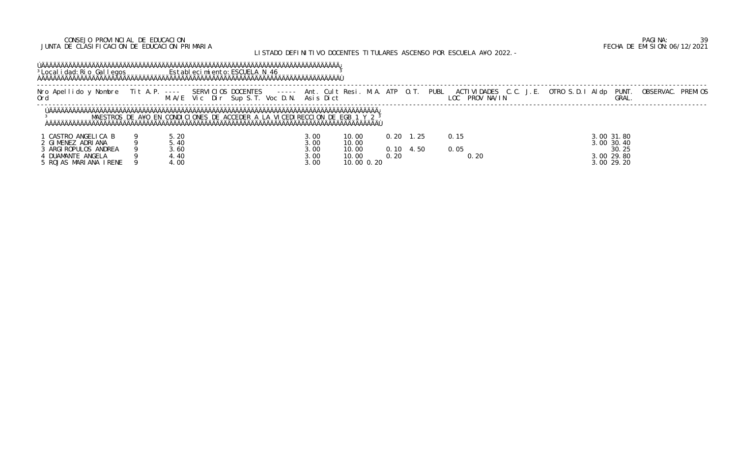### CONSEJO PROVINCIAL DE EDUCACION PAGINA: 39 JUNTA DE CLASIFICACION DE EDUCACION PRIMARIA FECHA DE EMISION:06/12/2021

# LISTADO DEFINITIVO DOCENTES TITULARES ASCENSO POR ESCUELA A¥O 2022.-

### ÚÄÄÄÄÄÄÄÄÄÄÄÄÄÄÄÄÄÄÄÄÄÄÄÄÄÄÄÄÄÄÄÄÄÄÄÄÄÄÄÄÄÄÄÄÄÄÄÄÄÄÄÄÄÄÄÄÄÄÄÄÄÄÄÄÄÄÄÄÄÄÄÄÄÄÄÄÄ¿ <sup>3</sup>Localidad:Rio Gallegos Establecimiento:ESCUELA N 46 <sup>3</sup> ÀÄÄÄÄÄÄÄÄÄÄÄÄÄÄÄÄÄÄÄÄÄÄÄÄÄÄÄÄÄÄÄÄÄÄÄÄÄÄÄÄÄÄÄÄÄÄÄÄÄÄÄÄÄÄÄÄÄÄÄÄÄÄÄÄÄÄÄÄÄÄÄÄÄÄÄÄÄÙ

| Nro Apellido y Nombre   Tit A.P. ----   SERVICIOS DOCENTES    -----  Ant. Cult Resi. M.A. ATP  0.T. |     | M.A/E Vic Dir Sup S.T. Voc D.N. Asis Dict                                                                                                                                               |  |                 |      |      | PUBL ACTIVIDADES C.C. J.E. OTRO S.D.I AIdp<br>PROV NA/IN<br>LOC. |            | PUNT.<br>GRAL | OBSERVAC. | <b>PREMIOS</b> |
|-----------------------------------------------------------------------------------------------------|-----|-----------------------------------------------------------------------------------------------------------------------------------------------------------------------------------------|--|-----------------|------|------|------------------------------------------------------------------|------------|---------------|-----------|----------------|
|                                                                                                     |     | زة المستقىم المستقىم المستقىم المستقىم المستقىم المستقى المستقى المستقى المستقى المستقى المستقى المستقى المستق<br>MAESTROS DE A¥O EN CONDICIONES DE ACCEDER A LA VICEDIRECCION DE EGB 1 |  |                 |      |      |                                                                  |            |               |           |                |
| CASTRO ANGELICA B<br>GIMENEZ ADRIANA                                                                | -40 |                                                                                                                                                                                         |  | 10. 00<br>10.00 | 0.20 | . 25 | 0.15                                                             | 3.00 30.40 | 8.00 31.80    |           |                |

| <b>CASTRO</b><br>ANGELICA B | 5. 20 | 3.00 | 10.00      | $\cap$<br>0.20 |       | 3.00 31.80 |
|-----------------------------|-------|------|------------|----------------|-------|------------|
| 2 GIMENEZ ADRIANA           | 5.40  | 3.00 | 10.00      |                |       | 3.00 30.40 |
| 3 ARGI ROPULOS ANDREA       | . 60  | 3.00 | 10.00      | 4.50<br>0.10   | 0.05  | 30.25      |
| DUAMANTE ANGELA             | -40   | 3.00 | 10.00      | 0.20           | J. 20 | 3.00 29.80 |
| 5 ROJAS MARIANA IRENE       | .00   | 3.00 | 10.00 0.20 |                |       | 3.00 29.20 |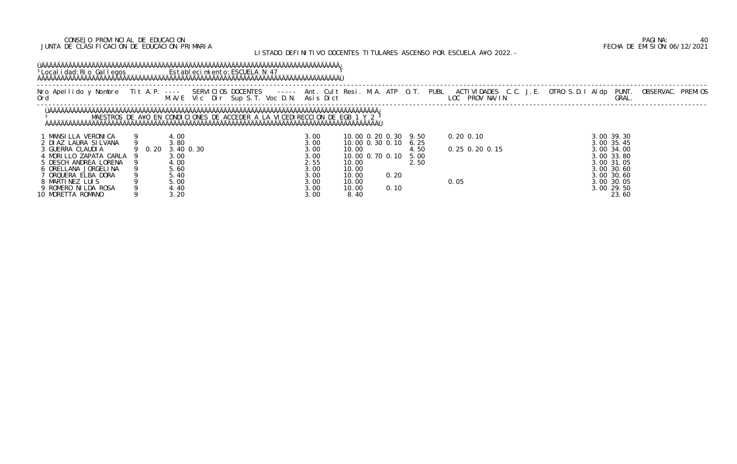### CONSEJO PROVINCIAL DE EDUCACION PAGINA: 40 JUNTA DE CLASIFICACION DE EDUCACION PRIMARIA FECHA DE EMISION:06/12/2021

# LISTADO DEFINITIVO DOCENTES TITULARES ASCENSO POR ESCUELA A¥O 2022.-

### ÚÄÄÄÄÄÄÄÄÄÄÄÄÄÄÄÄÄÄÄÄÄÄÄÄÄÄÄÄÄÄÄÄÄÄÄÄÄÄÄÄÄÄÄÄÄÄÄÄÄÄÄÄÄÄÄÄÄÄÄÄÄÄÄÄÄÄÄÄÄÄÄÄÄÄÄÄÄ¿ <sup>3</sup>Localidad:Rio Gallegos Establecimiento:ESCUELA N 47 <sup>3</sup> ÀÄÄÄÄÄÄÄÄÄÄÄÄÄÄÄÄÄÄÄÄÄÄÄÄÄÄÄÄÄÄÄÄÄÄÄÄÄÄÄÄÄÄÄÄÄÄÄÄÄÄÄÄÄÄÄÄÄÄÄÄÄÄÄÄÄÄÄÄÄÄÄÄÄÄÄÄÄÙ

|                                               |                                                                             |              |                                         |       |              |                  | Nro Apellido y Nombre Tit A.P. ---- SERVICIOS DOCENTES ----- Ant. Cult Resi. M.A. ATP O.T. PUBL ACTIVIDADES C.C. J.E. OTRO S.D.I Aldp PUNT.<br>Ord                         M.A/E Vic Dir Sup S.T. Voc D.N. Asis Dict | OBSERVAC. PREMI OS |
|-----------------------------------------------|-----------------------------------------------------------------------------|--------------|-----------------------------------------|-------|--------------|------------------|----------------------------------------------------------------------------------------------------------------------------------------------------------------------------------------------------------------------|--------------------|
|                                               | MAESTROS DE A¥O EN CONDICIONES DE ACCEDER A LA VICEDIRECCION DE EGB 1 Y 2 3 |              |                                         |       |              |                  |                                                                                                                                                                                                                      |                    |
| MANSILLA VERONICA<br>2 DIAZ LAURA SILVANA     | 4.00<br>3.80                                                                | 3.00<br>3.00 | 10.00 0.20 0.30 9.50<br>10.00 0.30 0.10 |       | 6. 25        | $0.20 \, 0.10$   | 3.00 39.30<br>3.00 35.45                                                                                                                                                                                             |                    |
| 3 GUERRA CLAUDIA<br>4 MORILLO ZAPATA CARLA 9  | 9 0.20 3.40 0.30<br>3.00                                                    | 3.00<br>3.00 | 10.00<br>10.00 0.70 0.10                |       | 4.50<br>5.00 | $0.25$ 0.20 0.15 | 3.00 34.00<br>3.00 33.80                                                                                                                                                                                             |                    |
| 5 DESCH ANDREA LORENA<br>6 ORELLANA JORGELINA | 4.00<br>5.60                                                                | 2.55<br>3.00 | 10.00<br>10.00                          |       | 2.50         |                  | 3.00 31.05<br>3.00 30.60                                                                                                                                                                                             |                    |
| 7 ORQUERA ELBA DORA<br>8 MARTINEZ LUIS        | 5.40<br>5.00                                                                | 3.00<br>3.00 | 10.00<br>10.00                          | 0. 20 |              | 0.05             | 3.00 30.60<br>3.00 30.05                                                                                                                                                                                             |                    |
| 9 ROMERO NILDA ROSA<br>10 MORETTA ROMANO      | 4.40<br>3.20                                                                | 3.00<br>3.00 | 10.00<br>8.40                           | 0.10  |              |                  | 3.00 29.50<br>23.60                                                                                                                                                                                                  |                    |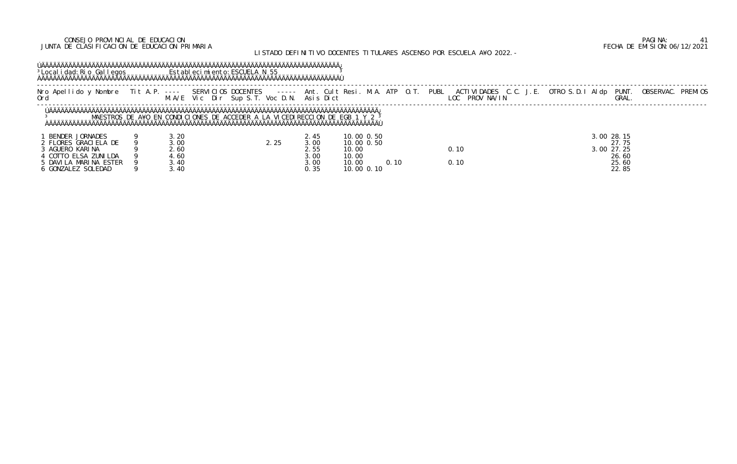### CONSEJO PROVINCIAL DE EDUCACION PAGINA: 41 JUNTA DE CLASIFICACION DE EDUCACION PRIMARIA FECHA DE EMISION:06/12/2021

## LISTADO DEFINITIVO DOCENTES TITULARES ASCENSO POR ESCUELA A¥O 2022.-

### ÚÄÄÄÄÄÄÄÄÄÄÄÄÄÄÄÄÄÄÄÄÄÄÄÄÄÄÄÄÄÄÄÄÄÄÄÄÄÄÄÄÄÄÄÄÄÄÄÄÄÄÄÄÄÄÄÄÄÄÄÄÄÄÄÄÄÄÄÄÄÄÄÄÄÄÄÄÄ¿ <sup>3</sup>Localidad:Rio Gallegos Establecimiento:ESCUELA N 55 <sup>3</sup> ÀÄÄÄÄÄÄÄÄÄÄÄÄÄÄÄÄÄÄÄÄÄÄÄÄÄÄÄÄÄÄÄÄÄÄÄÄÄÄÄÄÄÄÄÄÄÄÄÄÄÄÄÄÄÄÄÄÄÄÄÄÄÄÄÄÄÄÄÄÄÄÄÄÄÄÄÄÄÙ

 ----------------------------------------------------------------------------------------------------------------------------------------------------------------------------- Nro Apellido y Nombre Tit A.P. ---- SERVICIOS DOCENTES ----- Ant. Cult Resi. M.A. ATP O.T. PUBL ACTIVIDADES C.C. J.E. OTRO S.D.I Aldp PUNT. OBSERVAC. PREMIOS Ord M.A/E Vic Dir Sup S.T. Voc D.N. Asis Dict LOC PROV NA/IN GRAL. -----------------------------------------------------------------------------------------------------------------------------------------------------------------------------

| BENDER<br><b>JORNADES</b>      | 3.20 |      | 2.45 | 10.00 0.50    |      | 28.15<br>3.00 |
|--------------------------------|------|------|------|---------------|------|---------------|
| 2 FLORES<br><b>GRACIELA DE</b> | .00  | 2.25 | 3.00 | 10.00 0.50    |      | 27.75         |
| AGUERO<br>KARI NA              | .60  |      | 2.55 | 10.00         | 0.10 | 3.00 27.25    |
| COTTO ELSA ZUNILDA             | . 60 |      | 3.00 | 10.00         |      | 26.60         |
| DAVI LA<br>MARINA ESTER        | 40   |      | 3.00 | 10.00<br>0.10 | 0.10 | 25.60         |
| GONZALEZ SOLEDAD               | . 40 |      | 0.35 | 10.00 0.10    |      | 22.85         |

|      | 3.00 28.15 |
|------|------------|
|      | 27.75      |
| 0.10 | 3.00 27.25 |
|      | 26.60      |
| 0.10 | 25.60      |
|      | 22 R5      |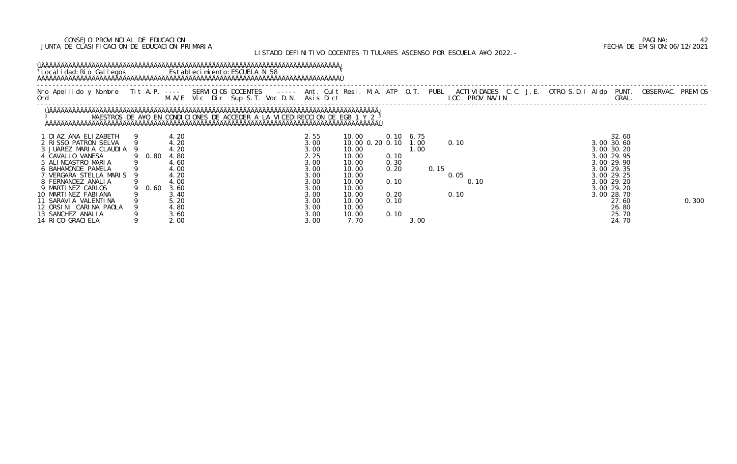### CONSEJO PROVINCIAL DE EDUCACION PAGINA: 42 JUNTA DE CLASIFICACION DE EDUCACION PRIMARIA FECHA DE EMISION:06/12/2021

# LISTADO DEFINITIVO DOCENTES TITULARES ASCENSO POR ESCUELA A¥O 2022.-

### ÚÄÄÄÄÄÄÄÄÄÄÄÄÄÄÄÄÄÄÄÄÄÄÄÄÄÄÄÄÄÄÄÄÄÄÄÄÄÄÄÄÄÄÄÄÄÄÄÄÄÄÄÄÄÄÄÄÄÄÄÄÄÄÄÄÄÄÄÄÄÄÄÄÄÄÄÄÄ¿ <sup>3</sup>Localidad:Rio Gallegos Establecimiento:ESCUELA N 58 <sup>3</sup> ÀÄÄÄÄÄÄÄÄÄÄÄÄÄÄÄÄÄÄÄÄÄÄÄÄÄÄÄÄÄÄÄÄÄÄÄÄÄÄÄÄÄÄÄÄÄÄÄÄÄÄÄÄÄÄÄÄÄÄÄÄÄÄÄÄÄÄÄÄÄÄÄÄÄÄÄÄÄÙ

|                                                                                                                                                                                                                                                                                                                                 |                     |                                                                                                              |  |                                                                                                              |                                                                                                                  |                 |                                                      |                                            |                              | LOC PROV NA/IN |  |                                                                                                                                                                         | OBSERVAC. PREMI OS |       |
|---------------------------------------------------------------------------------------------------------------------------------------------------------------------------------------------------------------------------------------------------------------------------------------------------------------------------------|---------------------|--------------------------------------------------------------------------------------------------------------|--|--------------------------------------------------------------------------------------------------------------|------------------------------------------------------------------------------------------------------------------|-----------------|------------------------------------------------------|--------------------------------------------|------------------------------|----------------|--|-------------------------------------------------------------------------------------------------------------------------------------------------------------------------|--------------------|-------|
|                                                                                                                                                                                                                                                                                                                                 |                     |                                                                                                              |  |                                                                                                              | MAESTROS DE A¥O EN CONDICIONES DE ACCEDER A LA VICEDIRECCION DE EGB 1 Y 2 3                                      |                 |                                                      |                                            |                              |                |  |                                                                                                                                                                         |                    |       |
| DI AZ ANA ELIZABETH<br>2 RISSO PATRON SELVA<br>3 JUAREZ MARIA CLAUDIA<br>4 CAVALLO VANESA<br>5 ALINCASTRO MARIA<br>6 BAHAMONDE PAMELA<br>7 VERGARA STELLA MARIS<br>8 FERNANDEZ ANALIA<br>9 MARTINEZ CARLOS<br>10 MARTINEZ FABIANA<br>11 SARAVI A VALENTI NA<br>12 ORSINI CARINA PAOLA<br>13 SANCHEZ ANALIA<br>14 RICO GRACI ELA | 9 0.80<br>9<br>0.60 | 4.20<br>4.20<br>4.20<br>4.80<br>4.60<br>4.00<br>4.20<br>4.00<br>3.60<br>3.40<br>5.20<br>4.80<br>3.60<br>2.00 |  | 2.55<br>3.00<br>3.00<br>2.25<br>3.00<br>3.00<br>3.00<br>3.00<br>3.00<br>3.00<br>3.00<br>3.00<br>3.00<br>3.00 | 10.00<br>10.00<br>10.00<br>10.00<br>10.00<br>10.00<br>10.00<br>10.00<br>10.00<br>10.00<br>10.00<br>10.00<br>7.70 | 10.00 0.20 0.10 | 0.10<br>0.30<br>0.20<br>0.10<br>0.20<br>0.10<br>0.10 | $0.10 \quad 6.75$<br>1.00<br>1.00<br>3. OC | 0.10<br>0.15<br>0.05<br>0.10 | 0.10           |  | 32.60<br>3.00 30.60<br>3.00 30.20<br>3.00 29.95<br>3.00 29.90<br>3.00 29.35<br>3.00 29.25<br>3.00 29.20<br>3.00 29.20<br>3.00 28.70<br>27.60<br>26.80<br>25.70<br>24.70 |                    | 0.300 |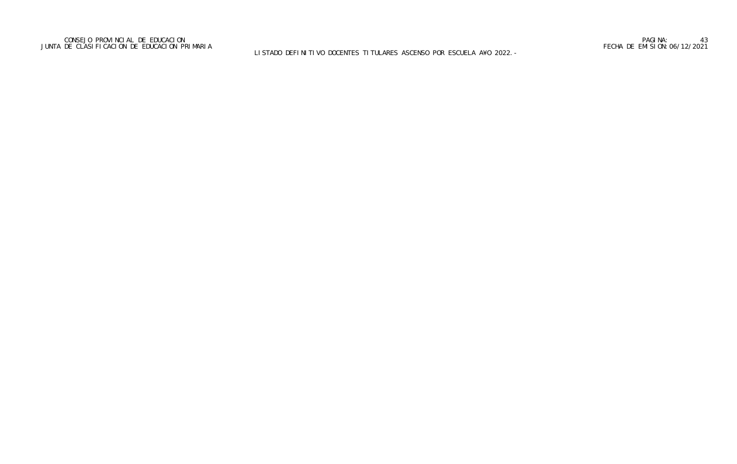CONSEJO PROVINCIAL DE EDUCACION PAGINA: 43 JUNTA DE CLASIFICACION DE EDUCACION PRIMARIA FECHA DE EMISION:06/12/2021

LISTADO DEFINITIVO DOCENTES TITULARES ASCENSO POR ESCUELA A¥O 2022.-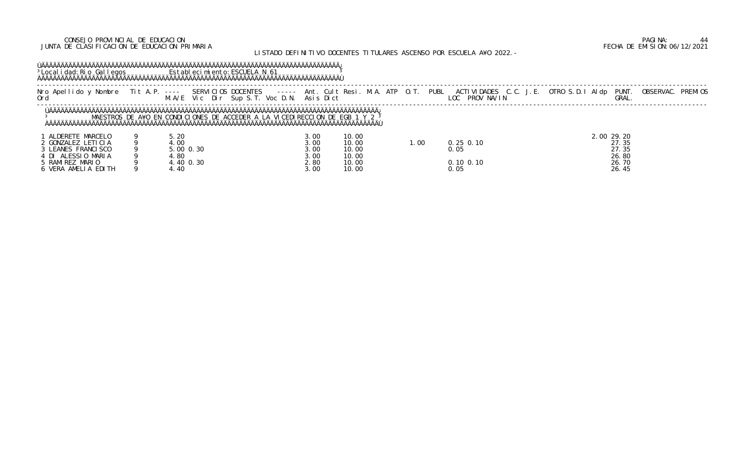### CONSEJO PROVINCIAL DE EDUCACION PAGINA: 44 JUNTA DE CLASIFICACION DE EDUCACION PRIMARIA FECHA DE EMISION:06/12/2021

## LISTADO DEFINITIVO DOCENTES TITULARES ASCENSO POR ESCUELA A¥O 2022.-

 ----------------------------------------------------------------------------------------------------------------------------------------------------------------------------- Nro Apellido y Nombre Tit A.P. ---- SERVICIOS DOCENTES ----- Ant. Cult Resi. M.A. ATP O.T. PUBL ACTIVIDADES C.C. J.E. OTRO S.D.I Aldp PUNT. OBSERVAC. PREMIOS Ord M.A/E Vic Dir Sup S.T. Voc D.N. Asis Dict LOC PROV NA/IN GRAL.

### ÚÄÄÄÄÄÄÄÄÄÄÄÄÄÄÄÄÄÄÄÄÄÄÄÄÄÄÄÄÄÄÄÄÄÄÄÄÄÄÄÄÄÄÄÄÄÄÄÄÄÄÄÄÄÄÄÄÄÄÄÄÄÄÄÄÄÄÄÄÄÄÄÄÄÄÄÄÄ¿ <sup>3</sup>Localidad:Rio Gallegos Establecimiento:ESCUELA N 61 <sup>3</sup> ÀÄÄÄÄÄÄÄÄÄÄÄÄÄÄÄÄÄÄÄÄÄÄÄÄÄÄÄÄÄÄÄÄÄÄÄÄÄÄÄÄÄÄÄÄÄÄÄÄÄÄÄÄÄÄÄÄÄÄÄÄÄÄÄÄÄÄÄÄÄÄÄÄÄÄÄÄÄÙ

| PUBL<br>M.A.<br>ACTI VI DADES C.C.<br>SERVICIOS DOCENTES<br>ATP<br>OTRO S.D.<br>Nro Apel<br>Resi<br>Ant<br>AI do<br>_ _ _ _ _ | <b>PUNT</b><br><b>OBSERVA</b> |
|-------------------------------------------------------------------------------------------------------------------------------|-------------------------------|
| Asis Dict<br>NA/IN<br><b>PROV</b><br>Voc l<br>Sup S.T<br>. A/F<br>Vic Dir<br>DN.                                              | <b>GRAL</b>                   |
|                                                                                                                               |                               |

|     |                | 2.00 29.20 |
|-----|----------------|------------|
| -00 | $0.25$ 0.10    | 27.35      |
|     | 0.05           | 27.35      |
|     |                | 26.80      |
|     | $0.10 \, 0.10$ | 26.70      |
|     | 0. 05          | 26.45      |

| ALDERETE MARCELO              | .20     | 3.00 | 10.00 |     |               | 29.20<br>2.00 |
|-------------------------------|---------|------|-------|-----|---------------|---------------|
| 2 GONZALEZ LETICIA            | .00     | 3.00 | 10.00 | .00 | $0.25$ $0.10$ | 27.35         |
| <b>FRANCI SCO</b><br>3 LEANES | 000.30  | 3.00 | 10.00 |     | 0. 05         | 27.35         |
| ALESSIO MARIA<br>DI.          | .80     | 3.00 | 10.00 |     |               | 26.80         |
| RAMIREZ MARIO                 | 40 0.30 | 2.80 | 10.00 |     | $0.10$ $0.10$ | 26.70         |
| VERA AMELIA EDITH             | 40      | 3.00 | 10.00 |     | 0.05          | 26.45         |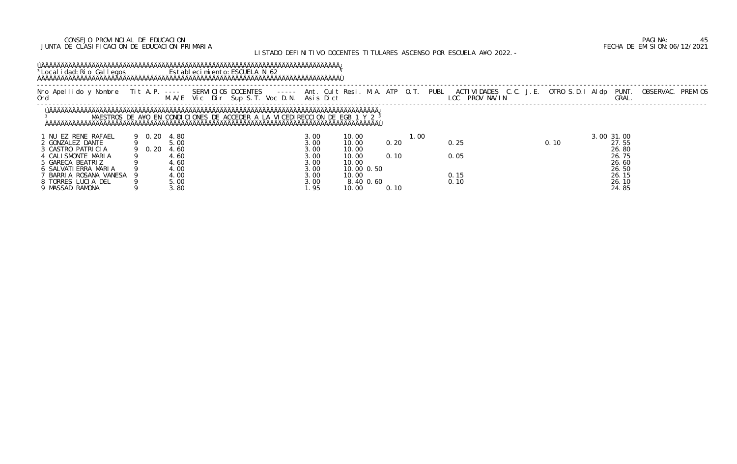### CONSEJO PROVINCIAL DE EDUCACION PAGINA: 45 JUNTA DE CLASIFICACION DE EDUCACION PRIMARIA FECHA DE EMISION:06/12/2021

## LISTADO DEFINITIVO DOCENTES TITULARES ASCENSO POR ESCUELA A¥O 2022.-

### ÚÄÄÄÄÄÄÄÄÄÄÄÄÄÄÄÄÄÄÄÄÄÄÄÄÄÄÄÄÄÄÄÄÄÄÄÄÄÄÄÄÄÄÄÄÄÄÄÄÄÄÄÄÄÄÄÄÄÄÄÄÄÄÄÄÄÄÄÄÄÄÄÄÄÄÄÄÄ¿ <sup>3</sup>Localidad:Rio Gallegos Establecimiento:ESCUELA N 62 <sup>3</sup> ÀÄÄÄÄÄÄÄÄÄÄÄÄÄÄÄÄÄÄÄÄÄÄÄÄÄÄÄÄÄÄÄÄÄÄÄÄÄÄÄÄÄÄÄÄÄÄÄÄÄÄÄÄÄÄÄÄÄÄÄÄÄÄÄÄÄÄÄÄÄÄÄÄÄÄÄÄÄÙ

 ----------------------------------------------------------------------------------------------------------------------------------------------------------------------------- Nro Apellido y Nombre Tit A.P. ---- SERVICIOS DOCENTES ----- Ant. Cult Resi. M.A. ATP O.T. PUBL ACTIVIDADES C.C. J.E. OTRO S.D.I Aldp PUNT. OBSERVAC. PREMIOS Ord M.A/E Vic Dir Sup S.T. Voc D.N. Asis Dict LOC PROV NA/IN GRAL. -----------------------------------------------------------------------------------------------------------------------------------------------------------------------------

| NU EZ RENE RAFAEL    | $9 \t 0.20$ | 4.80 | 3.00 | 10.00      |      | .00  |      | 3.00 31.00 |
|----------------------|-------------|------|------|------------|------|------|------|------------|
| 2 GONZALEZ DANTE     |             | 5.00 | 3.00 | 10.00      | 0.20 | 0.25 | 0.10 | 27.55      |
| 3 CASTRO PATRICIA    | $9 \t 0.20$ | 4.60 | 3.00 | 10.00      |      |      |      | 26.80      |
| 4 CALISMONTE MARIA   |             | 4.60 | 3.00 | 10.00      | 0.10 | 0.05 |      | 26.75      |
| 5 GARECA BEATRIZ     |             | 4.60 | 3.00 | 10.00      |      |      |      | 26.60      |
| 6 SALVATI ERRA MARIA |             | 4.00 | 3.00 | 10.00 0.50 |      |      |      | 26.50      |
| BARRIA ROSANA VANESA |             | 4.00 | 3.00 | 10.00      |      | 0.15 |      | 26.15      |
| TORRES LUCIA DEL     |             | 5.00 | 3.00 | 8.40 0.60  |      | 0.10 |      | 26.10      |
| 9 MASSAD RAMONA      |             | .80  | . 95 | 10.00      | 0.10 |      |      | 24.85      |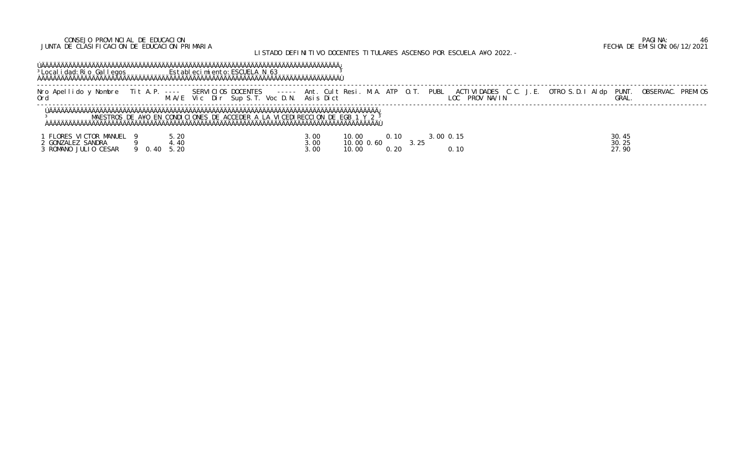### CONSEJO PROVINCIAL DE EDUCACION PAGINA: 46 JUNTA DE CLASIFICACION DE EDUCACION PRIMARIA FECHA DE EMISION:06/12/2021

## LISTADO DEFINITIVO DOCENTES TITULARES ASCENSO POR ESCUELA A¥O 2022.-

### ÚÄÄÄÄÄÄÄÄÄÄÄÄÄÄÄÄÄÄÄÄÄÄÄÄÄÄÄÄÄÄÄÄÄÄÄÄÄÄÄÄÄÄÄÄÄÄÄÄÄÄÄÄÄÄÄÄÄÄÄÄÄÄÄÄÄÄÄÄÄÄÄÄÄÄÄÄÄ¿ <sup>3</sup>Localidad:Rio Gallegos Establecimiento:ESCUELA N 63 <sup>3</sup> ÀÄÄÄÄÄÄÄÄÄÄÄÄÄÄÄÄÄÄÄÄÄÄÄÄÄÄÄÄÄÄÄÄÄÄÄÄÄÄÄÄÄÄÄÄÄÄÄÄÄÄÄÄÄÄÄÄÄÄÄÄÄÄÄÄÄÄÄÄÄÄÄÄÄÄÄÄÄÙ

 ----------------------------------------------------------------------------------------------------------------------------------------------------------------------------- Nro Apellido y Nombre Tit A.P. ---- SERVICIOS DOCENTES ----- Ant. Cult Resi. M.A. ATP O.T. PUBL ACTIVIDADES C.C. J.E. OTRO S.D.I Aldp PUNT. OBSERVAC. PREMIOS Ord M.A/E Vic Dir Sup S.T. Voc D.N. Asis Dict LOC PROV NA/IN GRAL. -----------------------------------------------------------------------------------------------------------------------------------------------------------------------------

| VICTOR MANUEL<br>.20<br><b>FLORES</b>             | 10.00<br>3.00<br>$3.000$ . 1 <sup>F</sup><br>0.10 | 30.45 |
|---------------------------------------------------|---------------------------------------------------|-------|
| <b>GONZALEZ SANDRA</b><br>40                      | 3.00<br>10.00 0.60<br>3. Z5                       | 30.25 |
| JULIO CESAR<br>ROMANO<br>5.20<br>. 40<br>$\Omega$ | 10.00<br>3.00<br>$\sqrt{10}$<br>0.20<br>1 U       | 27.90 |

| <b>PUBL</b> | ACTIVIDADES C.C. J.E. OTRO S.D.I AI dp PUNT.<br>PROV NA/IN |  |  | OBSERVAC. PREMIOS |  |
|-------------|------------------------------------------------------------|--|--|-------------------|--|
|             |                                                            |  |  |                   |  |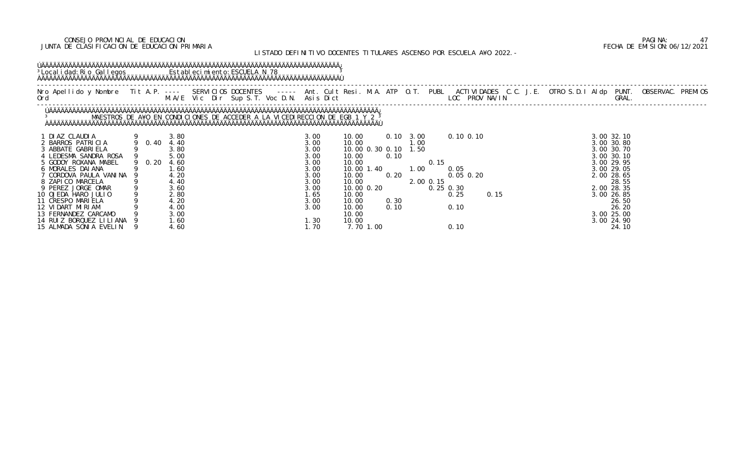### CONSEJO PROVINCIAL DE EDUCACION PAGINA: 47 JUNTA DE CLASIFICACION DE EDUCACION PRIMARIA FECHA DE EMISION:06/12/2021

# LISTADO DEFINITIVO DOCENTES TITULARES ASCENSO POR ESCUELA A¥O 2022.-

| MAESTROS DE A¥O EN CONDICIONES DE ACCEDER A LA VICEDIRECCION DE EGB 1 Y 2 3<br>1 DIAZ CLAUDIA<br>3.80<br>3.00 32.10<br>3.00<br>$0.10$ $0.10$<br>10.00<br>$0.10 \quad 3.00$<br>3.00<br>1.00<br>3.00 30.80<br>2 BARROS PATRICIA<br>9<br>0.40<br>4.40<br>10.00<br>3.00<br>3.80<br>1.50<br>3.00 30.70<br>3 ABBATE GABRIELA<br>10.00 0.30 0.10<br>5.00<br>3.00<br>3.00 30.10<br>4 LEDESMA SANDRA ROSA<br>0.10<br>10.00<br>3.00<br>0.20<br>4.60<br>10.00<br>0.15<br>3.00 29.95<br>5 GODOY ROXANA MABEL<br>3.00<br>1.60<br>6 MORALES DAI ANA<br>10.00 1.40<br>3.00 29.05<br>1.00<br>0.05<br>4.20<br>3.00<br>7 CORDOVA PAULA VANINA<br>$0.05$ $0.20$<br>2.00 28.65<br>0.20<br>10.00<br>4.40<br>3.00<br>28.55<br>8 ZAPICO MARCELA<br>10.00<br>2.00 0.15<br>3.60<br>3.00<br>2.00 28.35<br>10.00 0.20<br>9 PEREZ JORGE OMAR<br>$0.25$ 0.30<br>2.80<br>1.65<br>3.00 26.85<br>10 OJEDA HARO JULIO<br>0.25<br>0.15<br>10.00<br>4.20<br>26.50<br>11 CRESPO MARIELA<br>3.00<br>0.30<br>10.00<br>4.00<br>26.20<br>3.00<br>0.10<br>12 VIDART MIRIAM<br>0.10<br>10.00<br>13 FERNANDEZ CARCAMO<br>3.00<br>3.00 25.00<br>10.00 | Nro Apellido y Nombre Tit A.P. ---- SERVICIOS DOCENTES ----- Ant. Cult Resi. M.A. ATP O.T. PUBL ACTIVIDADES C.C. J.E. OTRO S.D.I AIdp PUNT. OBSERVAC. PREMIOS<br>Ord             M.A/E Vic Dir Sup S.T. Voc D.N. Asis Dict |  |      |  |      |  |  |  |  |  |  |
|-----------------------------------------------------------------------------------------------------------------------------------------------------------------------------------------------------------------------------------------------------------------------------------------------------------------------------------------------------------------------------------------------------------------------------------------------------------------------------------------------------------------------------------------------------------------------------------------------------------------------------------------------------------------------------------------------------------------------------------------------------------------------------------------------------------------------------------------------------------------------------------------------------------------------------------------------------------------------------------------------------------------------------------------------------------------------------------------------------------|----------------------------------------------------------------------------------------------------------------------------------------------------------------------------------------------------------------------------|--|------|--|------|--|--|--|--|--|--|
|                                                                                                                                                                                                                                                                                                                                                                                                                                                                                                                                                                                                                                                                                                                                                                                                                                                                                                                                                                                                                                                                                                           |                                                                                                                                                                                                                            |  |      |  |      |  |  |  |  |  |  |
|                                                                                                                                                                                                                                                                                                                                                                                                                                                                                                                                                                                                                                                                                                                                                                                                                                                                                                                                                                                                                                                                                                           |                                                                                                                                                                                                                            |  |      |  |      |  |  |  |  |  |  |
|                                                                                                                                                                                                                                                                                                                                                                                                                                                                                                                                                                                                                                                                                                                                                                                                                                                                                                                                                                                                                                                                                                           |                                                                                                                                                                                                                            |  |      |  |      |  |  |  |  |  |  |
|                                                                                                                                                                                                                                                                                                                                                                                                                                                                                                                                                                                                                                                                                                                                                                                                                                                                                                                                                                                                                                                                                                           |                                                                                                                                                                                                                            |  |      |  |      |  |  |  |  |  |  |
|                                                                                                                                                                                                                                                                                                                                                                                                                                                                                                                                                                                                                                                                                                                                                                                                                                                                                                                                                                                                                                                                                                           |                                                                                                                                                                                                                            |  |      |  |      |  |  |  |  |  |  |
|                                                                                                                                                                                                                                                                                                                                                                                                                                                                                                                                                                                                                                                                                                                                                                                                                                                                                                                                                                                                                                                                                                           |                                                                                                                                                                                                                            |  |      |  |      |  |  |  |  |  |  |
|                                                                                                                                                                                                                                                                                                                                                                                                                                                                                                                                                                                                                                                                                                                                                                                                                                                                                                                                                                                                                                                                                                           |                                                                                                                                                                                                                            |  |      |  |      |  |  |  |  |  |  |
|                                                                                                                                                                                                                                                                                                                                                                                                                                                                                                                                                                                                                                                                                                                                                                                                                                                                                                                                                                                                                                                                                                           |                                                                                                                                                                                                                            |  |      |  |      |  |  |  |  |  |  |
|                                                                                                                                                                                                                                                                                                                                                                                                                                                                                                                                                                                                                                                                                                                                                                                                                                                                                                                                                                                                                                                                                                           |                                                                                                                                                                                                                            |  |      |  |      |  |  |  |  |  |  |
|                                                                                                                                                                                                                                                                                                                                                                                                                                                                                                                                                                                                                                                                                                                                                                                                                                                                                                                                                                                                                                                                                                           |                                                                                                                                                                                                                            |  |      |  |      |  |  |  |  |  |  |
|                                                                                                                                                                                                                                                                                                                                                                                                                                                                                                                                                                                                                                                                                                                                                                                                                                                                                                                                                                                                                                                                                                           |                                                                                                                                                                                                                            |  |      |  |      |  |  |  |  |  |  |
|                                                                                                                                                                                                                                                                                                                                                                                                                                                                                                                                                                                                                                                                                                                                                                                                                                                                                                                                                                                                                                                                                                           |                                                                                                                                                                                                                            |  |      |  |      |  |  |  |  |  |  |
|                                                                                                                                                                                                                                                                                                                                                                                                                                                                                                                                                                                                                                                                                                                                                                                                                                                                                                                                                                                                                                                                                                           |                                                                                                                                                                                                                            |  |      |  |      |  |  |  |  |  |  |
| 3.00 24.90<br>10.00<br>4.60<br>1.70<br>7.70 1.00<br>0.10<br>24.10<br>15 ALMADA SONIA EVELIN                                                                                                                                                                                                                                                                                                                                                                                                                                                                                                                                                                                                                                                                                                                                                                                                                                                                                                                                                                                                               | 14 RUIZ BORQUEZ LILIANA                                                                                                                                                                                                    |  | 1.60 |  | 1.30 |  |  |  |  |  |  |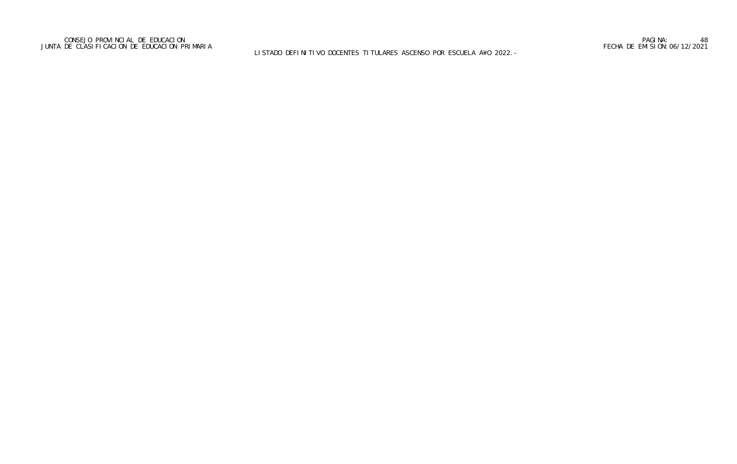CONSEJO PROVINCIAL DE EDUCACION PAGINA: 48 JUNTA DE CLASIFICACION DE EDUCACION PRIMARIA FECHA DE EMISION:06/12/2021

LISTADO DEFINITIVO DOCENTES TITULARES ASCENSO POR ESCUELA A¥O 2022.-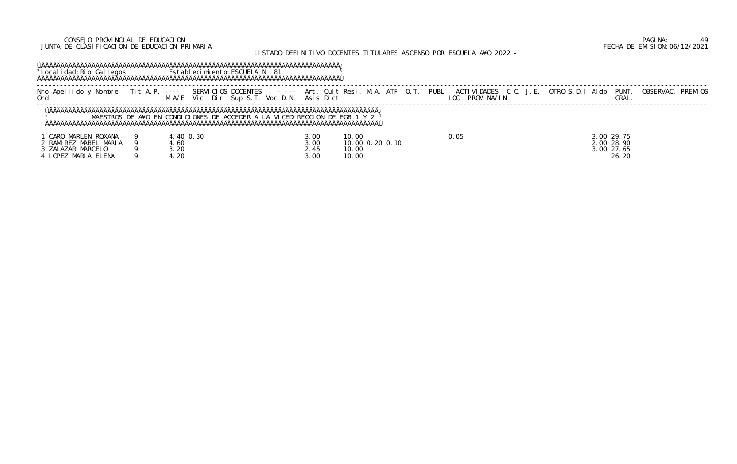### CONSEJO PROVINCIAL DE EDUCACION PAGINA: 49 JUNTA DE CLASIFICACION DE EDUCACION PRIMARIA FECHA DE EMISION:06/12/2021

## LISTADO DEFINITIVO DOCENTES TITULARES ASCENSO POR ESCUELA A¥O 2022.-

### ÚÄÄÄÄÄÄÄÄÄÄÄÄÄÄÄÄÄÄÄÄÄÄÄÄÄÄÄÄÄÄÄÄÄÄÄÄÄÄÄÄÄÄÄÄÄÄÄÄÄÄÄÄÄÄÄÄÄÄÄÄÄÄÄÄÄÄÄÄÄÄÄÄÄÄÄÄÄ¿ <sup>3</sup>Localidad:Rio Gallegos Establecimiento:ESCUELA N 81 <sup>3</sup> ÀÄÄÄÄÄÄÄÄÄÄÄÄÄÄÄÄÄÄÄÄÄÄÄÄÄÄÄÄÄÄÄÄÄÄÄÄÄÄÄÄÄÄÄÄÄÄÄÄÄÄÄÄÄÄÄÄÄÄÄÄÄÄÄÄÄÄÄÄÄÄÄÄÄÄÄÄÄÙ

 ----------------------------------------------------------------------------------------------------------------------------------------------------------------------------- Nro Apellido y Nombre Tit A.P. ---- SERVICIOS DOCENTES ----- Ant. Cult Resi. M.A. ATP O.T. PUBL ACTIVIDADES C.C. J.E. OTRO S.D.I Aldp PUNT. OBSERVAC. PREMIOS Ord M.A/E Vic Dir Sup S.T. Voc D.N. Asis Dict LOC PROV NA/IN GRAL. -----------------------------------------------------------------------------------------------------------------------------------------------------------------------------

| MARLEN ROXANA<br>CARO    | 40 0.30 | 3.00 | 10.00           | 0.05 | 29.75<br>3.00 |
|--------------------------|---------|------|-----------------|------|---------------|
| RAMI REZ MABEL<br>MARI A | .60     | 3.00 | 10.00 0.20 0.10 |      | 2.00 28.90    |
| ZALAZAR MARCELO          | 3.20    | つ イに | 10.00           |      | 3.00 27.65    |
| MARIA ELENA<br>LOPEZ     | 20      | 3.00 | 10.00           |      | 26.20         |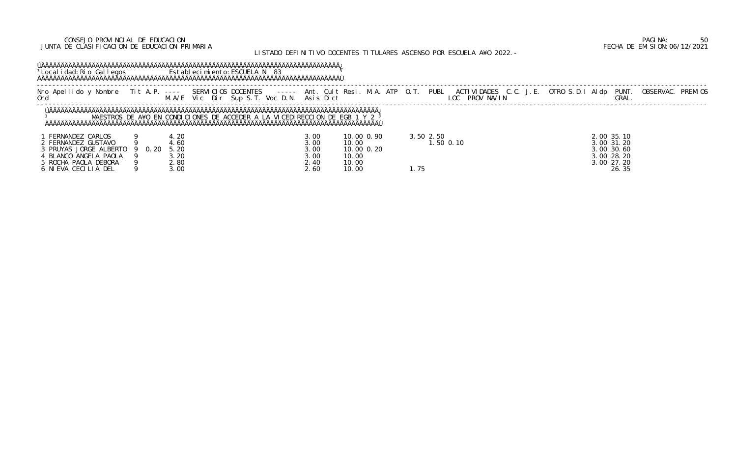### CONSEJO PROVINCIAL DE EDUCACION PAGINA: 50 JUNTA DE CLASIFICACION DE EDUCACION PRIMARIA FECHA DE EMISION:06/12/2021

## LISTADO DEFINITIVO DOCENTES TITULARES ASCENSO POR ESCUELA A¥O 2022.-

 ----------------------------------------------------------------------------------------------------------------------------------------------------------------------------- Nro Apellido y Nombre Tit A.P. ---- SERVICIOS DOCENTES ----- Ant. Cult Resi. M.A. ATP O.T. PUBL ACTIVIDADES C.C. J.E. OTRO S.D.I Aldp PUNT. OBSERVAC. PREMIOS Ord M.A/E Vic Dir Sup S.T. Voc D.N. Asis Dict LOC PROV NA/IN GRAL.

### ÚÄÄÄÄÄÄÄÄÄÄÄÄÄÄÄÄÄÄÄÄÄÄÄÄÄÄÄÄÄÄÄÄÄÄÄÄÄÄÄÄÄÄÄÄÄÄÄÄÄÄÄÄÄÄÄÄÄÄÄÄÄÄÄÄÄÄÄÄÄÄÄÄÄÄÄÄÄ¿ <sup>3</sup>Localidad:Rio Gallegos Establecimiento:ESCUELA N 83 3 ÀÄÄÄÄÄÄÄÄÄÄÄÄÄÄÄÄÄÄÄÄÄÄÄÄÄÄÄÄÄÄÄÄÄÄÄÄÄÄÄÄÄÄÄÄÄÄÄÄÄÄÄÄÄÄÄÄÄÄÄÄÄÄÄÄÄÄÄÄÄÄÄÄÄÄÄÄÄÙ

| Nombre<br>Nro<br>Anel<br>LINO J | Tit A P<br>$\ldots$ A/F | SERVICIOS DOCENTES<br>$Voc$ D.N.<br>Dir<br>Vi c<br>Sup S.T. | Asis Dict | PUBL<br>L ATP 0.T | ACTIVIDADES C.C. J.<br>$\prime$ NA/IN<br><b>PROV</b> | <b>OBSERVAC</b><br>PUNT.<br>OTRO S.D.<br>Al dp<br>GRAL | PREMI OS |
|---------------------------------|-------------------------|-------------------------------------------------------------|-----------|-------------------|------------------------------------------------------|--------------------------------------------------------|----------|
|                                 |                         |                                                             |           |                   |                                                      |                                                        |          |

| FERNANDEZ CARLOS     |        | 4.20 | 3.00 | 10.00 0.90 | 3.50 2.50 | 2.00 35.10 |
|----------------------|--------|------|------|------------|-----------|------------|
| FERNANDEZ GUSTAVO    |        | .60  | 3.00 | 10.00      | .50 0.10  | 3.00 31.20 |
| PRUYAS JORGE ALBERTO | 9 0.20 | 5.20 | 3.00 | 10,00 0,20 |           | 3.00 30.60 |
| BLANCO ANGELA PAOLA  |        | 3.20 | 3.00 | 10.00      |           | 3.00 28.20 |
| 5 ROCHA PAOLA DEBORA |        | . 80 | 2.40 | 10.00      |           | 3.00 27.20 |
| NIEVA CECILIA DEL    |        | .00  | 2.60 | 10.00      | . 75      | 26.35      |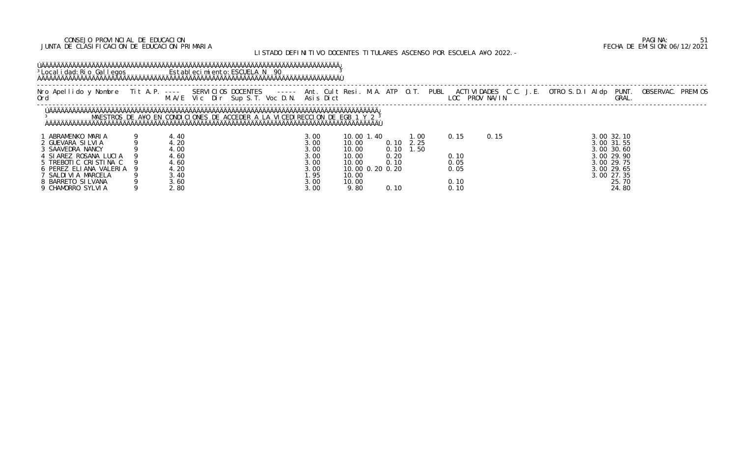### CONSEJO PROVINCIAL DE EDUCACION PAGINA: 51 JUNTA DE CLASIFICACION DE EDUCACION PRIMARIA FECHA DE EMISION:06/12/2021

# LISTADO DEFINITIVO DOCENTES TITULARES ASCENSO POR ESCUELA A¥O 2022.-

### ÚÄÄÄÄÄÄÄÄÄÄÄÄÄÄÄÄÄÄÄÄÄÄÄÄÄÄÄÄÄÄÄÄÄÄÄÄÄÄÄÄÄÄÄÄÄÄÄÄÄÄÄÄÄÄÄÄÄÄÄÄÄÄÄÄÄÄÄÄÄÄÄÄÄÄÄÄÄ¿ <sup>3</sup>Localidad:Rio Gallegos Establecimiento:ESCUELA N 90 3 ÀÄÄÄÄÄÄÄÄÄÄÄÄÄÄÄÄÄÄÄÄÄÄÄÄÄÄÄÄÄÄÄÄÄÄÄÄÄÄÄÄÄÄÄÄÄÄÄÄÄÄÄÄÄÄÄÄÄÄÄÄÄÄÄÄÄÄÄÄÄÄÄÄÄÄÄÄÄÙ

| Nro Apellido y Nombre Tit A.P. ---- SERVICIOS DOCENTES   ----- Ant. Cult Resi. M.A. ATP O.T. PUBL ACTIVIDADES C.C. J.E. OTRO S.D.I Aldp<br>Ord                      M.A/E Vic Dir Sup S.T. Voc D.N. Asis Dict |                      |  |                      |                         |            |                         |               |              |      |  |  | PUNT.<br>GRAL.                         | OBSERVAC. PREMIOS |  |
|---------------------------------------------------------------------------------------------------------------------------------------------------------------------------------------------------------------|----------------------|--|----------------------|-------------------------|------------|-------------------------|---------------|--------------|------|--|--|----------------------------------------|-------------------|--|
| MAESTROS DE A¥O EN CONDICIONES DE ACCEDER A LA VICEDIRECCION DE EGB 1 Y 2 3                                                                                                                                   |                      |  |                      |                         |            |                         |               |              |      |  |  |                                        |                   |  |
| ABRAMENKO MARIA                                                                                                                                                                                               | 4.40                 |  | 3.00                 |                         | 10.00 1.40 |                         | 1.00          | 0.15         | 0.15 |  |  | 3.00 32.10                             |                   |  |
| 2 GUEVARA SILVIA<br>3 SAAVEDRA NANCY<br>4 SIAREZ ROSANA LUCIA                                                                                                                                                 | 4.20<br>4.00<br>4.60 |  | 3.00<br>3.00<br>3.00 | 10.00<br>10.00<br>10.00 |            | 0.10<br>0.10<br>0.20    | 2. 25<br>1.50 | 0.10         |      |  |  | 3.00 31.55<br>3.00 30.60<br>3.00 29.90 |                   |  |
| 5 TREBOTIC CRISTINA C<br>6 PEREZ ELIANA VALERIA 9<br>7 SALDI VI A MARCELA                                                                                                                                     | 4.60<br>4.20<br>3.40 |  | 3.00<br>3.00<br>1.95 | 10.00<br>10.00          |            | 0.10<br>10,00 0,20 0,20 |               | 0.05<br>0.05 |      |  |  | 3.00 29.75<br>3.00 29.65<br>3.00 27.35 |                   |  |
| 8 BARRETO SILVANA<br>9 CHAMORRO SYLVIA                                                                                                                                                                        | 3.60<br>2.80         |  | 3.00<br>3.00         | 10.00<br>9.80           |            | 0.10                    |               | 0.10<br>0.10 |      |  |  | 25.70<br>24.80                         |                   |  |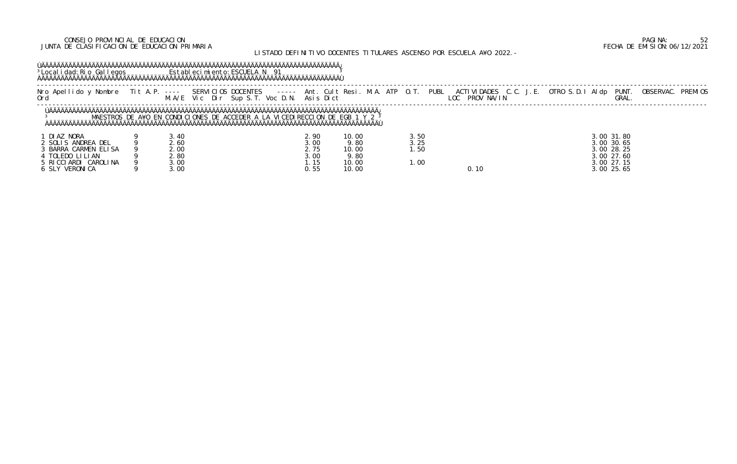### CONSEJO PROVINCIAL DE EDUCACION PAGINA: 52 JUNTA DE CLASIFICACION DE EDUCACION PRIMARIA FECHA DE EMISION:06/12/2021

# LISTADO DEFINITIVO DOCENTES TITULARES ASCENSO POR ESCUELA A¥O 2022.-

### ÚÄÄÄÄÄÄÄÄÄÄÄÄÄÄÄÄÄÄÄÄÄÄÄÄÄÄÄÄÄÄÄÄÄÄÄÄÄÄÄÄÄÄÄÄÄÄÄÄÄÄÄÄÄÄÄÄÄÄÄÄÄÄÄÄÄÄÄÄÄÄÄÄÄÄÄÄÄ¿ <sup>3</sup>Localidad:Rio Gallegos Establecimiento:ESCUELA N 91 3 ÀÄÄÄÄÄÄÄÄÄÄÄÄÄÄÄÄÄÄÄÄÄÄÄÄÄÄÄÄÄÄÄÄÄÄÄÄÄÄÄÄÄÄÄÄÄÄÄÄÄÄÄÄÄÄÄÄÄÄÄÄÄÄÄÄÄÄÄÄÄÄÄÄÄÄÄÄÄÙ

| زة المستقى المستقى المستقى المستقى المستقى المستقى المستقى المستقى المستقى المستقى المستقى المستقى المستقى الم | MAESTROS DE A¥O EN CONDICIONES DE ACCEDER A LA VICEDIRECCION DE EGB 1 Y 2 $^{\overline{3}}$ |  |               |  |  |            |                       |  |
|----------------------------------------------------------------------------------------------------------------|---------------------------------------------------------------------------------------------|--|---------------|--|--|------------|-----------------------|--|
| DI AZ NORA<br>2 SOLIS ANDREA DEL                                                                               | 340<br>2.60                                                                                 |  | 10.00<br>9.80 |  |  | 3.00 30.65 | 3.00 31.80<br>------- |  |

| DI AZ<br>NORA           | -40  | 2. 90         | 10.00 | 3.50 |       | 3.00<br>31.80  |
|-------------------------|------|---------------|-------|------|-------|----------------|
| 2 SOLIS<br>ANDREA DEL   | 2.60 | 3.00          | 9.80  | 3.25 |       | 3.00 30.65     |
| BARRA<br>CARMEN ELISA   | .00  | 2.75          | 10.00 | .50  |       | 3.00 28.25     |
| TOLEDO<br>LI LI AN      | .80  | 3.00          | 9.80  |      |       | 3.00 27.60     |
| 5 RICCIARDI CAROLINA    | .00  | $-15$         | 10.00 | .00  |       | $3.00$ $27.15$ |
| VERONI CA<br><b>SLY</b> | .00  | N 55<br>◡. ◡◡ | 10.00 |      | J. 10 | 25.65<br>3.00  |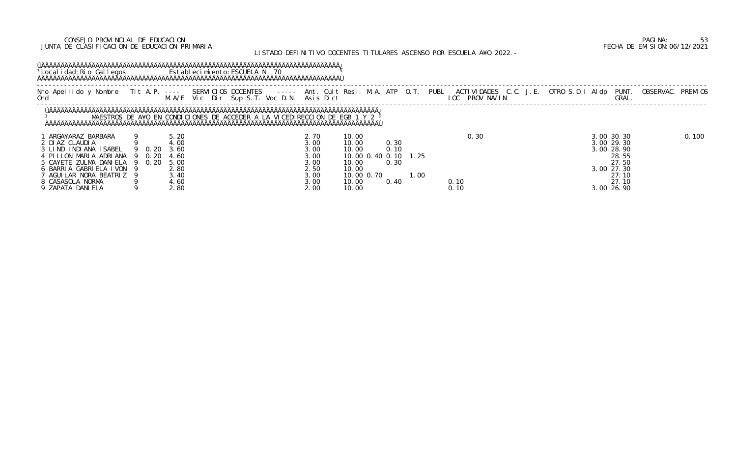### CONSEJO PROVINCIAL DE EDUCACION PAGINA: 53 JUNTA DE CLASIFICACION DE EDUCACION PRIMARIA FECHA DE EMISION:06/12/2021

# LISTADO DEFINITIVO DOCENTES TITULARES ASCENSO POR ESCUELA A¥O 2022.-

### ÚÄÄÄÄÄÄÄÄÄÄÄÄÄÄÄÄÄÄÄÄÄÄÄÄÄÄÄÄÄÄÄÄÄÄÄÄÄÄÄÄÄÄÄÄÄÄÄÄÄÄÄÄÄÄÄÄÄÄÄÄÄÄÄÄÄÄÄÄÄÄÄÄÄÄÄÄÄ¿ <sup>3</sup>Localidad:Rio Gallegos Establecimiento:ESCUELA N 70 <sup>3</sup> ÀÄÄÄÄÄÄÄÄÄÄÄÄÄÄÄÄÄÄÄÄÄÄÄÄÄÄÄÄÄÄÄÄÄÄÄÄÄÄÄÄÄÄÄÄÄÄÄÄÄÄÄÄÄÄÄÄÄÄÄÄÄÄÄÄÄÄÄÄÄÄÄÄÄÄÄÄÄÙ

|                                                                                                                                                                                                                     |                          |                                                                        |                                                                             |                                                                        |                                                                           |                                                              | Nro Apellido y Nombre Tit A.P. ---- SERVICIOS DOCENTES   ----- Ant. Cult Resi. M.A. ATP O.T. PUBL ACTIVIDADES C.C. J.E. OTRO S.D.I Aldp<br>Ord                  M.A/E Vic Dir Sup S.T. Voc D.N. Asis Dict | PUNT.<br>GRAL.                                                                                         | OBSERVAC. PREMIOS |
|---------------------------------------------------------------------------------------------------------------------------------------------------------------------------------------------------------------------|--------------------------|------------------------------------------------------------------------|-----------------------------------------------------------------------------|------------------------------------------------------------------------|---------------------------------------------------------------------------|--------------------------------------------------------------|-----------------------------------------------------------------------------------------------------------------------------------------------------------------------------------------------------------|--------------------------------------------------------------------------------------------------------|-------------------|
|                                                                                                                                                                                                                     |                          |                                                                        | MAESTROS DE A¥O EN CONDICIONES DE ACCEDER A LA VICEDIRECCION DE EGB 1 Y 2 3 |                                                                        |                                                                           |                                                              |                                                                                                                                                                                                           |                                                                                                        |                   |
| ARGA¥ARAZ BARBARA<br>2 DIAZ CLAUDIA<br>3 LIND INDIANA ISABEL<br>4 PILLON MARIA ADRIANA 9<br>5 CA¥ETE ZULMA DANIELA 9<br>6 BARRIA GABRIELA IVON 9<br>AGUILAR NORA BEATRIZ 9<br>8 CASASOLA NORMA<br>9 ZAPATA DANI ELA | 9 0.20<br>0. 20<br>0. 20 | 5.20<br>4.00<br>3.60<br>- 4.60<br>5.00<br>2.80<br>3.40<br>4.60<br>2.80 |                                                                             | 2. 70<br>3.00<br>3.00<br>3.00<br>3.00<br>2.50<br>3.00<br>3.00<br>2. 00 | 10.00<br>10.00<br>10.00<br>10.00<br>10.00<br>10.00 0.70<br>10.00<br>10.00 | 0.30<br>0.10<br>10.00 0.40 0.10 1.25<br>0.30<br>1.00<br>0.40 | 0.30<br>0.10<br>0.10                                                                                                                                                                                      | 3.00 30.30<br>3.00 29.30<br>3.00 28.90<br>28.55<br>27.50<br>3.00 27.30<br>27.10<br>27.10<br>3.00 26.90 | 0.100             |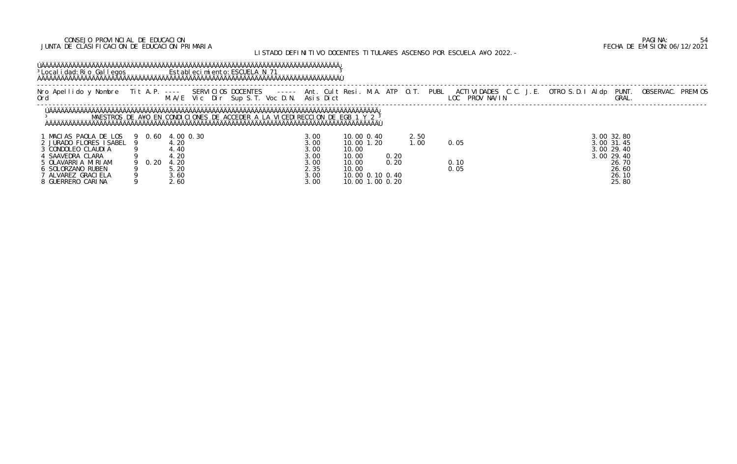### CONSEJO PROVINCIAL DE EDUCACION PAGINA: 54 JUNTA DE CLASIFICACION DE EDUCACION PRIMARIA FECHA DE EMISION:06/12/2021

## LISTADO DEFINITIVO DOCENTES TITULARES ASCENSO POR ESCUELA A¥O 2022.-

 ----------------------------------------------------------------------------------------------------------------------------------------------------------------------------- Nro Apellido y Nombre Tit A.P. ---- SERVICIOS DOCENTES ----- Ant. Cult Resi. M.A. ATP O.T. PUBL ACTIVIDADES C.C. J.E. OTRO S.D.I Aldp PUNT. OBSERVAC. PREMIOS Ord M.A/E Vic Dir Sup S.T. Voc D.N. Asis Dict LOC PROV NA/IN GRAL.

### ÚÄÄÄÄÄÄÄÄÄÄÄÄÄÄÄÄÄÄÄÄÄÄÄÄÄÄÄÄÄÄÄÄÄÄÄÄÄÄÄÄÄÄÄÄÄÄÄÄÄÄÄÄÄÄÄÄÄÄÄÄÄÄÄÄÄÄÄÄÄÄÄÄÄÄÄÄÄ¿ <sup>3</sup>Localidad:Rio Gallegos Establecimiento:ESCUELA N 71 <sup>3</sup> ÀÄÄÄÄÄÄÄÄÄÄÄÄÄÄÄÄÄÄÄÄÄÄÄÄÄÄÄÄÄÄÄÄÄÄÄÄÄÄÄÄÄÄÄÄÄÄÄÄÄÄÄÄÄÄÄÄÄÄÄÄÄÄÄÄÄÄÄÄÄÄÄÄÄÄÄÄÄÙ

| ----- | $\cap$ $\cap$ $\cap$ $\cap$ $\cap$ $\cap$ $\cap$ $\cap$<br><b>SERVI</b> (<br>-------<br>Di r<br><b>Moc</b> | $M$ $\Delta$<br>Resi<br>Ant<br>Di C | <b>PUBL</b><br>ΔTD | ACTI VI DADES<br>PR <sub>O</sub><br>.0 <sup>c</sup> | <b>PUN1</b><br>OTRO<br>AI do<br><b>GRAL</b> | <b>ORSERVA</b> |
|-------|------------------------------------------------------------------------------------------------------------|-------------------------------------|--------------------|-----------------------------------------------------|---------------------------------------------|----------------|
|       |                                                                                                            |                                     |                    |                                                     |                                             |                |

| MACIAS PAOLA DE LOS  | 0.60<br>O O | 4.00 0.30 | 3.00 | 10.00 0.40         |          | 2.50 |      | 3.00 32.80 |
|----------------------|-------------|-----------|------|--------------------|----------|------|------|------------|
| JURADO FLORES ISABEL |             | .20       | 3.00 | $10.001$ .<br>. 20 |          | 1.00 | 0.05 | 3.00 31.45 |
| 3 CONDOLEO CLAUDIA   |             | 4.40      | 3.00 | 10.00              |          |      |      | 3.00 29.40 |
| SAAVEDRA CLARA       |             | 4.20      | 3.00 | 10.00              | 0.20     |      |      | 3.00 29.40 |
| 5 OLAVARRIA MIRIAM   | $9 \t 0.20$ | 4.20      | 3.00 | 10.00              | 0.20     |      | 0.10 | 26.70      |
| SOLORZANO RUBEN      |             | .20       | 2.35 | 10.00              |          |      | 0.05 | 26.60      |
| ALVAREZ GRACI ELA    |             | 3.60      | 3.00 | 10.00 0.10 0.40    |          |      |      | 26.10      |
| 8 GUERRERO CARINA    |             | 2.60      | 3.00 | $10.001$ .         | .0000.20 |      |      | 25.80      |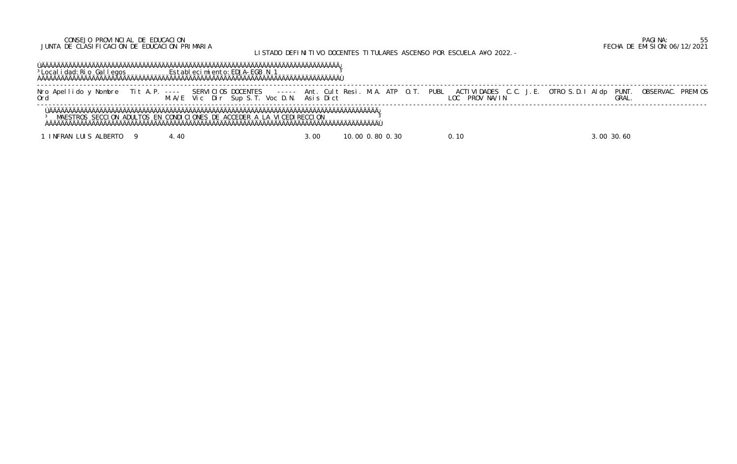### CONSEJO PROVINCIAL DE EDUCACION PAGINA: 55 JUNTA DE CLASIFICACION DE EDUCACION PRIMARIA FECHA DE EMISION:06/12/2021

# LISTADO DEFINITIVO DOCENTES TITULARES ASCENSO POR ESCUELA A¥O 2022.-

 ÚÄÄÄÄÄÄÄÄÄÄÄÄÄÄÄÄÄÄÄÄÄÄÄÄÄÄÄÄÄÄÄÄÄÄÄÄÄÄÄÄÄÄÄÄÄÄÄÄÄÄÄÄÄÄÄÄÄÄÄÄÄÄÄÄÄÄÄÄÄÄÄÄÄÄÄÄÄ¿ <sup>3</sup>Localidad:Rio Gallegos Establecimiento:EDJA-EGB N 1 <sup>3</sup> ÀÄÄÄÄÄÄÄÄÄÄÄÄÄÄÄÄÄÄÄÄÄÄÄÄÄÄÄÄÄÄÄÄÄÄÄÄÄÄÄÄÄÄÄÄÄÄÄÄÄÄÄÄÄÄÄÄÄÄÄÄÄÄÄÄÄÄÄÄÄÄÄÄÄÄÄÄÄÙ

 ----------------------------------------------------------------------------------------------------------------------------------------------------------------------------- Nro Apellido y Nombre Tit A.P. ---- SERVICIOS DOCENTES ----- Ant. Cult Resi. M.A. ATP O.T. PUBL ACTIVIDADES C.C. J.E. OTRO S.D.I Aldp PUNT. OBSERVAC. PREMIOS Ord M.A/E Vic Dir Sup S.T. Voc D.N. Asis Dict LOC PROV NA/IN GRAL. -----------------------------------------------------------------------------------------------------------------------------------------------------------------------------

 ÚÄÄÄÄÄÄÄÄÄÄÄÄÄÄÄÄÄÄÄÄÄÄÄÄÄÄÄÄÄÄÄÄÄÄÄÄÄÄÄÄÄÄÄÄÄÄÄÄÄÄÄÄÄÄÄÄÄÄÄÄÄÄÄÄÄÄÄÄÄÄÄÄÄÄÄÄÄÄÄÄÄÄÄÄÄ¿ 3 MAESTROS SECCION ADULTOS EN CONDICIONES DE ACCEDER A LA VICEDIRECCION 3 ÀÄÄÄÄÄÄÄÄÄÄÄÄÄÄÄÄÄÄÄÄÄÄÄÄÄÄÄÄÄÄÄÄÄÄÄÄÄÄÄÄÄÄÄÄÄÄÄÄÄÄÄÄÄÄÄÄÄÄÄÄÄÄÄÄÄÄÄÄÄÄÄÄÄÄÄÄÄÄÄÄÄÄÄÄÄÙ

1 INFRAN LUIS ALBERTO 9 4.40 3.00 10.00 0.80 0.30 0.10 3.00 30.60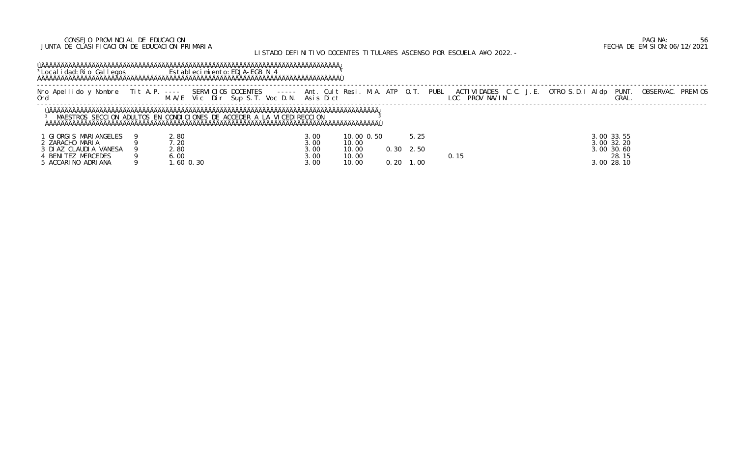### CONSEJO PROVINCIAL DE EDUCACION PAGINA: 56 JUNTA DE CLASIFICACION DE EDUCACION PRIMARIA FECHA DE EMISION:06/12/2021

# LISTADO DEFINITIVO DOCENTES TITULARES ASCENSO POR ESCUELA A¥O 2022.-

### ÚÄÄÄÄÄÄÄÄÄÄÄÄÄÄÄÄÄÄÄÄÄÄÄÄÄÄÄÄÄÄÄÄÄÄÄÄÄÄÄÄÄÄÄÄÄÄÄÄÄÄÄÄÄÄÄÄÄÄÄÄÄÄÄÄÄÄÄÄÄÄÄÄÄÄÄÄÄ¿ <sup>3</sup>Localidad:Rio Gallegos Establecimiento:EDJA-EGB N 4 <sup>3</sup> ÀÄÄÄÄÄÄÄÄÄÄÄÄÄÄÄÄÄÄÄÄÄÄÄÄÄÄÄÄÄÄÄÄÄÄÄÄÄÄÄÄÄÄÄÄÄÄÄÄÄÄÄÄÄÄÄÄÄÄÄÄÄÄÄÄÄÄÄÄÄÄÄÄÄÄÄÄÄÙ

| Nro<br>Nombre<br>Ord | $\frac{1}{2} \frac{1}{2} \frac{1}{2} \frac{1}{2} \frac{1}{2} \frac{1}{2} \frac{1}{2} \frac{1}{2} \frac{1}{2} \frac{1}{2} \frac{1}{2} \frac{1}{2} \frac{1}{2} \frac{1}{2} \frac{1}{2} \frac{1}{2} \frac{1}{2} \frac{1}{2} \frac{1}{2} \frac{1}{2} \frac{1}{2} \frac{1}{2} \frac{1}{2} \frac{1}{2} \frac{1}{2} \frac{1}{2} \frac{1}{2} \frac{1}{2} \frac{1}{2} \frac{1}{2} \frac{1}{2} \frac{$<br>M. A/E | SERVICIOS DOCENTES<br>Sun S T<br>$Voc$ D.N.<br>Dir | M A<br>Resi<br>$\bigcap$ $\bigcap$<br>Ant<br>$\mathcal{L} = \mathcal{L} + \mathcal{L} + \mathcal{L}$<br>Asis Dict | ATP<br>$\Omega$ . | <b>PUBL</b><br>ACT<br>'I VI DADES<br>. .<br>PROV NA/IN<br>LOC | <b>PUNT</b><br>OTRO S.D.<br>Al dp<br><b>GRAL</b> | <b>OBSERVAC</b><br><b>PREMIOS</b> |
|----------------------|--------------------------------------------------------------------------------------------------------------------------------------------------------------------------------------------------------------------------------------------------------------------------------------------------------------------------------------------------------------------------------------------------------|----------------------------------------------------|-------------------------------------------------------------------------------------------------------------------|-------------------|---------------------------------------------------------------|--------------------------------------------------|-----------------------------------|
| SECCION ADUL         | LTOS EN                                                                                                                                                                                                                                                                                                                                                                                                | I CONDICIONES DE ACCEDER A L                       |                                                                                                                   |                   |                                                               |                                                  |                                   |

| GIORGIS MARIANGELES<br>ZARACHO MARIA   | . 80<br>20      | 3.00<br>3.00 | 10.00 0.50<br>10.00    | 5.25 | 3.00 33.55<br>3.00 32.20 |
|----------------------------------------|-----------------|--------------|------------------------|------|--------------------------|
| DI AZ CLAUDI A<br>VANESA               | .80             | 3.00         | 10.00<br>0.30          | 2.50 | 30.60<br>3.00            |
| BENITEZ MERCEDES<br>5 ACCARINO ADRIANA | . 00<br>60 0.30 | 3.00<br>3.00 | 10.00<br>10.00<br>0.20 | 1.00 | 28.15<br>28.10<br>3.00   |